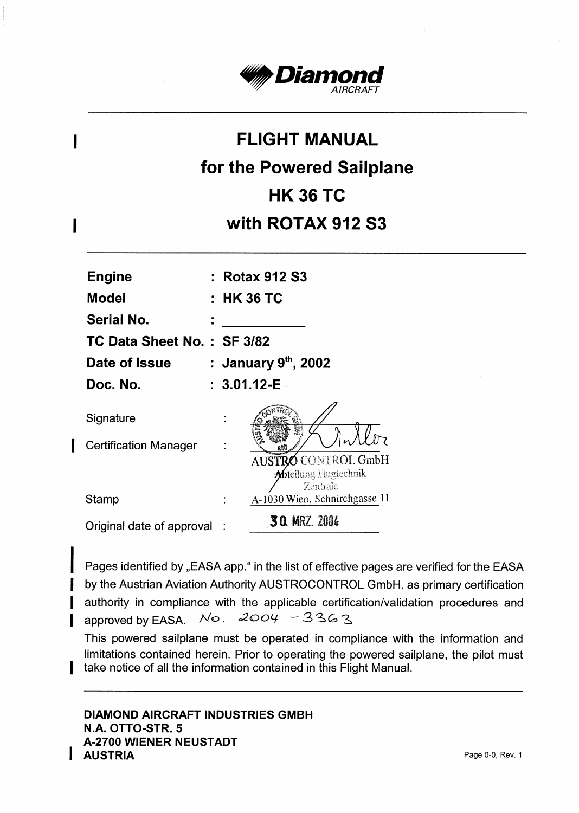

# **FLIGHT MANUAL** for the Powered Sailplane **HK 36 TC** with ROTAX 912 S3

| <b>Engine</b><br>Model     | : Rotax 912 S3<br>: HK 36 TC                                     |
|----------------------------|------------------------------------------------------------------|
| Serial No.                 |                                                                  |
| TC Data Sheet No.: SF 3/82 |                                                                  |
| Date of Issue              | : January 9th, 2002                                              |
| Doc. No.                   | $: 3.01.12 - E$                                                  |
| Signature                  |                                                                  |
| Certification Manager      |                                                                  |
|                            | AUSTRO CONTROL GmbH<br><b>Abt</b> eilung Flugtechnik<br>Zentrale |
| Stamp                      | A-1030 Wien, Schnirchgasse 11                                    |
| Original date of approval  | <b>30. MRZ. 2004</b>                                             |

I

 $\mathbf I$ 

Pages identified by "EASA app." in the list of effective pages are verified for the EASA by the Austrian Aviation Authority AUSTROCONTROL GmbH. as primary certification authority in compliance with the applicable certification/validation procedures and approved by EASA.  $No. 2004 - 3363$ 

This powered sailplane must be operated in compliance with the information and limitations contained herein. Prior to operating the powered sailplane, the pilot must take notice of all the information contained in this Flight Manual.

**DIAMOND AIRCRAFT INDUSTRIES GMBH** N.A. OTTO-STR. 5 **A-2700 WIENER NEUSTADT AUSTRIA**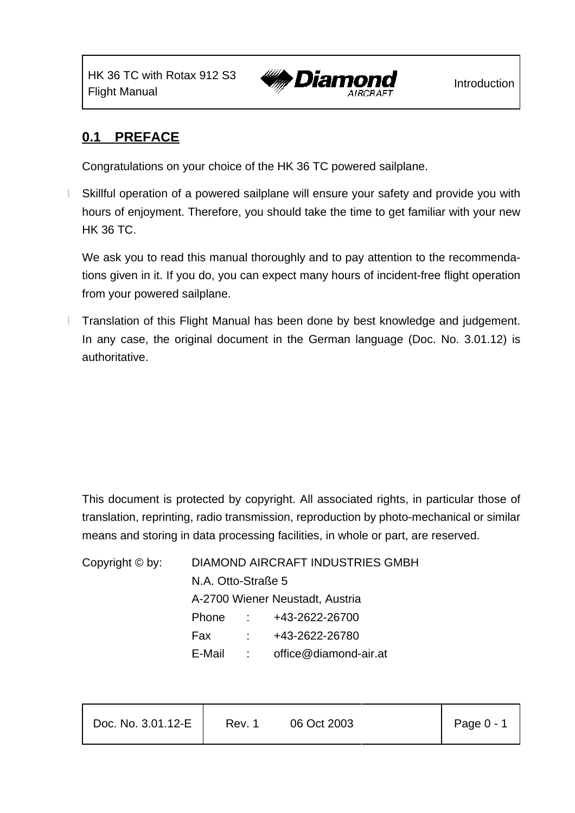HK 36 TC with Rotax 912 S3



## **0.1 PREFACE**

Congratulations on your choice of the HK 36 TC powered sailplane.

Skillful operation of a powered sailplane will ensure your safety and provide you with hours of enjoyment. Therefore, you should take the time to get familiar with your new HK 36 TC.

We ask you to read this manual thoroughly and to pay attention to the recommendations given in it. If you do, you can expect many hours of incident-free flight operation from your powered sailplane.

Translation of this Flight Manual has been done by best knowledge and judgement. In any case, the original document in the German language (Doc. No. 3.01.12) is authoritative.

This document is protected by copyright. All associated rights, in particular those of translation, reprinting, radio transmission, reproduction by photo-mechanical or similar means and storing in data processing facilities, in whole or part, are reserved.

Copyright © by: DIAMOND AIRCRAFT INDUSTRIES GMBH N.A. Otto-Straße 5 A-2700 Wiener Neustadt, Austria Phone : +43-2622-26700 Fax : +43-2622-26780 E-Mail : office@diamond-air.at

| Page 0 - 1<br>Doc. No. 3.01.12-E<br>06 Oct 2003<br>Rev. 1 |
|-----------------------------------------------------------|
|-----------------------------------------------------------|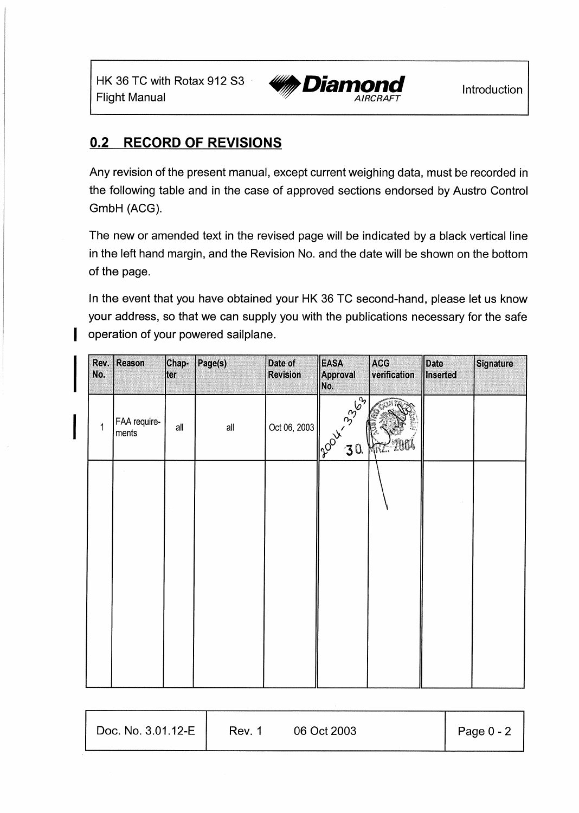

#### $0.2$ **RECORD OF REVISIONS**

Any revision of the present manual, except current weighing data, must be recorded in the following table and in the case of approved sections endorsed by Austro Control GmbH (ACG).

The new or amended text in the revised page will be indicated by a black vertical line in the left hand margin, and the Revision No. and the date will be shown on the bottom of the page.

In the event that you have obtained your HK 36 TC second-hand, please let us know your address, so that we can supply you with the publications necessary for the safe operation of your powered sailplane.

| No. | Rev. Reason           | Chap-<br>ter | Page(s) | Date of<br><b>Revision</b> | <b>EASA</b><br><b>Approval</b><br>No. | ACG<br>verification | Date<br>Inserted | Signature |
|-----|-----------------------|--------------|---------|----------------------------|---------------------------------------|---------------------|------------------|-----------|
| 1   | FAA require-<br>ments | all          | all     | Oct 06, 2003               | 2004-3339                             | MKC.                |                  |           |
|     |                       |              |         |                            |                                       |                     |                  |           |
|     |                       |              |         |                            |                                       |                     |                  |           |
|     |                       |              |         |                            |                                       |                     |                  |           |
|     |                       |              |         |                            |                                       |                     |                  |           |

| Doc. No. 3.01.12-E | Rev. 1 | 06 Oct 2003 | Page 0 - 2 |
|--------------------|--------|-------------|------------|
|                    |        |             |            |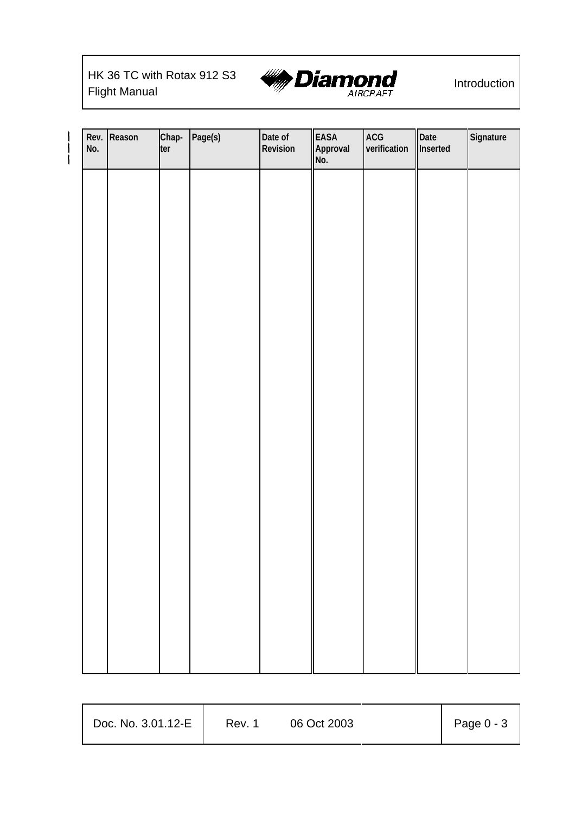# HK 36 TC with Rotax 912 S3



| No. | Rev. Reason | Chap-<br>ter | Page(s) | Date of<br>Revision | EASA<br>Approval<br>No. | ACG<br>verification | Date<br>Inserted | Signature |
|-----|-------------|--------------|---------|---------------------|-------------------------|---------------------|------------------|-----------|
|     |             |              |         |                     |                         |                     |                  |           |
|     |             |              |         |                     |                         |                     |                  |           |
|     |             |              |         |                     |                         |                     |                  |           |
|     |             |              |         |                     |                         |                     |                  |           |
|     |             |              |         |                     |                         |                     |                  |           |
|     |             |              |         |                     |                         |                     |                  |           |
|     |             |              |         |                     |                         |                     |                  |           |
|     |             |              |         |                     |                         |                     |                  |           |
|     |             |              |         |                     |                         |                     |                  |           |
|     |             |              |         |                     |                         |                     |                  |           |
|     |             |              |         |                     |                         |                     |                  |           |
|     |             |              |         |                     |                         |                     |                  |           |

| Doc. No. 3.01.12-E | Rev. 1 | 06 Oct 2003 | Page 0 - 3 |
|--------------------|--------|-------------|------------|
|                    |        |             |            |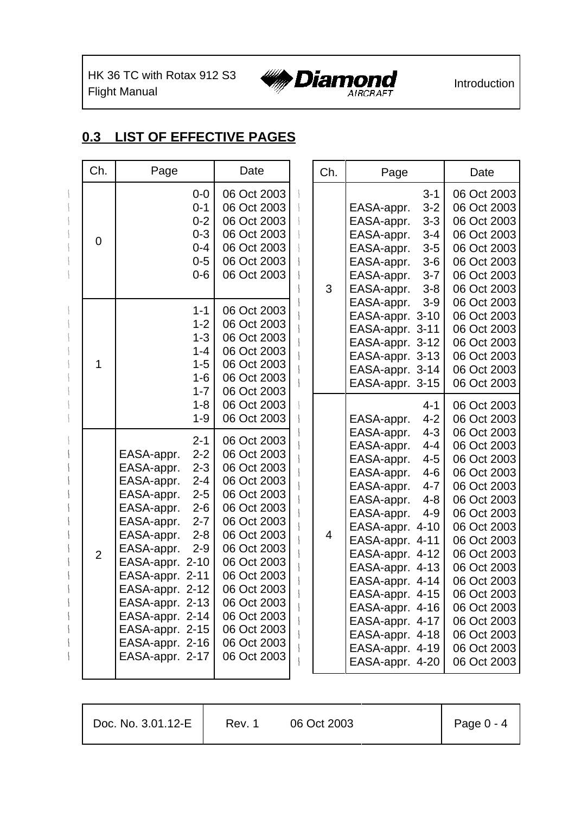HK 36 TC with Rotax 912 S3 HK 36 TC with Rotax 912 S3 **WANDIAN DESCRIPTION** Introduction



## **0.3 LIST OF EFFECTIVE PAGES**

| Ch.            | Page                                                                                                                                                                                                                                                                                                                                                                    | Date                                                                                                                                                                                                                                                        | Ch.            | Page                                                                                                                                                                                                                                                                                                                                                                                         | Date                                                                                                                                                                                                                                                                       |
|----------------|-------------------------------------------------------------------------------------------------------------------------------------------------------------------------------------------------------------------------------------------------------------------------------------------------------------------------------------------------------------------------|-------------------------------------------------------------------------------------------------------------------------------------------------------------------------------------------------------------------------------------------------------------|----------------|----------------------------------------------------------------------------------------------------------------------------------------------------------------------------------------------------------------------------------------------------------------------------------------------------------------------------------------------------------------------------------------------|----------------------------------------------------------------------------------------------------------------------------------------------------------------------------------------------------------------------------------------------------------------------------|
| $\overline{0}$ | $0-0$<br>$0 - 1$<br>$0 - 2$<br>$0 - 3$<br>$0 - 4$<br>$0-5$<br>$0-6$                                                                                                                                                                                                                                                                                                     | 06 Oct 2003<br>06 Oct 2003<br>06 Oct 2003<br>06 Oct 2003<br>06 Oct 2003<br>06 Oct 2003<br>06 Oct 2003                                                                                                                                                       | 3              | $3 - 1$<br>$3 - 2$<br>EASA-appr.<br>$3 - 3$<br>EASA-appr.<br>EASA-appr.<br>$3 - 4$<br>EASA-appr.<br>$3-5$<br>EASA-appr.<br>$3-6$<br>EASA-appr.<br>$3 - 7$<br>EASA-appr.<br>$3 - 8$                                                                                                                                                                                                           | 06 Oct 2003<br>06 Oct 2003<br>06 Oct 2003<br>06 Oct 2003<br>06 Oct 2003<br>06 Oct 2003<br>06 Oct 2003<br>06 Oct 2003                                                                                                                                                       |
| 1              | $1 - 1$<br>$1 - 2$<br>$1 - 3$<br>$1 - 4$<br>$1 - 5$<br>$1 - 6$<br>$1 - 7$                                                                                                                                                                                                                                                                                               | 06 Oct 2003<br>06 Oct 2003<br>06 Oct 2003<br>06 Oct 2003<br>06 Oct 2003<br>06 Oct 2003<br>06 Oct 2003                                                                                                                                                       |                | EASA-appr.<br>$3-9$<br>EASA-appr. 3-10<br>EASA-appr. 3-11<br>EASA-appr. 3-12<br>EASA-appr. 3-13<br>EASA-appr. 3-14<br>EASA-appr. 3-15                                                                                                                                                                                                                                                        | 06 Oct 2003<br>06 Oct 2003<br>06 Oct 2003<br>06 Oct 2003<br>06 Oct 2003<br>06 Oct 2003<br>06 Oct 2003                                                                                                                                                                      |
|                | $1 - 8$<br>$1 - 9$                                                                                                                                                                                                                                                                                                                                                      | 06 Oct 2003<br>06 Oct 2003                                                                                                                                                                                                                                  |                | $4 - 1$<br>$4 - 2$<br>EASA-appr.                                                                                                                                                                                                                                                                                                                                                             | 06 Oct 2003<br>06 Oct 2003                                                                                                                                                                                                                                                 |
| $\overline{2}$ | $2 - 1$<br>$2 - 2$<br>EASA-appr.<br>EASA-appr.<br>$2 - 3$<br>EASA-appr.<br>$2 - 4$<br>EASA-appr.<br>$2 - 5$<br>EASA-appr.<br>$2 - 6$<br>EASA-appr.<br>$2 - 7$<br>EASA-appr.<br>$2 - 8$<br>EASA-appr.<br>$2 - 9$<br>EASA-appr. 2-10<br>EASA-appr. 2-11<br>EASA-appr. 2-12<br>EASA-appr. 2-13<br>EASA-appr. 2-14<br>EASA-appr. 2-15<br>EASA-appr. 2-16<br>EASA-appr. 2-17 | 06 Oct 2003<br>06 Oct 2003<br>06 Oct 2003<br>06 Oct 2003<br>06 Oct 2003<br>06 Oct 2003<br>06 Oct 2003<br>06 Oct 2003<br>06 Oct 2003<br>06 Oct 2003<br>06 Oct 2003<br>06 Oct 2003<br>06 Oct 2003<br>06 Oct 2003<br>06 Oct 2003<br>06 Oct 2003<br>06 Oct 2003 | $\overline{4}$ | EASA-appr.<br>$4 - 3$<br>EASA-appr.<br>$4 - 4$<br>EASA-appr.<br>$4 - 5$<br>EASA-appr.<br>$4 - 6$<br>EASA-appr.<br>$4 - 7$<br>EASA-appr.<br>$4 - 8$<br>EASA-appr.<br>$4 - 9$<br>EASA-appr. 4-10<br>EASA-appr. 4-11<br>EASA-appr. 4-12<br>EASA-appr. 4-13<br>EASA-appr. 4-14<br>EASA-appr. 4-15<br>EASA-appr. 4-16<br>EASA-appr. 4-17<br>EASA-appr. 4-18<br>EASA-appr. 4-19<br>EASA-appr. 4-20 | 06 Oct 2003<br>06 Oct 2003<br>06 Oct 2003<br>06 Oct 2003<br>06 Oct 2003<br>06 Oct 2003<br>06 Oct 2003<br>06 Oct 2003<br>06 Oct 2003<br>06 Oct 2003<br>06 Oct 2003<br>06 Oct 2003<br>06 Oct 2003<br>06 Oct 2003<br>06 Oct 2003<br>06 Oct 2003<br>06 Oct 2003<br>06 Oct 2003 |

| Doc. No. 3.01.12-E | Rev. 1 | 06 Oct 2003 | $\vert$ Page 0 - 4 |
|--------------------|--------|-------------|--------------------|
|                    |        |             |                    |

Т

T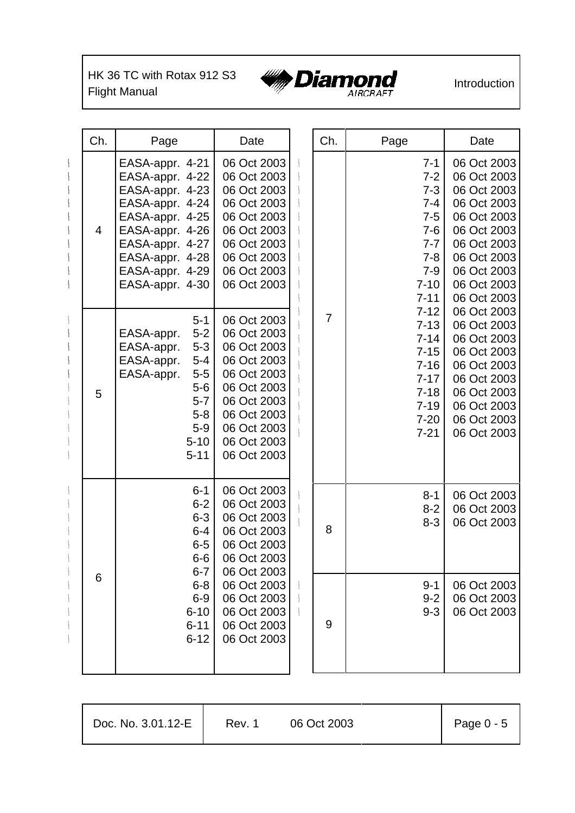HK 36 TC with Rotax 912 S3 HK 36 TC with Rotax 912 S3 **WANDIAN DESCRIPT 11** Introduction



| Ch. | Page                                                                                                                                                                                       | Date                                                                                                                                                              | Ch.            | Page                                                                                                                                                                                                                                                                                         | Date                                                                                                                                               |
|-----|--------------------------------------------------------------------------------------------------------------------------------------------------------------------------------------------|-------------------------------------------------------------------------------------------------------------------------------------------------------------------|----------------|----------------------------------------------------------------------------------------------------------------------------------------------------------------------------------------------------------------------------------------------------------------------------------------------|----------------------------------------------------------------------------------------------------------------------------------------------------|
| 4   | EASA-appr. 4-21<br>EASA-appr. 4-22<br>EASA-appr. 4-23<br>EASA-appr. 4-24<br>EASA-appr. 4-25<br>EASA-appr. 4-26<br>EASA-appr. 4-27<br>EASA-appr. 4-28<br>EASA-appr. 4-29<br>EASA-appr. 4-30 | 06 Oct 2003<br>06 Oct 2003<br>06 Oct 2003<br>06 Oct 2003<br>06 Oct 2003<br>06 Oct 2003<br>06 Oct 2003<br>06 Oct 2003<br>06 Oct 2003<br>06 Oct 2003                |                | 06 Oct 2003<br>$7 - 1$<br>06 Oct 2003<br>$7 - 2$<br>06 Oct 2003<br>$7 - 3$<br>06 Oct 2003<br>$7 - 4$<br>06 Oct 2003<br>$7 - 5$<br>06 Oct 2003<br>$7 - 6$<br>$7 - 7$<br>06 Oct 2003<br>06 Oct 2003<br>$7 - 8$<br>06 Oct 2003<br>$7 - 9$<br>$7 - 10$<br>06 Oct 2003<br>$7 - 11$<br>06 Oct 2003 |                                                                                                                                                    |
| 5   | $5 - 1$<br>$5 - 2$<br>EASA-appr.<br>$5-3$<br>EASA-appr.<br>EASA-appr.<br>$5-4$<br>EASA-appr.<br>$5-5$<br>$5-6$<br>$5 - 7$<br>$5 - 8$<br>$5-9$<br>$5 - 10$<br>$5 - 11$                      | 06 Oct 2003<br>06 Oct 2003<br>06 Oct 2003<br>06 Oct 2003<br>06 Oct 2003<br>06 Oct 2003<br>06 Oct 2003<br>06 Oct 2003<br>06 Oct 2003<br>06 Oct 2003<br>06 Oct 2003 | $\overline{7}$ | $7 - 12$<br>$7 - 13$<br>$7 - 14$<br>$7 - 15$<br>$7 - 16$<br>$7 - 17$<br>$7 - 18$<br>$7 - 19$<br>$7 - 20$<br>$7 - 21$                                                                                                                                                                         | 06 Oct 2003<br>06 Oct 2003<br>06 Oct 2003<br>06 Oct 2003<br>06 Oct 2003<br>06 Oct 2003<br>06 Oct 2003<br>06 Oct 2003<br>06 Oct 2003<br>06 Oct 2003 |
|     | $6 - 1$<br>$6 - 2$<br>$6 - 3$<br>$6 - 4$<br>$6-5$<br>$6-6$<br>$6 - 7$                                                                                                                      | 06 Oct 2003<br>06 Oct 2003<br>06 Oct 2003<br>06 Oct 2003<br>06 Oct 2003<br>06 Oct 2003<br>06 Oct 2003                                                             | 8              | $8 - 1$<br>$8 - 2$<br>$8 - 3$                                                                                                                                                                                                                                                                | 06 Oct 2003<br>06 Oct 2003<br>06 Oct 2003                                                                                                          |
| 6   | $6 - 8$<br>$6-9$<br>$6 - 10$<br>$6 - 11$<br>$6 - 12$                                                                                                                                       | 06 Oct 2003<br>06 Oct 2003<br>06 Oct 2003<br>06 Oct 2003<br>06 Oct 2003                                                                                           | 9              | $9 - 1$<br>$9 - 2$<br>$9 - 3$                                                                                                                                                                                                                                                                | 06 Oct 2003<br>06 Oct 2003<br>06 Oct 2003                                                                                                          |

| Doc. No. 3.01.12-E | Rev. 1 | 06 Oct 2003 | Page $0 - 5$ |
|--------------------|--------|-------------|--------------|
|                    |        |             |              |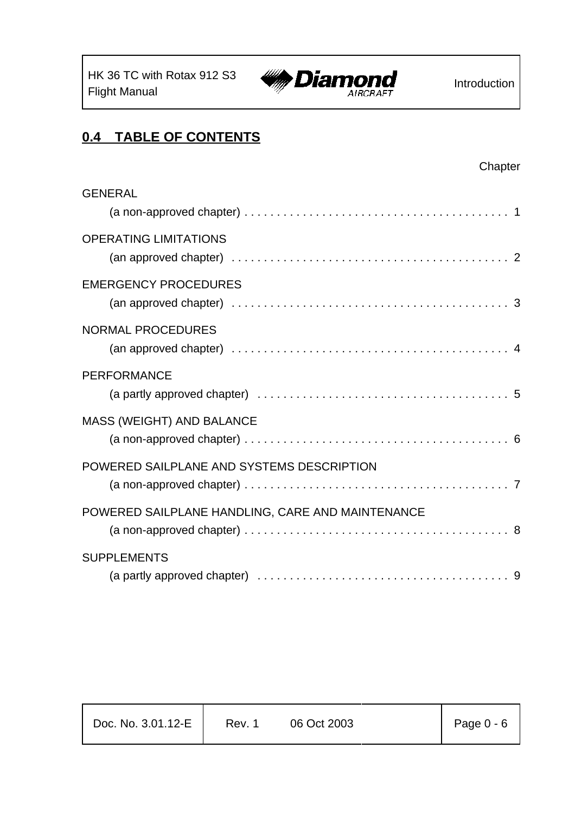

## **0.4 TABLE OF CONTENTS**

| <b>GENERAL</b>                                   |  |
|--------------------------------------------------|--|
| <b>OPERATING LIMITATIONS</b>                     |  |
| <b>EMERGENCY PROCEDURES</b>                      |  |
| <b>NORMAL PROCEDURES</b>                         |  |
| <b>PERFORMANCE</b>                               |  |
| MASS (WEIGHT) AND BALANCE                        |  |
| POWERED SAILPLANE AND SYSTEMS DESCRIPTION        |  |
| POWERED SAILPLANE HANDLING, CARE AND MAINTENANCE |  |
| <b>SUPPLEMENTS</b>                               |  |

| Doc. No. 3.01.12-E | Rev. 1 | 06 Oct 2003 | Page $0 - 6$ |
|--------------------|--------|-------------|--------------|
|--------------------|--------|-------------|--------------|

Т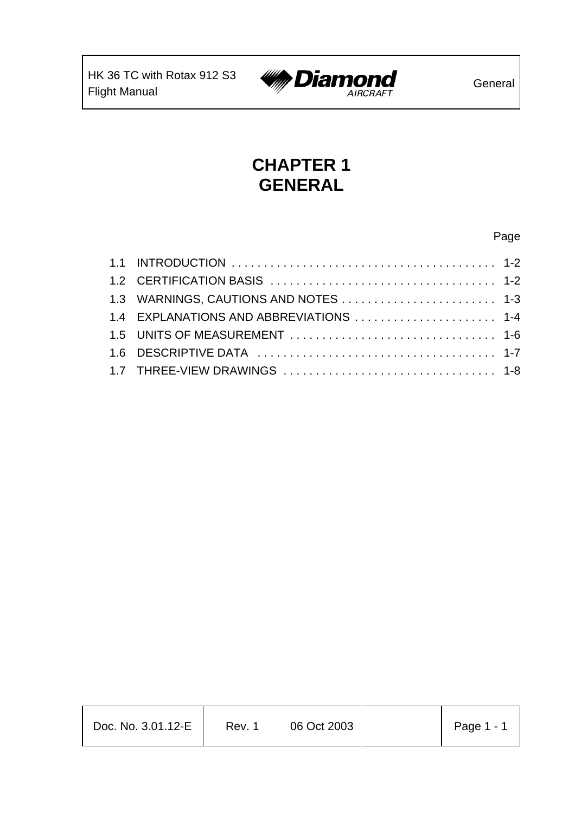

# **CHAPTER 1 GENERAL**

#### Page

| 1.3 WARNINGS, CAUTIONS AND NOTES  1-3   |  |
|-----------------------------------------|--|
| 1.4 EXPLANATIONS AND ABBREVIATIONS  1-4 |  |
|                                         |  |
|                                         |  |
|                                         |  |
|                                         |  |

| Doc. No. 3.01.12-E | Rev. 1 | 06 Oct 2003 | Page $1 - 1$ |
|--------------------|--------|-------------|--------------|
|                    |        |             |              |

T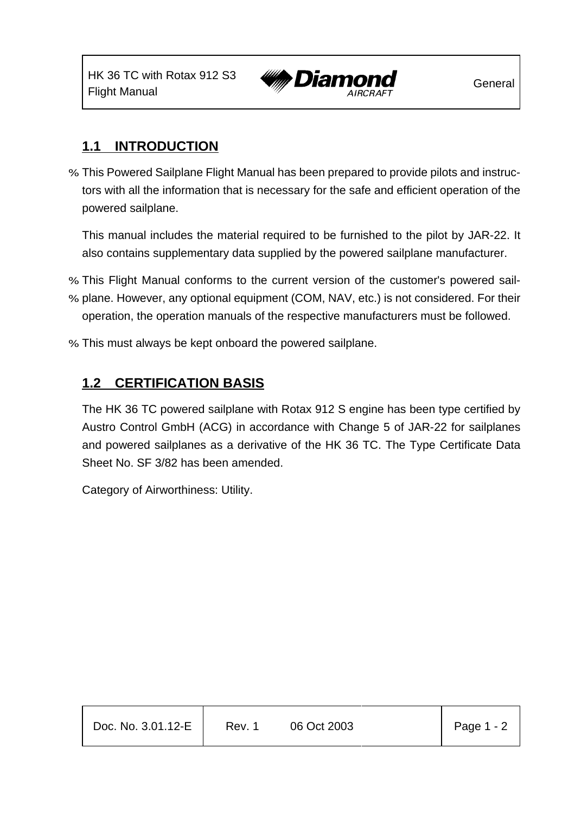

## **1.1 INTRODUCTION**

% This Powered Sailplane Flight Manual has been prepared to provide pilots and instructors with all the information that is necessary for the safe and efficient operation of the powered sailplane.

This manual includes the material required to be furnished to the pilot by JAR-22. It also contains supplementary data supplied by the powered sailplane manufacturer.

- % This Flight Manual conforms to the current version of the customer's powered sail-
- % plane. However, any optional equipment (COM, NAV, etc.) is not considered. For their operation, the operation manuals of the respective manufacturers must be followed.
- % This must always be kept onboard the powered sailplane.

## **1.2 CERTIFICATION BASIS**

The HK 36 TC powered sailplane with Rotax 912 S engine has been type certified by Austro Control GmbH (ACG) in accordance with Change 5 of JAR-22 for sailplanes and powered sailplanes as a derivative of the HK 36 TC. The Type Certificate Data Sheet No. SF 3/82 has been amended.

Category of Airworthiness: Utility.

| Doc. No. 3.01.12-E | Rev. 1 | 06 Oct 2003 | $\vert$ Page 1 - 2 |
|--------------------|--------|-------------|--------------------|
|                    |        |             |                    |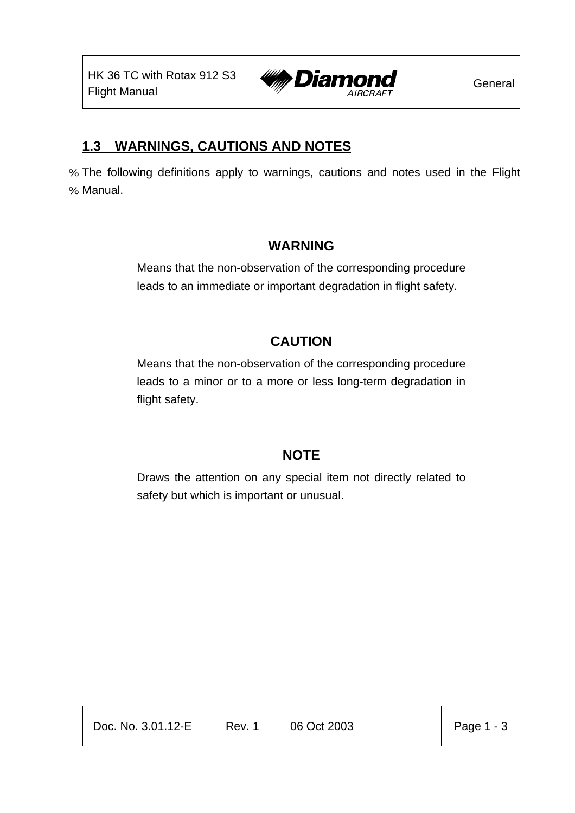

## **1.3 WARNINGS, CAUTIONS AND NOTES**

% The following definitions apply to warnings, cautions and notes used in the Flight % Manual.

## **WARNING**

Means that the non-observation of the corresponding procedure leads to an immediate or important degradation in flight safety.

## **CAUTION**

Means that the non-observation of the corresponding procedure leads to a minor or to a more or less long-term degradation in flight safety.

## **NOTE**

Draws the attention on any special item not directly related to safety but which is important or unusual.

| Doc. No. 3.01.12-E | Rev. 1 | 06 Oct 2003 | Page $1 - 3$ |
|--------------------|--------|-------------|--------------|
|                    |        |             |              |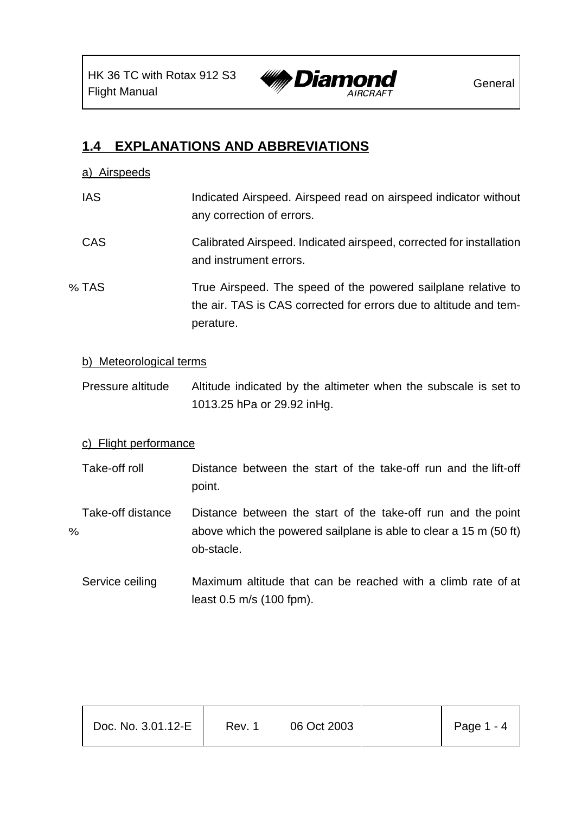

## **1.4 EXPLANATIONS AND ABBREVIATIONS**

#### a) Airspeeds

- IAS Indicated Airspeed. Airspeed read on airspeed indicator without any correction of errors.
- CAS Calibrated Airspeed. Indicated airspeed, corrected for installation and instrument errors.
- % TAS True Airspeed. The speed of the powered sailplane relative to the air. TAS is CAS corrected for errors due to altitude and temperature.

#### b) Meteorological terms

Pressure altitude Altitude indicated by the altimeter when the subscale is set to 1013.25 hPa or 29.92 inHg.

#### c) Flight performance

- Take-off roll Distance between the start of the take-off run and the lift-off point.
- Take-off distance Distance between the start of the take-off run and the point % above which the powered sailplane is able to clear a 15 m (50 ft) ob-stacle.
	- Service ceiling Maximum altitude that can be reached with a climb rate of at least 0.5 m/s (100 fpm).

| Doc. No. 3.01.12-E | Rev. 1 | 06 Oct 2003 | Page $1 - 4$ |
|--------------------|--------|-------------|--------------|
|                    |        |             |              |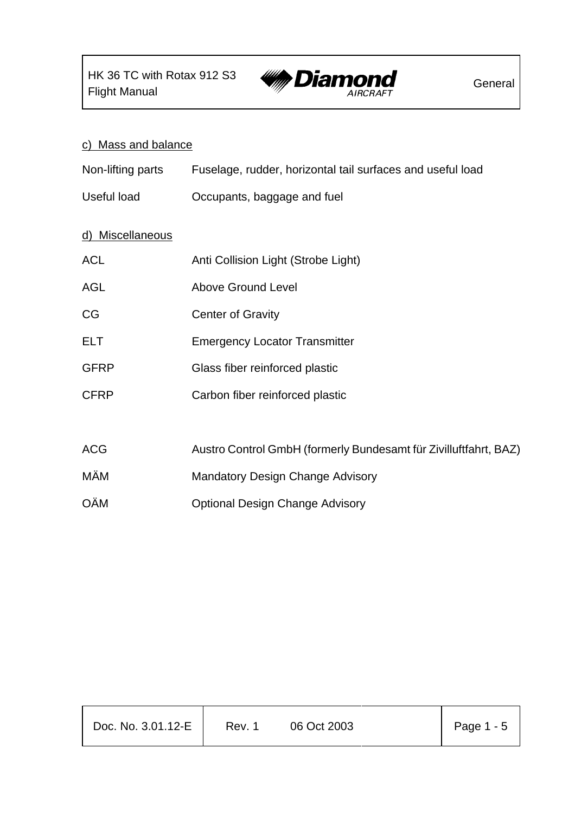

## c) Mass and balance

| Non-lifting parts |  | Fuselage, rudder, horizontal tail surfaces and useful load |  |
|-------------------|--|------------------------------------------------------------|--|
|-------------------|--|------------------------------------------------------------|--|

Useful load Occupants, baggage and fuel

#### d) Miscellaneous

| <b>ACL</b>  | Anti Collision Light (Strobe Light)                              |
|-------------|------------------------------------------------------------------|
| <b>AGL</b>  | <b>Above Ground Level</b>                                        |
| <b>CG</b>   | <b>Center of Gravity</b>                                         |
| <b>ELT</b>  | <b>Emergency Locator Transmitter</b>                             |
| <b>GFRP</b> | Glass fiber reinforced plastic                                   |
| <b>CFRP</b> | Carbon fiber reinforced plastic                                  |
|             |                                                                  |
| <b>ACG</b>  | Austro Control GmbH (formerly Bundesamt für Zivilluftfahrt, BAZ) |
| MÄM         | <b>Mandatory Design Change Advisory</b>                          |
| <b>OÄM</b>  | <b>Optional Design Change Advisory</b>                           |

| Doc. No. 3.01.12-E | Rev. 1 | 06 Oct 2003 | Page $1 - 5$ |
|--------------------|--------|-------------|--------------|
|                    |        |             |              |

Т

т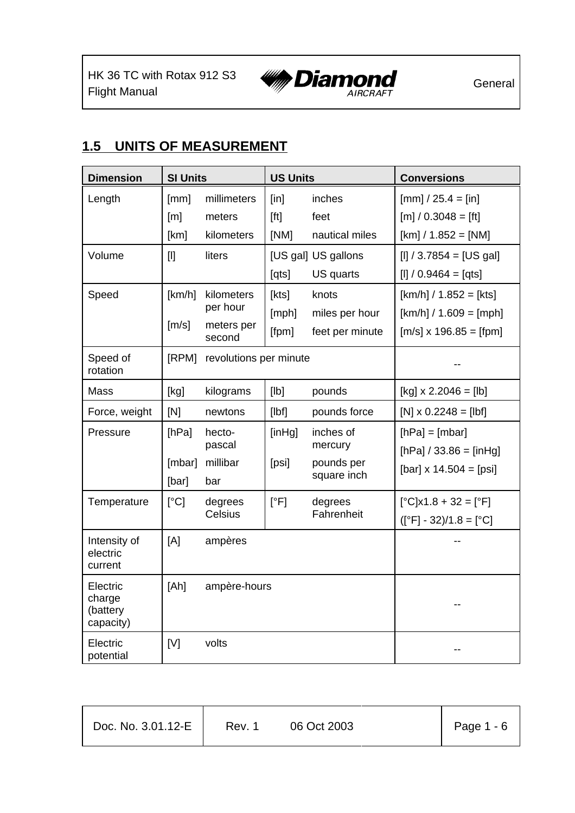

## **1.5 UNITS OF MEASUREMENT**

| <b>Dimension</b>                            | <b>SI Units</b>          |                                                | <b>US Units</b>         |                                                   | <b>Conversions</b>                                                                    |
|---------------------------------------------|--------------------------|------------------------------------------------|-------------------------|---------------------------------------------------|---------------------------------------------------------------------------------------|
| Length                                      | [mm]<br>[m]<br>[km]      | millimeters<br>meters<br>kilometers            | [in]<br>[ft]<br>[NM]    | inches<br>feet<br>nautical miles                  | $[mm] / 25.4 = [in]$<br>$[m] / 0.3048 = [ft]$<br>$[km] / 1.852 = [NM]$                |
| Volume                                      | $[1]$                    | liters                                         | [qts]                   | [US gal] US gallons<br>US quarts                  | $[1] / 3.7854 = [US gal]$<br>$[1] / 0.9464 = [qts]$                                   |
| Speed                                       | [km/h]<br>$\text{[m/s]}$ | kilometers<br>per hour<br>meters per<br>second | [kts]<br>[mph]<br>[fpm] | knots<br>miles per hour<br>feet per minute        | $[km/h] / 1.852 = [kts]$<br>$[km/h] / 1.609 = [mph]$<br>$[m/s] \times 196.85 = [fpm]$ |
| Speed of<br>rotation                        | [RPM]                    | revolutions per minute                         |                         |                                                   |                                                                                       |
| Mass                                        | [kg]                     | kilograms                                      | [Ib]                    | pounds                                            | $[kg] \times 2.2046 = [lb]$                                                           |
| Force, weight                               | [N]                      | newtons                                        | $[I\vert bf]$           | pounds force                                      | $[N] \times 0.2248 = [Ibf]$                                                           |
| Pressure                                    | [hPa]<br>[mbar]<br>[bar] | hecto-<br>pascal<br>millibar<br>bar            | [inHg]<br>[psi]         | inches of<br>mercury<br>pounds per<br>square inch | $[hPa] = [mbar]$<br>$[hPa] / 33.86 = [inHg]$<br>$[bar] \times 14.504 = [psi]$         |
| Temperature                                 | $\lceil$ °C]             | degrees<br><b>Celsius</b>                      | [°F]                    | degrees<br>Fahrenheit                             | $[^{\circ}C] \times 1.8 + 32 = [^{\circ}F]$<br>$([°F] - 32)/1.8 = [°C]$               |
| Intensity of<br>electric<br>current         | [A]                      | ampères                                        |                         |                                                   |                                                                                       |
| Electric<br>charge<br>(battery<br>capacity) | [Ah]                     | ampère-hours                                   |                         |                                                   |                                                                                       |
| Electric<br>potential                       | [V]                      | volts                                          |                         |                                                   |                                                                                       |

| Doc. No. 3.01.12-E | Rev. 1 | 06 Oct 2003 | Page $1 - 6$ |
|--------------------|--------|-------------|--------------|
|                    |        |             |              |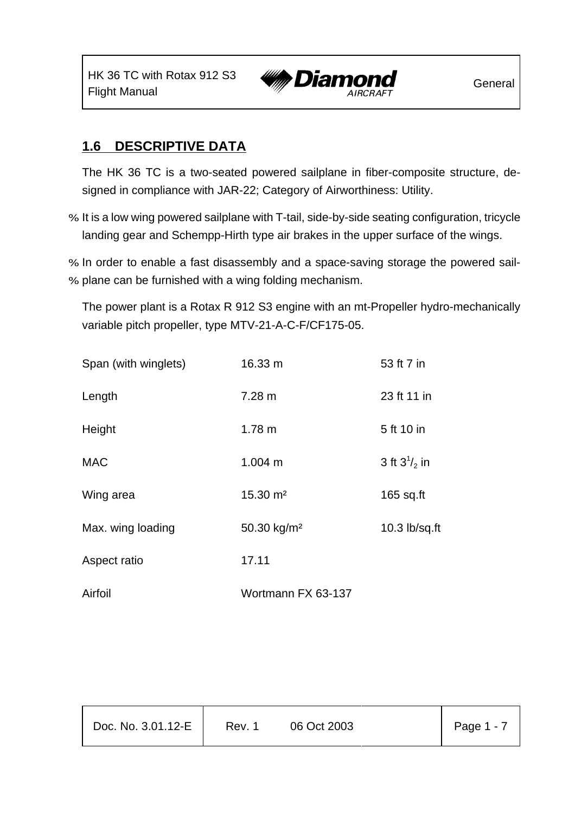HK 36 TC with Rotax 912 S3



## **1.6 DESCRIPTIVE DATA**

The HK 36 TC is a two-seated powered sailplane in fiber-composite structure, designed in compliance with JAR-22; Category of Airworthiness: Utility.

- % It is a low wing powered sailplane with T-tail, side-by-side seating configuration, tricycle landing gear and Schempp-Hirth type air brakes in the upper surface of the wings.
- % In order to enable a fast disassembly and a space-saving storage the powered sail-
- % plane can be furnished with a wing folding mechanism.

The power plant is a Rotax R 912 S3 engine with an mt-Propeller hydro-mechanically variable pitch propeller, type MTV-21-A-C-F/CF175-05.

| Span (with winglets) | 16.33 m                 | 53 ft 7 in        |
|----------------------|-------------------------|-------------------|
| Length               | 7.28 m                  | 23 ft 11 in       |
| Height               | 1.78 <sub>m</sub>       | 5 ft 10 in        |
| <b>MAC</b>           | 1.004 m                 | 3 ft $3^{1/2}$ in |
| Wing area            | 15.30 m <sup>2</sup>    | $165$ sq.ft       |
| Max. wing loading    | 50.30 kg/m <sup>2</sup> | 10.3 lb/sq.ft     |
| Aspect ratio         | 17.11                   |                   |
| Airfoil              | Wortmann FX 63-137      |                   |

| Doc. No. 3.01.12-E | Rev. 1 | 06 Oct 2003 | Page 1 - 7 |
|--------------------|--------|-------------|------------|
|                    |        |             |            |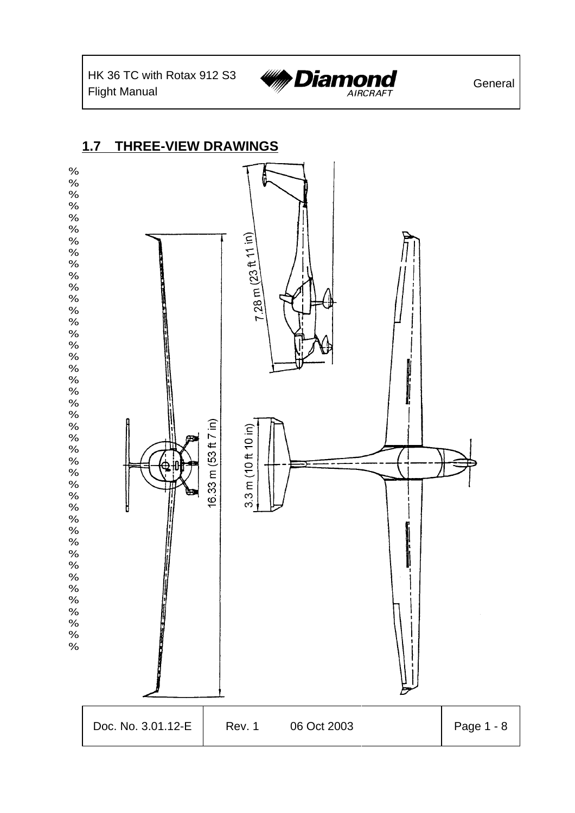HK 36 TC with Rotax 912 S3



## **1.7 THREE-VIEW DRAWINGS**

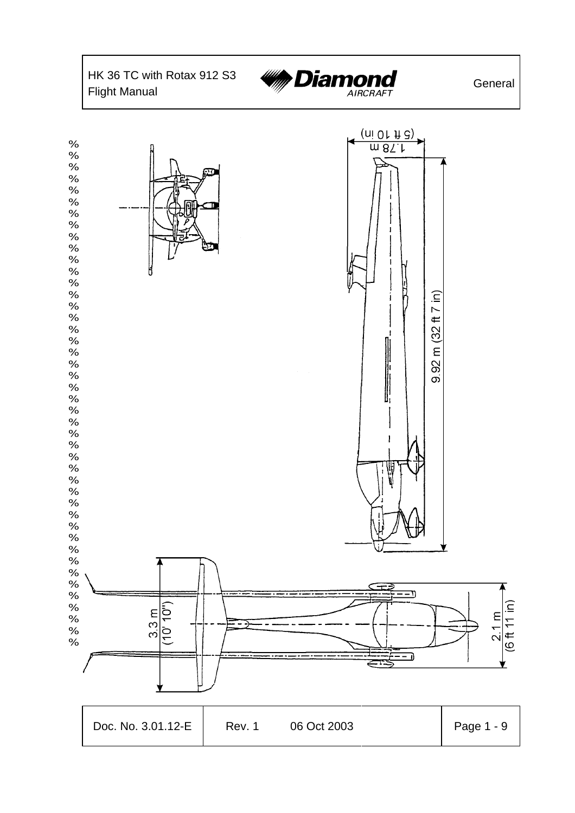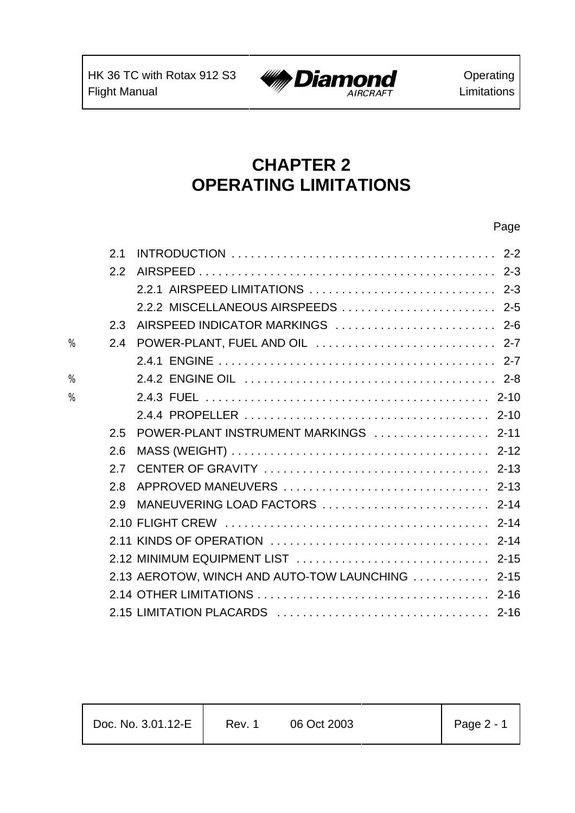$\mathbf{r}$ 



# **CHAPTER 2 OPERATING LIMITATIONS**

|   | 2.1 |                                                  |  |
|---|-----|--------------------------------------------------|--|
|   | 2.2 |                                                  |  |
|   |     | 2.2.1 AIRSPEED LIMITATIONS  2-3                  |  |
|   |     | 2.2.2 MISCELLANEOUS AIRSPEEDS  2-5               |  |
|   | 2.3 |                                                  |  |
| % | 2.4 |                                                  |  |
|   |     |                                                  |  |
| % |     |                                                  |  |
| % |     |                                                  |  |
|   |     |                                                  |  |
|   | 2.5 |                                                  |  |
|   | 2.6 |                                                  |  |
|   | 2.7 |                                                  |  |
|   | 2.8 |                                                  |  |
|   | 29  | MANEUVERING LOAD FACTORS  2-14                   |  |
|   |     |                                                  |  |
|   |     |                                                  |  |
|   |     |                                                  |  |
|   |     | 2.13 AEROTOW, WINCH AND AUTO-TOW LAUNCHING  2-15 |  |
|   |     |                                                  |  |
|   |     |                                                  |  |
|   |     |                                                  |  |

| Doc. No. 3.01.12-E | Rev. 1 | 06 Oct 2003 | Page 2 - 1 |
|--------------------|--------|-------------|------------|
|--------------------|--------|-------------|------------|

т

Т

#### Page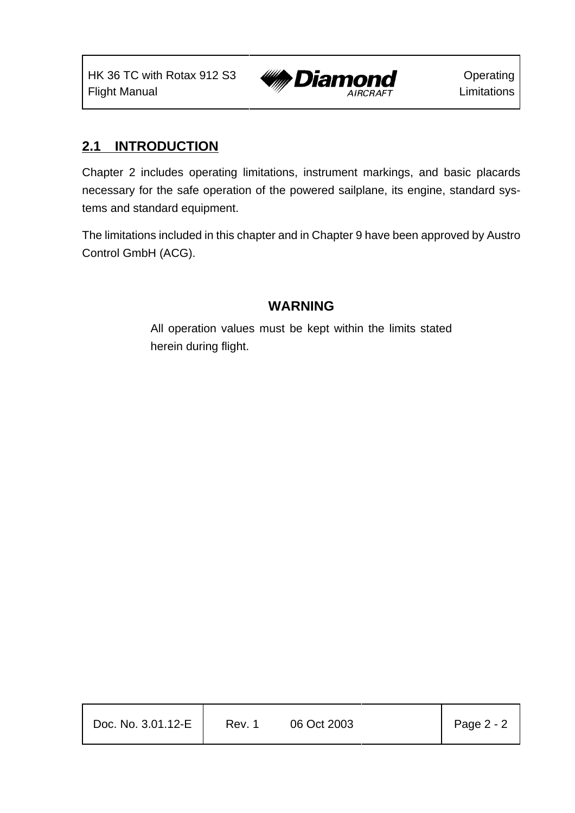

## **2.1 INTRODUCTION**

Chapter 2 includes operating limitations, instrument markings, and basic placards necessary for the safe operation of the powered sailplane, its engine, standard systems and standard equipment.

The limitations included in this chapter and in Chapter 9 have been approved by Austro Control GmbH (ACG).

#### **WARNING**

All operation values must be kept within the limits stated herein during flight.

| Doc. No. 3.01.12-E | Rev. 1 | 06 Oct 2003 | Page 2 - 2 |
|--------------------|--------|-------------|------------|
|                    |        |             |            |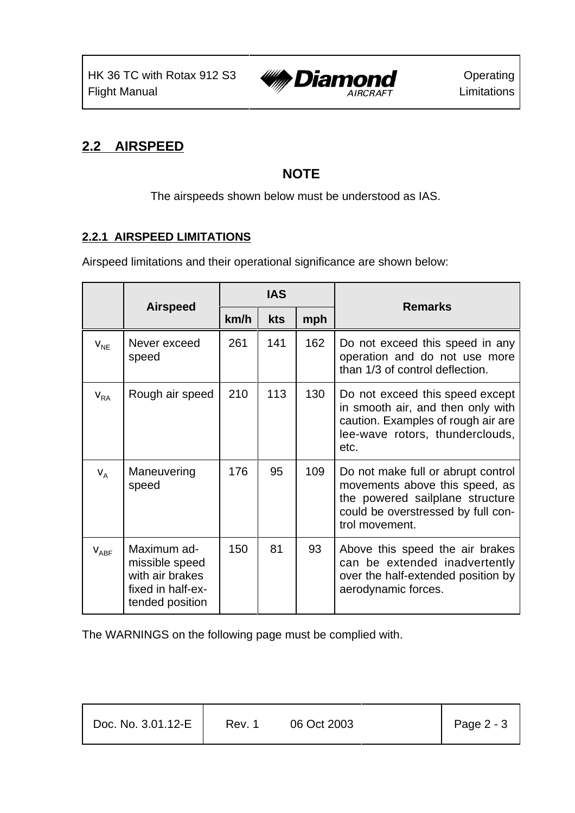

## **2.2 AIRSPEED**

## **NOTE**

The airspeeds shown below must be understood as IAS.

#### **2.2.1 AIRSPEED LIMITATIONS**

Airspeed limitations and their operational significance are shown below:

|           |                                                                                          | <b>IAS</b> |     |     | <b>Remarks</b>                                                                                                                                                  |  |
|-----------|------------------------------------------------------------------------------------------|------------|-----|-----|-----------------------------------------------------------------------------------------------------------------------------------------------------------------|--|
|           | <b>Airspeed</b>                                                                          | km/h       | kts | mph |                                                                                                                                                                 |  |
| $V_{NE}$  | Never exceed<br>speed                                                                    | 261        | 141 | 162 | Do not exceed this speed in any<br>operation and do not use more<br>than 1/3 of control deflection.                                                             |  |
| $V_{RA}$  | Rough air speed                                                                          | 210        | 113 | 130 | Do not exceed this speed except<br>in smooth air, and then only with<br>caution. Examples of rough air are<br>lee-wave rotors, thunderclouds,<br>etc.           |  |
| $V_A$     | Maneuvering<br>speed                                                                     | 176        | 95  | 109 | Do not make full or abrupt control<br>movements above this speed, as<br>the powered sailplane structure<br>could be overstressed by full con-<br>trol movement. |  |
| $V_{ABF}$ | Maximum ad-<br>missible speed<br>with air brakes<br>fixed in half-ex-<br>tended position | 150        | 81  | 93  | Above this speed the air brakes<br>can be extended inadvertently<br>over the half-extended position by<br>aerodynamic forces.                                   |  |

The WARNINGS on the following page must be complied with.

| $Page 2 - 3$<br>Doc. No. 3.01.12-E<br>06 Oct 2003<br>Rev. 1 |
|-------------------------------------------------------------|
|-------------------------------------------------------------|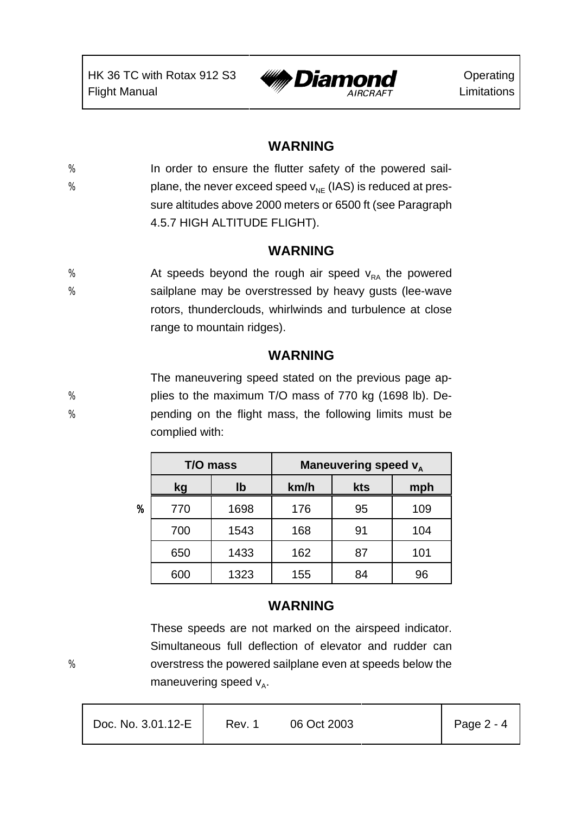

#### **WARNING**

% In order to ensure the flutter safety of the powered sail-% blane, the never exceed speed  $v_{\text{NF}}$  (IAS) is reduced at pressure altitudes above 2000 meters or 6500 ft (see Paragraph 4.5.7 HIGH ALTITUDE FLIGHT).

#### **WARNING**

 $%$  At speeds beyond the rough air speed  $v_{RA}$  the powered % sailplane may be overstressed by heavy gusts (lee-wave rotors, thunderclouds, whirlwinds and turbulence at close range to mountain ridges).

#### **WARNING**

The maneuvering speed stated on the previous page ap- % plies to the maximum T/O mass of 770 kg (1698 lb). De- % pending on the flight mass, the following limits must be complied with:

|                  | T/O mass |      | Maneuvering speed v <sub>A</sub> |     |     |  |
|------------------|----------|------|----------------------------------|-----|-----|--|
|                  | lb<br>kg |      | km/h                             | kts | mph |  |
| $\boldsymbol{v}$ | 770      | 1698 | 176                              | 95  | 109 |  |
|                  | 700      | 1543 | 168                              | 91  | 104 |  |
|                  | 650      | 1433 | 162                              | 87  | 101 |  |
|                  | 600      | 1323 | 155                              | 84  | 96  |  |

## **WARNING**

These speeds are not marked on the airspeed indicator. Simultaneous full deflection of elevator and rudder can % overstress the powered sailplane even at speeds below the maneuvering speed  $v_A$ .

| Doc. No. 3.01.12-E | Page 2 - 4  |
|--------------------|-------------|
| Rev. 1             | 06 Oct 2003 |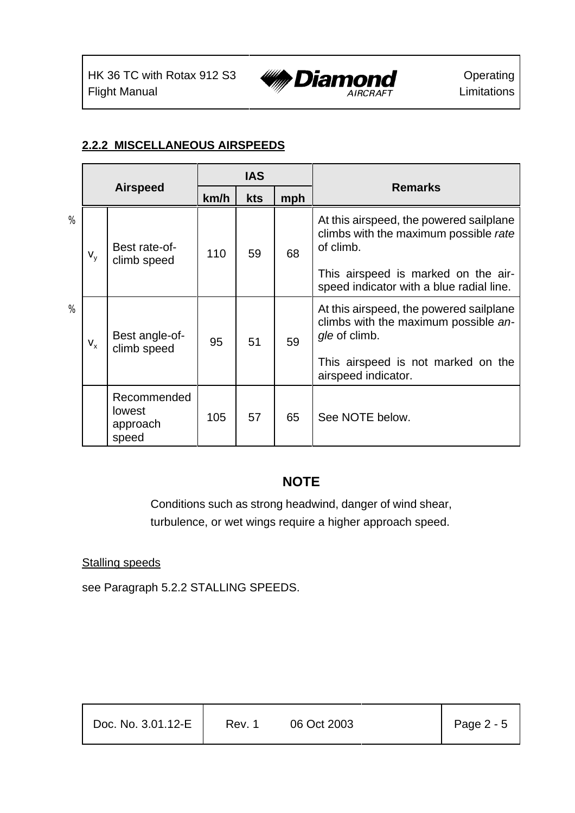

#### **2.2.2 MISCELLANEOUS AIRSPEEDS**

|      |         |                                                   |      | <b>IAS</b> |    |                                                                                                  |
|------|---------|---------------------------------------------------|------|------------|----|--------------------------------------------------------------------------------------------------|
|      |         | <b>Airspeed</b>                                   | km/h | kts<br>mph |    | <b>Remarks</b>                                                                                   |
| %    | $V_{V}$ | Best rate-of-<br>climb speed                      | 110  | 59         | 68 | At this airspeed, the powered sailplane<br>climbs with the maximum possible rate<br>of climb.    |
|      |         |                                                   |      |            |    | This airspeed is marked on the air-<br>speed indicator with a blue radial line.                  |
| $\%$ | $V_{x}$ | Best angle-of-<br>climb speed                     | 95   | 51         | 59 | At this airspeed, the powered sailplane<br>climbs with the maximum possible an-<br>gle of climb. |
|      |         |                                                   |      |            |    | This airspeed is not marked on the<br>airspeed indicator.                                        |
|      |         | Recommended<br><b>lowest</b><br>approach<br>speed | 105  | 57         | 65 | See NOTE below.                                                                                  |

## **NOTE**

Conditions such as strong headwind, danger of wind shear, turbulence, or wet wings require a higher approach speed.

#### **Stalling speeds**

see Paragraph 5.2.2 STALLING SPEEDS.

| Doc. No. 3.01.12-E | Rev. 1 | 06 Oct 2003 | Page $2 - 5$ |
|--------------------|--------|-------------|--------------|
|                    |        |             |              |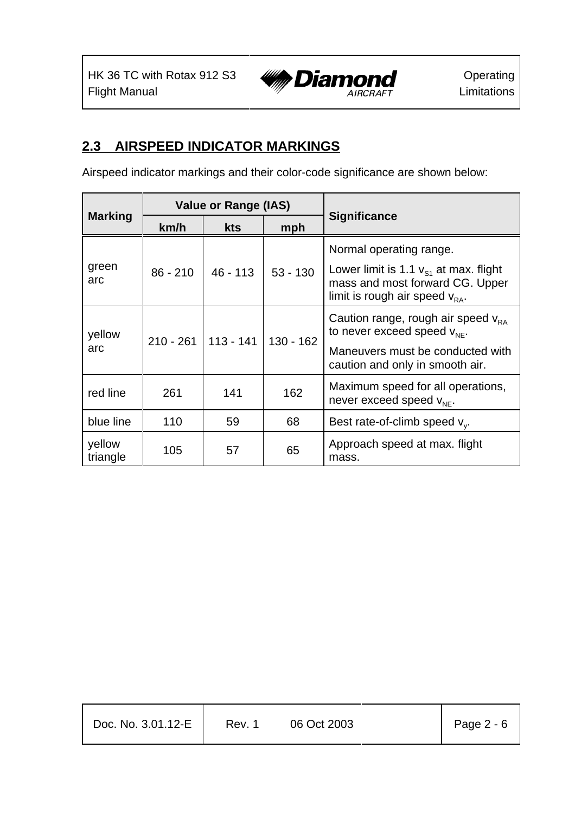

## **2.3 AIRSPEED INDICATOR MARKINGS**

Airspeed indicator markings and their color-code significance are shown below:

|                    |                       | <b>Value or Range (IAS)</b> |             | <b>Significance</b>                                                                                                  |  |
|--------------------|-----------------------|-----------------------------|-------------|----------------------------------------------------------------------------------------------------------------------|--|
| <b>Marking</b>     | km/h                  | <b>kts</b>                  | mph         |                                                                                                                      |  |
|                    |                       |                             | $53 - 130$  | Normal operating range.                                                                                              |  |
| green<br>arc       | $86 - 210$            | $46 - 113$                  |             | Lower limit is 1.1 $v_{s1}$ at max. flight<br>mass and most forward CG. Upper<br>limit is rough air speed $v_{BA}$ . |  |
| yellow             | $210 - 261$ 113 - 141 |                             | $130 - 162$ | Caution range, rough air speed $v_{RA}$<br>to never exceed speed $V_{NF}$ .                                          |  |
| arc                |                       |                             |             | Maneuvers must be conducted with<br>caution and only in smooth air.                                                  |  |
| red line           | 261                   | 141                         | 162         | Maximum speed for all operations,<br>never exceed speed $V_{NE}$ .                                                   |  |
| blue line          | 110                   | 59                          | 68          | Best rate-of-climb speed $v_{v}$ .                                                                                   |  |
| yellow<br>triangle | 105                   | 57                          | 65          | Approach speed at max. flight<br>mass.                                                                               |  |

| Doc. No. 3.01.12-E | Rev. 1 | 06 Oct 2003 | Page $2 - 6$ |
|--------------------|--------|-------------|--------------|
|                    |        |             |              |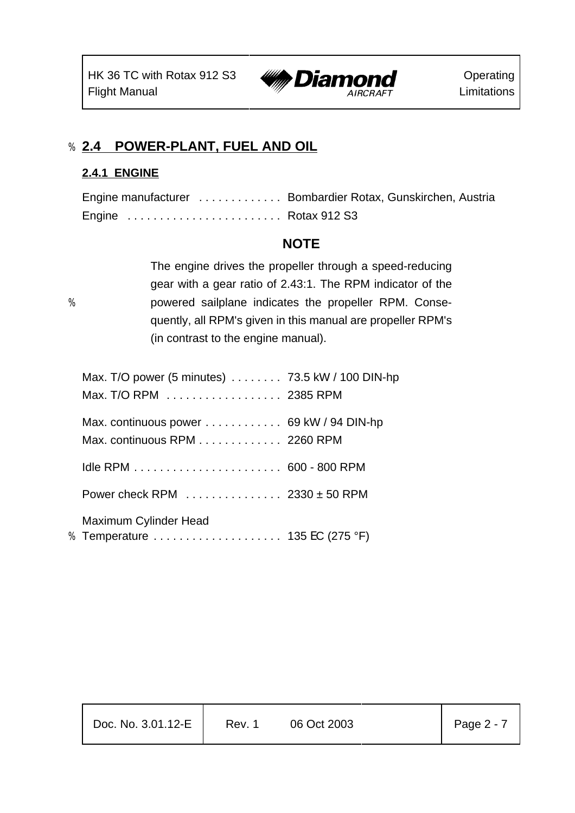

## % **2.4 POWER-PLANT, FUEL AND OIL**

#### **2.4.1 ENGINE**

|                      | Engine manufacturer  Bombardier Rotax, Gunskirchen, Austria |
|----------------------|-------------------------------------------------------------|
| Engine  Rotax 912 S3 |                                                             |

## **NOTE**

The engine drives the propeller through a speed-reducing gear with a gear ratio of 2.43:1. The RPM indicator of the % powered sailplane indicates the propeller RPM. Consequently, all RPM's given in this manual are propeller RPM's (in contrast to the engine manual).

| Max. T/O power (5 minutes)  73.5 kW / 100 DIN-hp       |  |
|--------------------------------------------------------|--|
| Max. T/O RPM 2385 RPM                                  |  |
| Max. continuous power  69 kW / 94 DIN-hp               |  |
| Max. continuous RPM 2260 RPM                           |  |
|                                                        |  |
| Power check RPM $\ldots$ 2330 ± 50 RPM                 |  |
| Maximum Cylinder Head<br>% Temperature 135 EC (275 °F) |  |
|                                                        |  |

| Doc. No. 3.01.12-E | Rev. 1 | 06 Oct 2003 |  | Page 2 - 7 |
|--------------------|--------|-------------|--|------------|
|--------------------|--------|-------------|--|------------|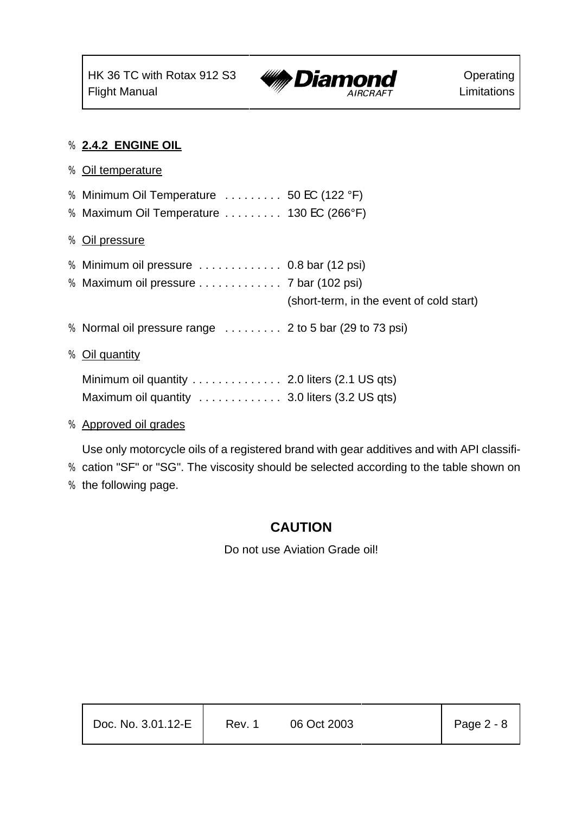

#### % **2.4.2 ENGINE OIL**

- % Oil temperature % Minimum Oil Temperature . . . . . . . . . 50 EC (122 °F) % Maximum Oil Temperature . . . . . . . . . 130 EC (266°F) % Oil pressure % Minimum oil pressure . . . . . . . . . . . . . 0.8 bar (12 psi) % Maximum oil pressure . . . . . . . . . . . . . 7 bar (102 psi) (short-term, in the event of cold start) % Normal oil pressure range . . . . . . . . . 2 to 5 bar (29 to 73 psi) % Oil quantity Minimum oil quantity . . . . . . . . . . . . . . 2.0 liters (2.1 US qts) Maximum oil quantity . . . . . . . . . . . . 3.0 liters (3.2 US qts)
- % Approved oil grades

Use only motorcycle oils of a registered brand with gear additives and with API classifi-

- % cation "SF" or "SG". The viscosity should be selected according to the table shown on
- % the following page.

## **CAUTION**

Do not use Aviation Grade oil!

| Doc. No. 3.01.12-E | Rev. 1 | 06 Oct 2003 | Page 2 - 8 |
|--------------------|--------|-------------|------------|
|                    |        |             |            |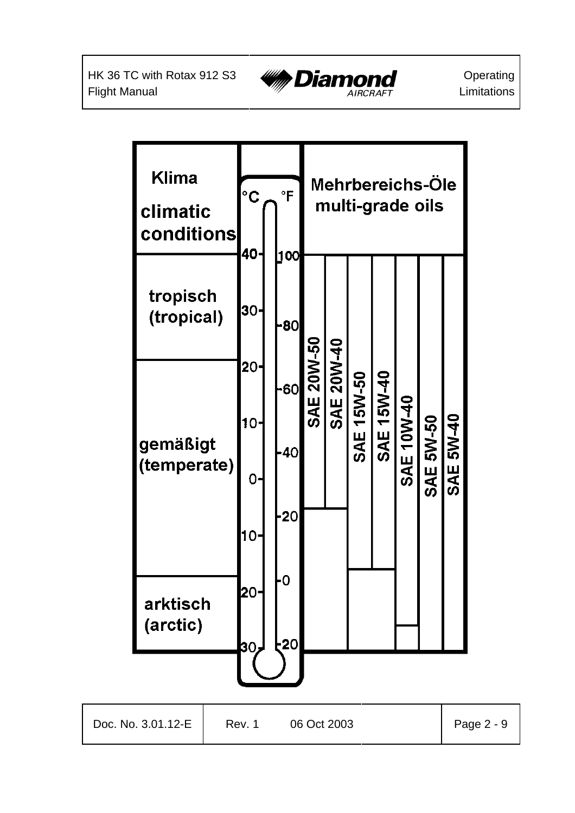

**Operating** Limitations

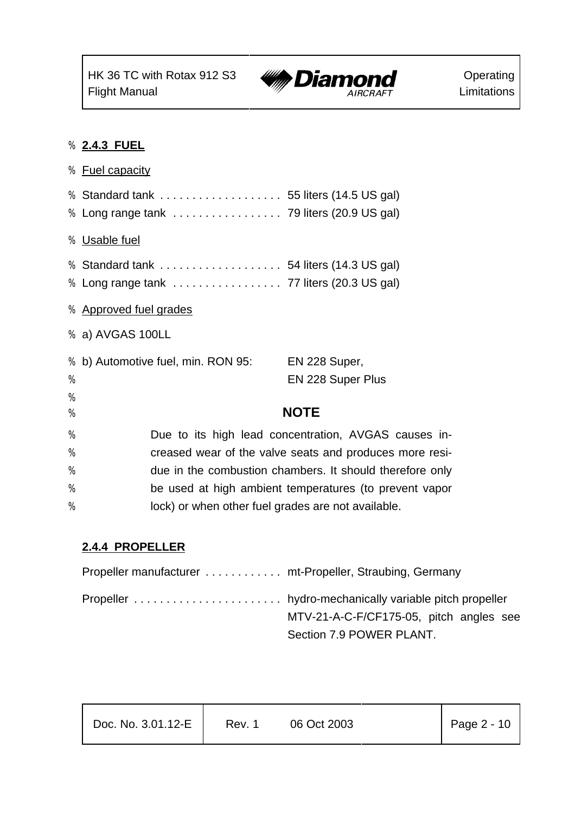

#### % **2.4.3 FUEL**

|      | <b>%</b> Fuel capacity                                   |
|------|----------------------------------------------------------|
|      | % Standard tank  55 liters (14.5 US gal)                 |
|      |                                                          |
|      | % Usable fuel                                            |
|      | % Standard tank  54 liters (14.3 US gal)                 |
|      | % Long range tank  77 liters (20.3 US gal)               |
|      | % Approved fuel grades                                   |
|      | % a) AVGAS 100LL                                         |
| %    | b) Automotive fuel, min. RON 95:<br>EN 228 Super,        |
| $\%$ | EN 228 Super Plus                                        |
| %    |                                                          |
| %    | <b>NOTE</b>                                              |
| %    | Due to its high lead concentration, AVGAS causes in-     |
| %    | creased wear of the valve seats and produces more resi-  |
| %    | due in the combustion chambers. It should therefore only |
| %    | be used at high ambient temperatures (to prevent vapor   |
| %    | lock) or when other fuel grades are not available.       |

## **2.4.4 PROPELLER**

| Propeller manufacturer  mt-Propeller, Straubing, Germany |                                         |
|----------------------------------------------------------|-----------------------------------------|
|                                                          |                                         |
|                                                          | MTV-21-A-C-F/CF175-05, pitch angles see |
|                                                          | Section 7.9 POWER PLANT.                |

| Doc. No. 3.01.12-E | Rev. 1 | 06 Oct 2003 |  | Page $2 - 10$ |
|--------------------|--------|-------------|--|---------------|
|--------------------|--------|-------------|--|---------------|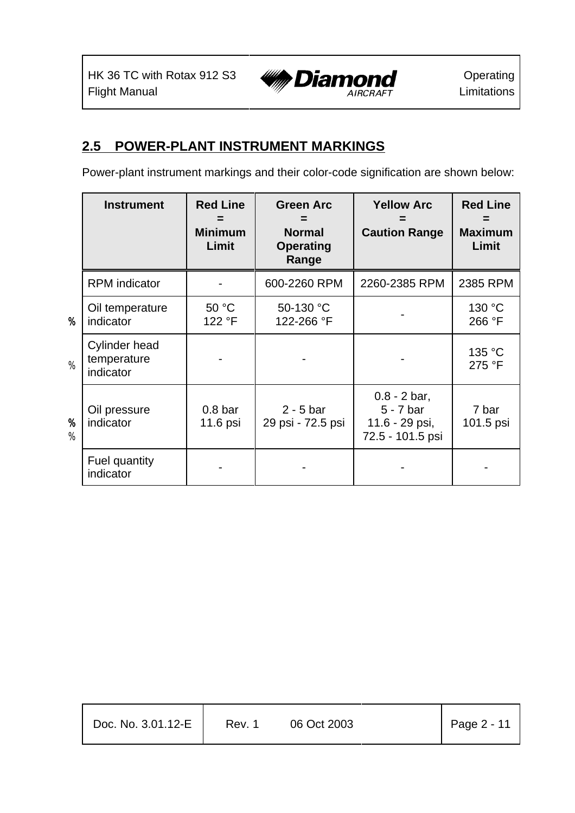

## **2.5 POWER-PLANT INSTRUMENT MARKINGS**

Power-plant instrument markings and their color-code signification are shown below:

|                       | <b>Instrument</b>                                | <b>Red Line</b><br><b>Minimum</b><br>Limit | <b>Green Arc</b><br><b>Normal</b><br><b>Operating</b><br>Range | <b>Yellow Arc</b><br><b>Caution Range</b>                           | <b>Red Line</b><br><b>Maximum</b><br>Limit |
|-----------------------|--------------------------------------------------|--------------------------------------------|----------------------------------------------------------------|---------------------------------------------------------------------|--------------------------------------------|
|                       | <b>RPM</b> indicator                             |                                            | 600-2260 RPM                                                   | 2260-2385 RPM                                                       | 2385 RPM                                   |
| $\boldsymbol{y}$      | Oil temperature<br>indicator                     | 50 °C<br>122 °F                            | 50-130 °C<br>122-266 °F                                        |                                                                     | 130 °C<br>266 °F                           |
| %                     | <b>Cylinder head</b><br>temperature<br>indicator |                                            |                                                                |                                                                     | 135 °C<br>275 °F                           |
| $\boldsymbol{v}$<br>% | Oil pressure<br>indicator                        | 0.8 <sub>bar</sub><br>11.6 psi             | $2 - 5$ bar<br>29 psi - 72.5 psi                               | $0.8 - 2$ bar,<br>$5 - 7$ bar<br>11.6 - 29 psi,<br>72.5 - 101.5 psi | 7 bar<br>101.5 psi                         |
|                       | Fuel quantity<br>indicator                       |                                            |                                                                |                                                                     |                                            |

| Doc. No. 3.01.12-E | Rev. 1 | 06 Oct 2003 | $\vert$ Page 2 - 11 |
|--------------------|--------|-------------|---------------------|
|                    |        |             |                     |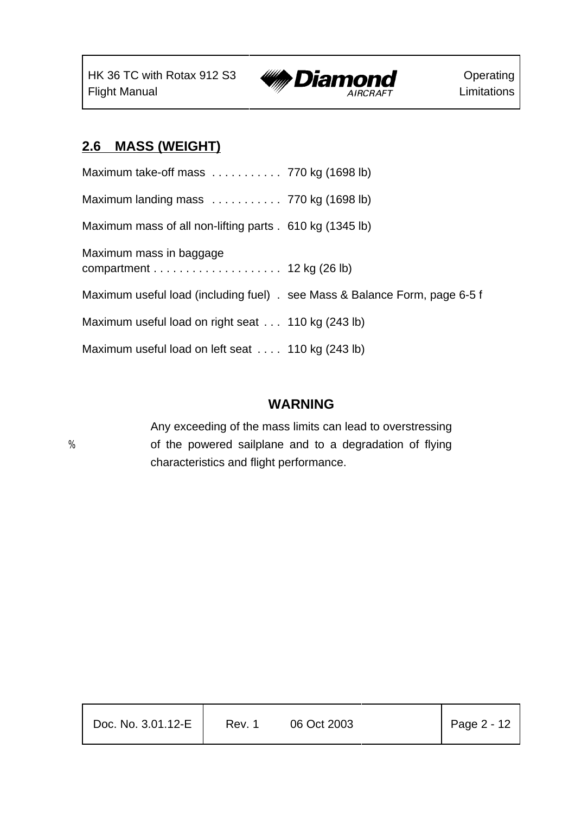

## **2.6 MASS (WEIGHT)**

| Maximum take-off mass $\ldots \ldots \ldots$ 770 kg (1698 lb)              |  |
|----------------------------------------------------------------------------|--|
| Maximum landing mass  770 kg (1698 lb)                                     |  |
| Maximum mass of all non-lifting parts . 610 kg (1345 lb)                   |  |
| Maximum mass in baggage                                                    |  |
| Maximum useful load (including fuel) . see Mass & Balance Form, page 6-5 f |  |
| Maximum useful load on right seat  110 kg (243 lb)                         |  |
| Maximum useful load on left seat  110 kg (243 lb)                          |  |

#### **WARNING**

Any exceeding of the mass limits can lead to overstressing % of the powered sailplane and to a degradation of flying characteristics and flight performance.

| Doc. No. 3.01.12-E | Rev. 1 | 06 Oct 2003 | $\vert$ Page 2 - 12 |
|--------------------|--------|-------------|---------------------|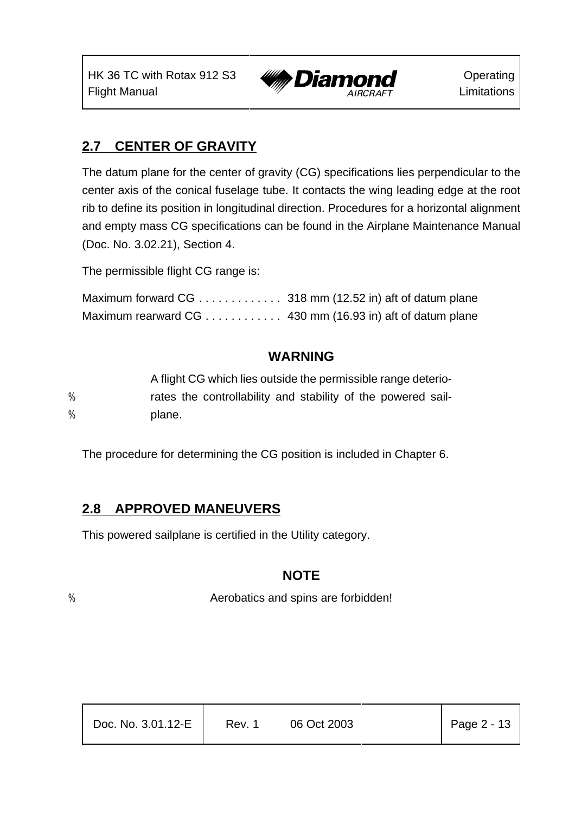

## **2.7 CENTER OF GRAVITY**

The datum plane for the center of gravity (CG) specifications lies perpendicular to the center axis of the conical fuselage tube. It contacts the wing leading edge at the root rib to define its position in longitudinal direction. Procedures for a horizontal alignment and empty mass CG specifications can be found in the Airplane Maintenance Manual (Doc. No. 3.02.21), Section 4.

The permissible flight CG range is:

| Maximum forward CG 318 mm (12.52 in) aft of datum plane  |  |
|----------------------------------------------------------|--|
| Maximum rearward CG 430 mm (16.93 in) aft of datum plane |  |

## **WARNING**

|   | A flight CG which lies outside the permissible range deterio- |
|---|---------------------------------------------------------------|
| % | rates the controllability and stability of the powered sail-  |
| % | plane.                                                        |

The procedure for determining the CG position is included in Chapter 6.

## **2.8 APPROVED MANEUVERS**

This powered sailplane is certified in the Utility category.

## **NOTE**

% Aerobatics and spins are forbidden!

| Doc. No. 3.01.12-E | Rev. 1 | 06 Oct 2003 | Page $2 - 13$ |
|--------------------|--------|-------------|---------------|
|                    |        |             |               |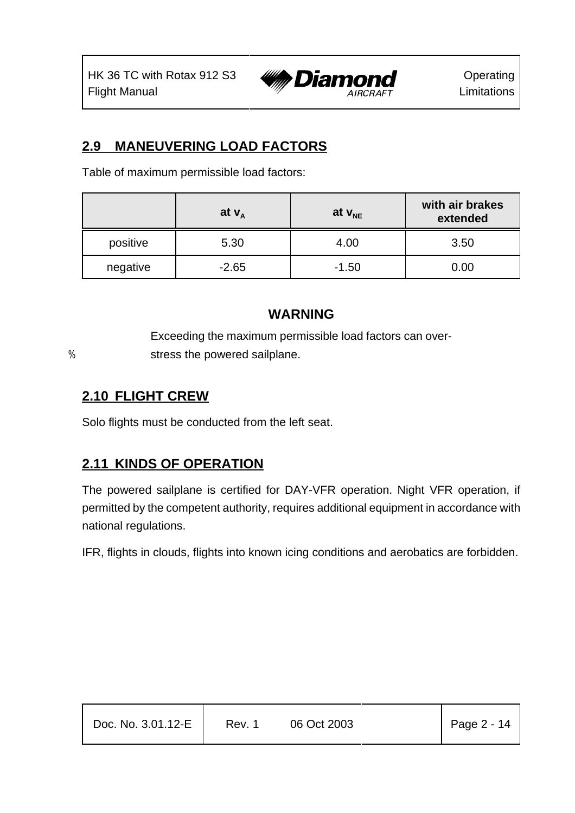

## **2.9 MANEUVERING LOAD FACTORS**

Table of maximum permissible load factors:

|          | at $V_A$ | at $v_{NE}$ | with air brakes<br>extended |
|----------|----------|-------------|-----------------------------|
| positive | 5.30     | 4.00        | 3.50                        |
| negative | $-2.65$  | $-1.50$     | 0.00                        |

#### **WARNING**

Exceeding the maximum permissible load factors can over- % stress the powered sailplane.

## **2.10 FLIGHT CREW**

Solo flights must be conducted from the left seat.

## **2.11 KINDS OF OPERATION**

The powered sailplane is certified for DAY-VFR operation. Night VFR operation, if permitted by the competent authority, requires additional equipment in accordance with national regulations.

IFR, flights in clouds, flights into known icing conditions and aerobatics are forbidden.

| Doc. No. 3.01.12-E | Rev. 1 | 06 Oct 2003 | Page $2 - 14$ |
|--------------------|--------|-------------|---------------|
|                    |        |             |               |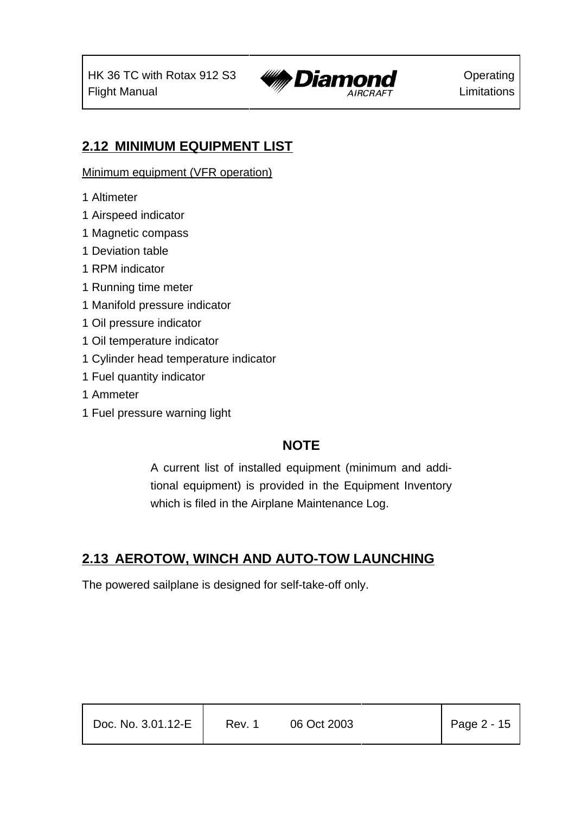

## **2.12 MINIMUM EQUIPMENT LIST**

Minimum equipment (VFR operation)

- 1 Altimeter
- 1 Airspeed indicator
- 1 Magnetic compass
- 1 Deviation table
- 1 RPM indicator
- 1 Running time meter
- 1 Manifold pressure indicator
- 1 Oil pressure indicator
- 1 Oil temperature indicator
- 1 Cylinder head temperature indicator
- 1 Fuel quantity indicator
- 1 Ammeter
- 1 Fuel pressure warning light

## **NOTE**

A current list of installed equipment (minimum and additional equipment) is provided in the Equipment Inventory which is filed in the Airplane Maintenance Log.

## **2.13 AEROTOW, WINCH AND AUTO-TOW LAUNCHING**

The powered sailplane is designed for self-take-off only.

| $\vert$ Page 2 - 15<br>Doc. No. 3.01.12-E<br>06 Oct 2003<br>Rev. 1 |
|--------------------------------------------------------------------|
|--------------------------------------------------------------------|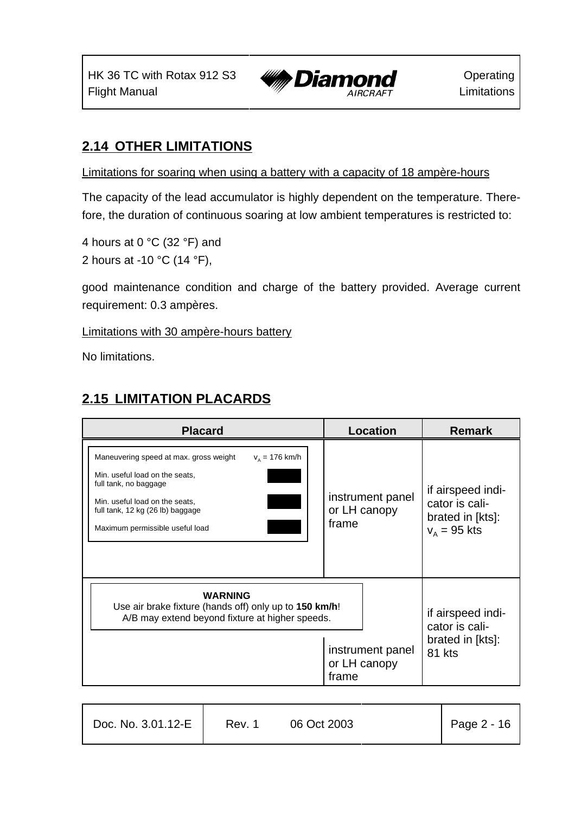

## **2.14 OTHER LIMITATIONS**

Limitations for soaring when using a battery with a capacity of 18 ampère-hours

The capacity of the lead accumulator is highly dependent on the temperature. Therefore, the duration of continuous soaring at low ambient temperatures is restricted to:

4 hours at 0 °C (32 °F) and 2 hours at -10 °C (14 °F),

good maintenance condition and charge of the battery provided. Average current requirement: 0.3 ampères.

Limitations with 30 ampère-hours battery

No limitations.

## **2.15 LIMITATION PLACARDS**

Τ

| <b>Placard</b>                                                                                                                                                                                                                 | Location                                  | <b>Remark</b>                                                             |
|--------------------------------------------------------------------------------------------------------------------------------------------------------------------------------------------------------------------------------|-------------------------------------------|---------------------------------------------------------------------------|
| Maneuvering speed at max. gross weight<br>$v_a = 176$ km/h<br>Min. useful load on the seats,<br>full tank, no baggage<br>Min. useful load on the seats.<br>full tank, 12 kg (26 lb) baggage<br>Maximum permissible useful load | instrument panel<br>or LH canopy<br>frame | if airspeed indi-<br>cator is cali-<br>brated in [kts]:<br>$V_A = 95$ kts |
| <b>WARNING</b><br>Use air brake fixture (hands off) only up to 150 km/h!<br>A/B may extend beyond fixture at higher speeds.                                                                                                    | instrument panel<br>or LH canopy<br>frame | if airspeed indi-<br>cator is cali-<br>brated in [kts]:<br>81 kts         |

| Doc. No. 3.01.12-E | Rev. 1 | 06 Oct 2003 | Page 2 - 16 |
|--------------------|--------|-------------|-------------|
|                    |        |             |             |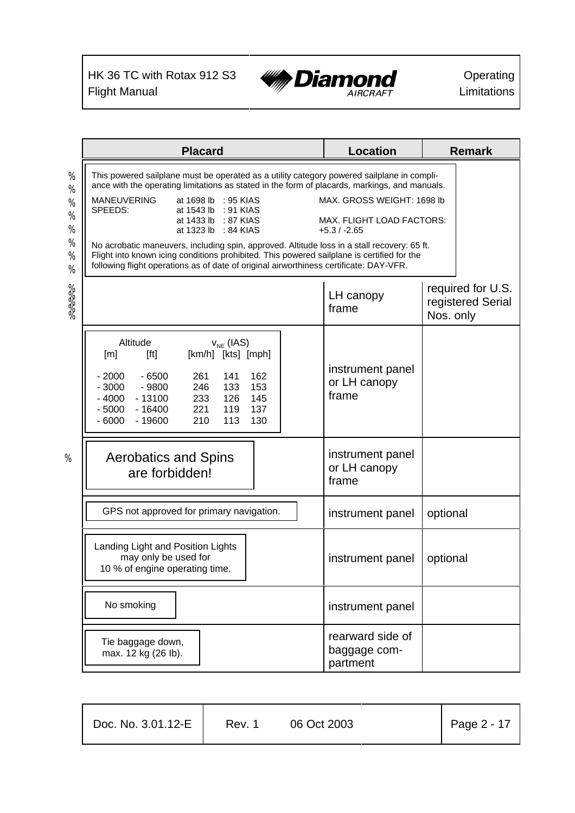

|              | <b>Placard</b>                                                                                                                                                                                                                                                                            | <b>Location</b>                              | <b>Remark</b>                                       |
|--------------|-------------------------------------------------------------------------------------------------------------------------------------------------------------------------------------------------------------------------------------------------------------------------------------------|----------------------------------------------|-----------------------------------------------------|
| $\%$<br>$\%$ | This powered sailplane must be operated as a utility category powered sailplane in compli-<br>ance with the operating limitations as stated in the form of placards, markings, and manuals.                                                                                               |                                              |                                                     |
| %<br>$\%$    | <b>MANEUVERING</b><br>at 1698 lb : 95 KIAS<br>SPEEDS:<br>at 1543 lb<br>$: 91$ KIAS                                                                                                                                                                                                        | MAX, GROSS WEIGHT: 1698 lb                   |                                                     |
| $\%$<br>$\%$ | at 1433 lb<br>: 87 KIAS<br>at 1323 lb<br>$:84$ KIAS                                                                                                                                                                                                                                       | MAX. FLIGHT LOAD FACTORS:<br>$+5.3/ -2.65$   |                                                     |
| %<br>%       | No acrobatic maneuvers, including spin, approved. Altitude loss in a stall recovery: 65 ft.<br>Flight into known icing conditions prohibited. This powered sailplane is certified for the<br>following flight operations as of date of original airworthiness certificate: DAY-VFR.       |                                              |                                                     |
| 38888        |                                                                                                                                                                                                                                                                                           | LH canopy<br>frame                           | required for U.S.<br>registered Serial<br>Nos. only |
|              | Altitude<br>$V_{NE}$ (IAS)<br>[km/h] [kts] [mph]<br>[m]<br>[ft]<br>$-2000$<br>$-6500$<br>261<br>141<br>162<br>$-3000$<br>$-9800$<br>246<br>133<br>153<br>$-4000$<br>$-13100$<br>126<br>145<br>233<br>$-5000$<br>119<br>$-16400$<br>221<br>137<br>$-6000$<br>210<br>113<br>130<br>$-19600$ | instrument panel<br>or LH canopy<br>frame    |                                                     |
| %            | <b>Aerobatics and Spins</b><br>are forbidden!                                                                                                                                                                                                                                             | instrument panel<br>or LH canopy<br>frame    |                                                     |
|              | GPS not approved for primary navigation.                                                                                                                                                                                                                                                  | instrument panel                             | optional                                            |
|              | Landing Light and Position Lights<br>may only be used for<br>10 % of engine operating time.                                                                                                                                                                                               | instrument panel                             | optional                                            |
|              | No smoking                                                                                                                                                                                                                                                                                | instrument panel                             |                                                     |
|              | Tie baggage down,<br>max. 12 kg (26 lb).                                                                                                                                                                                                                                                  | rearward side of<br>baggage com-<br>partment |                                                     |

| Doc. No. 3.01.12-E | Rev. 1 | 06 Oct 2003 | Page $2 - 17$ |
|--------------------|--------|-------------|---------------|
|                    |        |             |               |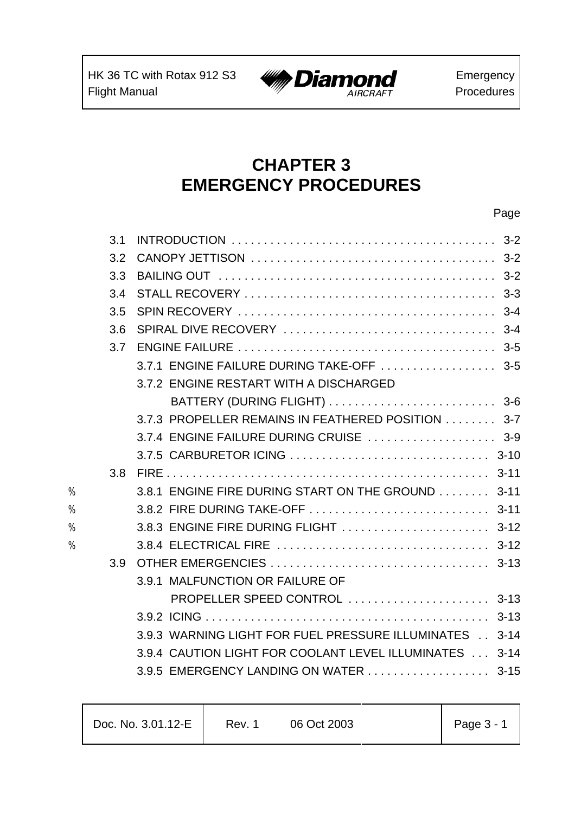

## **CHAPTER 3 EMERGENCY PROCEDURES**

|   | 3.1              |                                                         |  |
|---|------------------|---------------------------------------------------------|--|
|   | 3.2              |                                                         |  |
|   | 3.3              |                                                         |  |
|   | 3.4              |                                                         |  |
|   | 3.5              |                                                         |  |
|   | 3.6              |                                                         |  |
|   | 3.7              |                                                         |  |
|   |                  | 3.7.1 ENGINE FAILURE DURING TAKE-OFF  3-5               |  |
|   |                  | 3.7.2 ENGINE RESTART WITH A DISCHARGED                  |  |
|   |                  |                                                         |  |
|   |                  | 3.7.3 PROPELLER REMAINS IN FEATHERED POSITION 3-7       |  |
|   |                  | 3.7.4 ENGINE FAILURE DURING CRUISE  3-9                 |  |
|   |                  |                                                         |  |
|   | 3.8              |                                                         |  |
| % |                  | 3.8.1 ENGINE FIRE DURING START ON THE GROUND 3-11       |  |
| % |                  |                                                         |  |
| % |                  |                                                         |  |
| % |                  |                                                         |  |
|   | 3.9 <sup>°</sup> |                                                         |  |
|   |                  | 3.9.1 MALFUNCTION OR FAILURE OF                         |  |
|   |                  | PROPELLER SPEED CONTROL  3-13                           |  |
|   |                  |                                                         |  |
|   |                  | 3.9.3 WARNING LIGHT FOR FUEL PRESSURE ILLUMINATES 3-14  |  |
|   |                  | 3.9.4 CAUTION LIGHT FOR COOLANT LEVEL ILLUMINATES  3-14 |  |
|   |                  | 3.9.5 EMERGENCY LANDING ON WATER 3-15                   |  |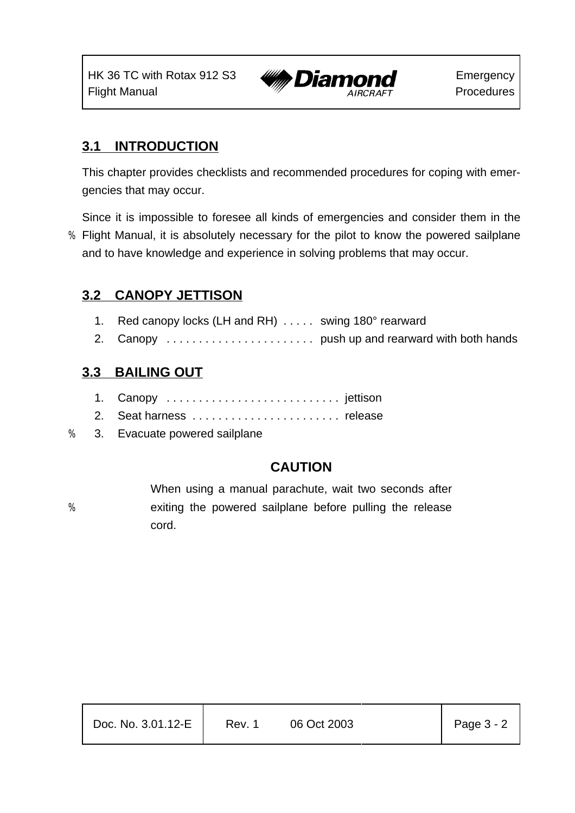

## **3.1 INTRODUCTION**

This chapter provides checklists and recommended procedures for coping with emergencies that may occur.

Since it is impossible to foresee all kinds of emergencies and consider them in the

% Flight Manual, it is absolutely necessary for the pilot to know the powered sailplane and to have knowledge and experience in solving problems that may occur.

## **3.2 CANOPY JETTISON**

- 1. Red canopy locks (LH and RH) . . . . . swing 180° rearward
- 2. Canopy . . . . . . . . . . . . . . . . . . . . . . . push up and rearward with both hands

## **3.3 BAILING OUT**

- 1. Canopy . . . . . . . . . . . . . . . . . . . . . . . . . . . jettison
- 2. Seat harness . . . . . . . . . . . . . . . . . . . . . . . release
- % 3. Evacuate powered sailplane

## **CAUTION**

When using a manual parachute, wait two seconds after % exiting the powered sailplane before pulling the release cord.

| Doc. No. 3.01.12-E | Rev. 1 | 06 Oct 2003 | Page 3 - 2 |
|--------------------|--------|-------------|------------|
|                    |        |             |            |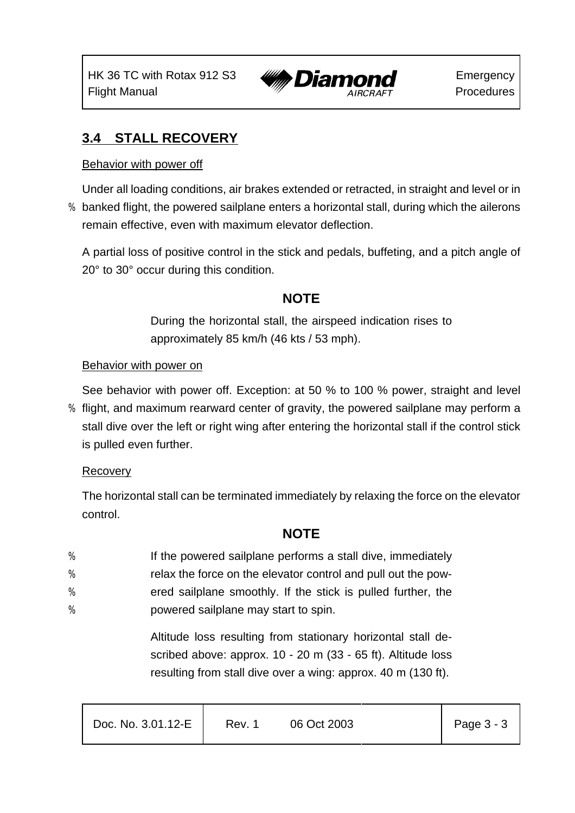

## **3.4 STALL RECOVERY**

#### Behavior with power off

Under all loading conditions, air brakes extended or retracted, in straight and level or in % banked flight, the powered sailplane enters a horizontal stall, during which the ailerons remain effective, even with maximum elevator deflection.

A partial loss of positive control in the stick and pedals, buffeting, and a pitch angle of 20° to 30° occur during this condition.

## **NOTE**

During the horizontal stall, the airspeed indication rises to approximately 85 km/h (46 kts / 53 mph).

#### Behavior with power on

See behavior with power off. Exception: at 50 % to 100 % power, straight and level

% flight, and maximum rearward center of gravity, the powered sailplane may perform a stall dive over the left or right wing after entering the horizontal stall if the control stick is pulled even further.

#### **Recovery**

The horizontal stall can be terminated immediately by relaxing the force on the elevator control.

## **NOTE**

- % If the powered sailplane performs a stall dive, immediately
- % relax the force on the elevator control and pull out the pow-
- % ered sailplane smoothly. If the stick is pulled further, the
- % powered sailplane may start to spin.

Altitude loss resulting from stationary horizontal stall described above: approx. 10 - 20 m (33 - 65 ft). Altitude loss resulting from stall dive over a wing: approx. 40 m (130 ft).

| Doc. No. 3.01.12-E | Rev. 1 | 06 Oct 2003 |  | Page $3 - 3$ |
|--------------------|--------|-------------|--|--------------|
|--------------------|--------|-------------|--|--------------|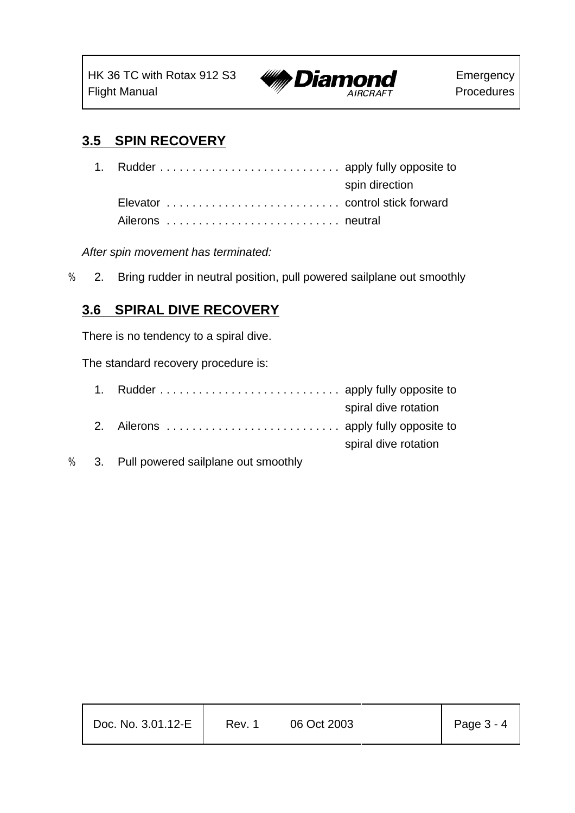

# **3.5 SPIN RECOVERY**

| 1. Rudder  apply fully opposite to |                |
|------------------------------------|----------------|
|                                    | spin direction |
|                                    |                |
|                                    |                |

*After spin movement has terminated:*

% 2. Bring rudder in neutral position, pull powered sailplane out smoothly

#### **3.6 SPIRAL DIVE RECOVERY**

There is no tendency to a spiral dive.

The standard recovery procedure is:

| spiral dive rotation |
|----------------------|
|                      |
| spiral dive rotation |
|                      |

% 3. Pull powered sailplane out smoothly

| Doc. No. 3.01.12-E | Rev. 1 | 06 Oct 2003 | Page 3 - 4 |
|--------------------|--------|-------------|------------|
|                    |        |             |            |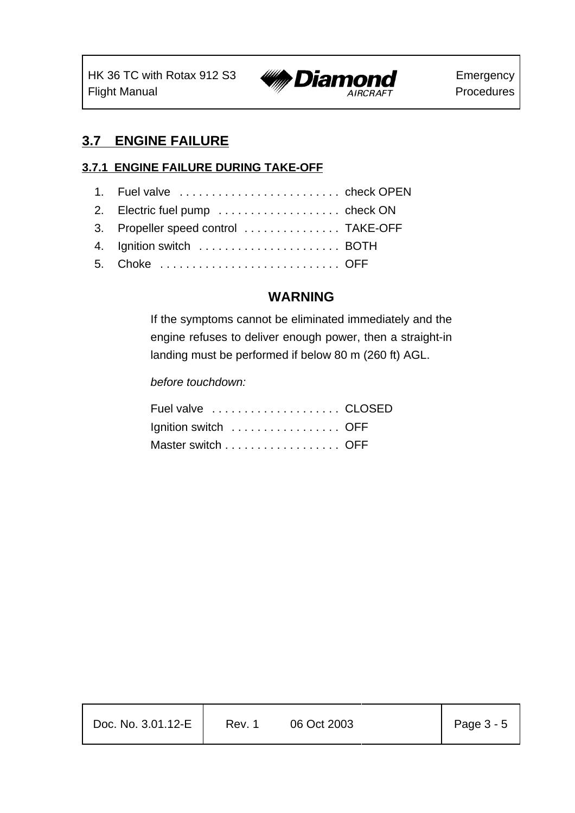

# **3.7 ENGINE FAILURE**

#### **3.7.1 ENGINE FAILURE DURING TAKE-OFF**

| 1. Fuel valve  check OPEN            |
|--------------------------------------|
| 2. Electric fuel pump  check ON      |
| 3. Propeller speed control  TAKE-OFF |
|                                      |
| 5. Choke  OFF                        |

#### **WARNING**

If the symptoms cannot be eliminated immediately and the engine refuses to deliver enough power, then a straight-in landing must be performed if below 80 m (260 ft) AGL.

*before touchdown:*

| Ignition switch  OFF |  |
|----------------------|--|
| Master switch OFF    |  |

| Page $3 - 5$<br>Doc. No. 3.01.12-E<br>06 Oct 2003<br>Rev. 1 |  |
|-------------------------------------------------------------|--|
|-------------------------------------------------------------|--|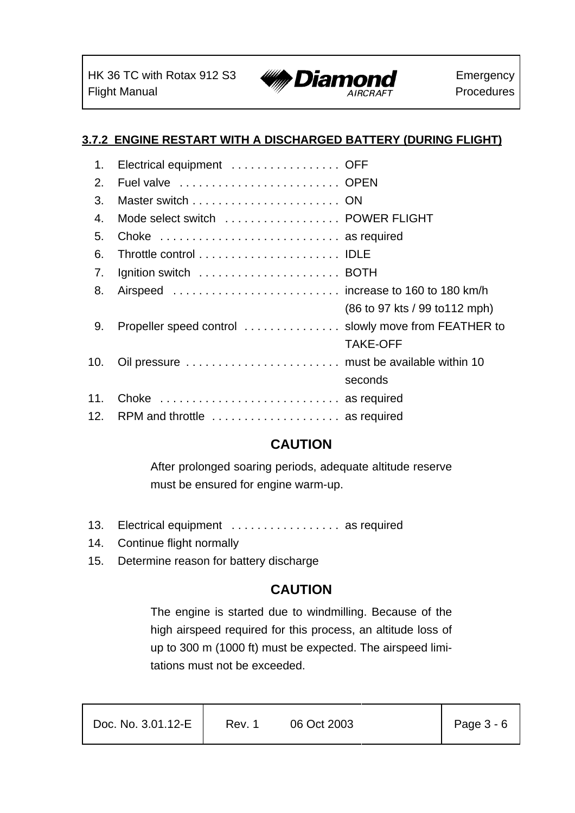

### **3.7.2 ENGINE RESTART WITH A DISCHARGED BATTERY (DURING FLIGHT)**

| 1.  | Electrical equipment  OFF         |                                |
|-----|-----------------------------------|--------------------------------|
| 2.  |                                   |                                |
| 3.  |                                   |                                |
| 4.  | Mode select switch  POWER FLIGHT  |                                |
| 5.  | Choke  as required                |                                |
| 6.  |                                   |                                |
| 7.  |                                   |                                |
| 8.  |                                   |                                |
|     |                                   | (86 to 97 kts / 99 to 112 mph) |
| 9.  |                                   |                                |
|     |                                   | <b>TAKE-OFF</b>                |
| 10. |                                   |                                |
|     |                                   | seconds                        |
| 11. | Choke  as required                |                                |
|     | 12. RPM and throttle  as required |                                |

# **CAUTION**

After prolonged soaring periods, adequate altitude reserve must be ensured for engine warm-up.

- 13. Electrical equipment . . . . . . . . . . . . . . . . . as required
- 14. Continue flight normally
- 15. Determine reason for battery discharge

### **CAUTION**

The engine is started due to windmilling. Because of the high airspeed required for this process, an altitude loss of up to 300 m (1000 ft) must be expected. The airspeed limitations must not be exceeded.

| Doc. No. 3.01.12-E | Rev. 1 | 06 Oct 2003 | Page 3 - 6 |
|--------------------|--------|-------------|------------|
|                    |        |             |            |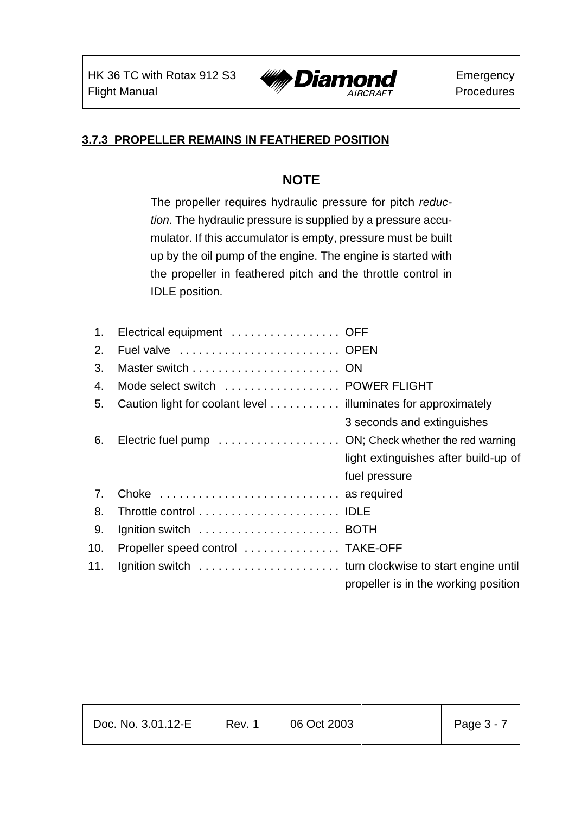

### **3.7.3 PROPELLER REMAINS IN FEATHERED POSITION**

### **NOTE**

The propeller requires hydraulic pressure for pitch *reduction*. The hydraulic pressure is supplied by a pressure accumulator. If this accumulator is empty, pressure must be built up by the oil pump of the engine. The engine is started with the propeller in feathered pitch and the throttle control in IDLE position.

| 1.  | Electrical equipment  OFF                                     |                                      |
|-----|---------------------------------------------------------------|--------------------------------------|
| 2.  | Fuel valve  OPEN                                              |                                      |
| 3.  |                                                               |                                      |
| 4.  | Mode select switch  POWER FLIGHT                              |                                      |
| 5.  | Caution light for coolant level illuminates for approximately |                                      |
|     |                                                               | 3 seconds and extinguishes           |
| 6.  | Electric fuel pump ON; Check whether the red warning          |                                      |
|     |                                                               | light extinguishes after build-up of |
|     |                                                               | fuel pressure                        |
| 7.  | Choke  as required                                            |                                      |
| 8.  |                                                               |                                      |
| 9.  | Ignition switch  BOTH                                         |                                      |
| 10. | Propeller speed control  TAKE-OFF                             |                                      |
| 11. |                                                               |                                      |
|     |                                                               | propeller is in the working position |

| Doc. No. 3.01.12-E | Rev. 1 | 06 Oct 2003 | Page 3 - 7 |
|--------------------|--------|-------------|------------|
|--------------------|--------|-------------|------------|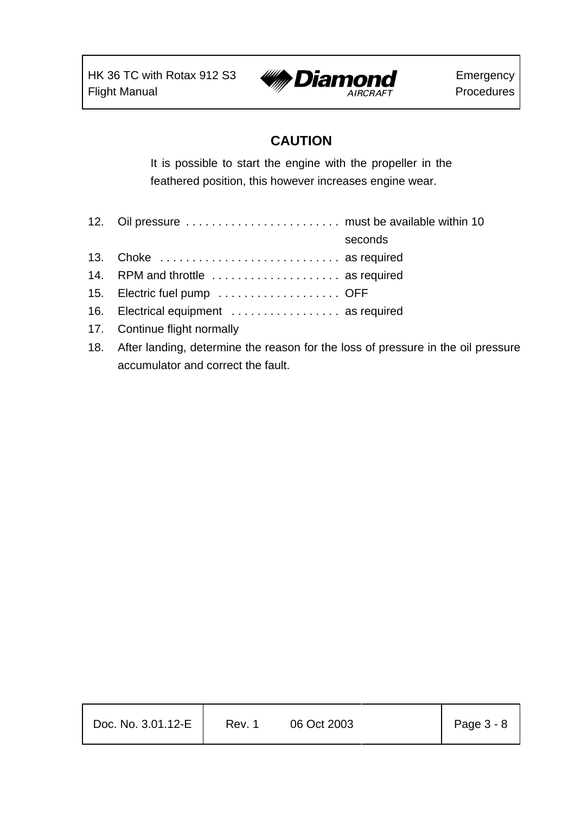

# **CAUTION**

It is possible to start the engine with the propeller in the feathered position, this however increases engine wear.

| 12. Oil pressure  must be available within 10                                        |         |
|--------------------------------------------------------------------------------------|---------|
|                                                                                      | seconds |
| 13. Choke  as required                                                               |         |
| 14. RPM and throttle  as required                                                    |         |
| 15. Electric fuel pump  OFF                                                          |         |
| 16. Electrical equipment  as required                                                |         |
| 17. Continue flight normally                                                         |         |
| 18. After landing, determine the reason for the loss of pressure in the oil pressure |         |

accumulator and correct the fault.

| Page $3 - 8$<br>Doc. No. 3.01.12-E<br>06 Oct 2003<br>Rev. 1 |  |
|-------------------------------------------------------------|--|
|-------------------------------------------------------------|--|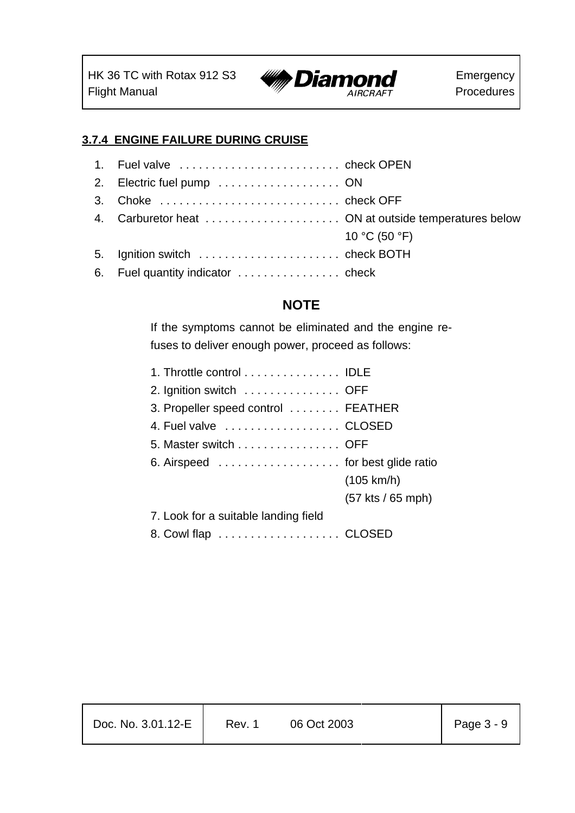

Emergency Procedures

#### **3.7.4 ENGINE FAILURE DURING CRUISE**

| 3. Choke  check OFF                                  |                           |
|------------------------------------------------------|---------------------------|
| 4. Carburetor heat  ON at outside temperatures below |                           |
|                                                      | 10 °C (50 °F)             |
| 5. Ignition switch  check BOTH                       |                           |
|                                                      |                           |
|                                                      | 1. Fuel valve  check OPEN |

### **NOTE**

If the symptoms cannot be eliminated and the engine refuses to deliver enough power, proceed as follows:

| 1. Throttle control IDLE             |                     |
|--------------------------------------|---------------------|
| 2. Ignition switch OFF               |                     |
| 3. Propeller speed control  FEATHER  |                     |
| 4. Fuel valve CLOSED                 |                     |
| 5. Master switch OFF                 |                     |
| 6. Airspeed  for best glide ratio    |                     |
|                                      | (105 km/h)          |
|                                      | $(57$ kts / 65 mph) |
| 7. Look for a suitable landing field |                     |
| 8. Cowl flap CLOSED                  |                     |

| Doc. No. 3.01.12-E | Rev. 1 | 06 Oct 2003 | Page $3 - 9$ |
|--------------------|--------|-------------|--------------|
|                    |        |             |              |

т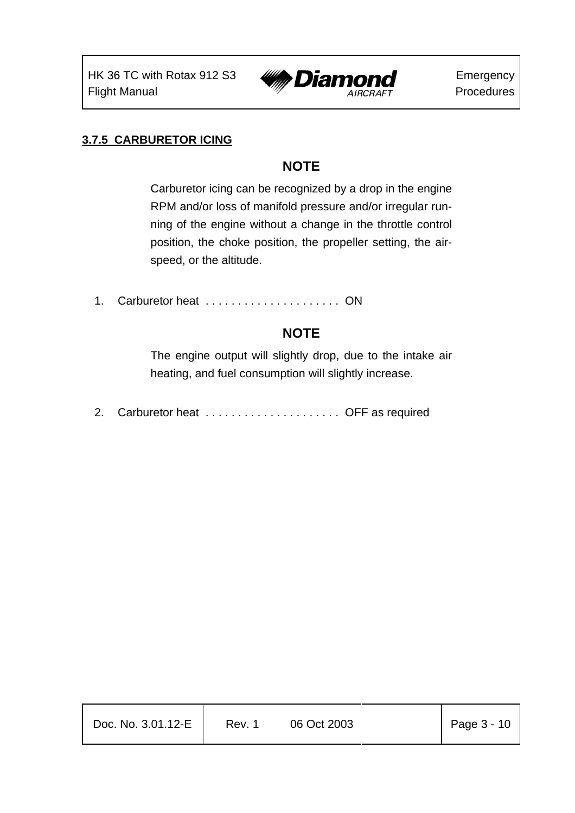

#### **3.7.5 CARBURETOR ICING**

### **NOTE**

Carburetor icing can be recognized by a drop in the engine RPM and/or loss of manifold pressure and/or irregular running of the engine without a change in the throttle control position, the choke position, the propeller setting, the airspeed, or the altitude.

1. Carburetor heat . . . . . . . . . . . . . . . . . . . . . ON

### **NOTE**

The engine output will slightly drop, due to the intake air heating, and fuel consumption will slightly increase.

2. Carburetor heat . . . . . . . . . . . . . . . . . . . . . OFF as required

| Doc. No. 3.01.12-E | Rev. 1 | 06 Oct 2003 | Page $3 - 10$ |
|--------------------|--------|-------------|---------------|
|                    |        |             |               |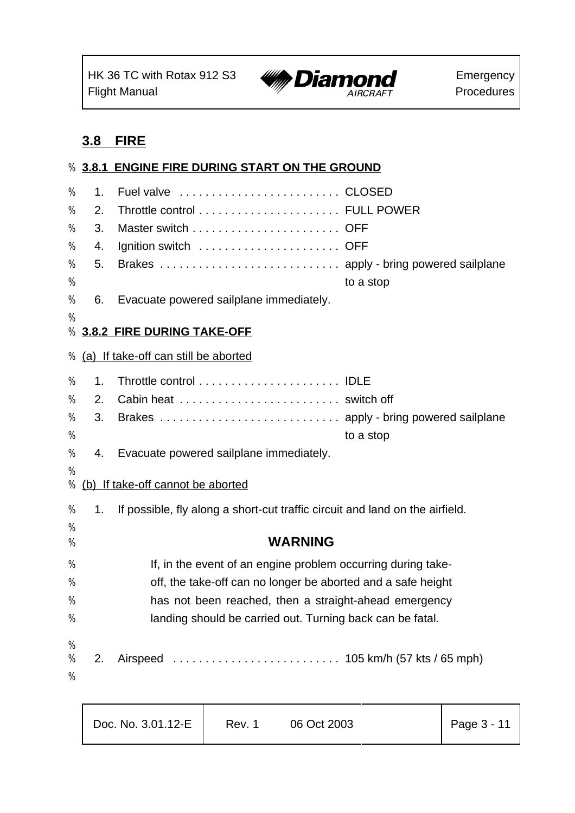

#### **3.8 FIRE**

# **3.8.1 ENGINE FIRE DURING START ON THE GROUND** % 1. Fuel valve . . . . . . . . . . . . . . . . . . . . . . . . . CLOSED % 2. Throttle control . . . . . . . . . . . . . . . . . . . . . . FULL POWER % 3. Master switch . . . . . . . . . . . . . . . . . . . . . . . OFF % 4. Ignition switch . . . . . . . . . . . . . . . . . . . . . . OFF % 5. Brakes . . . . . . . . . . . . . . . . . . . . . . . . . . . . apply - bring powered sailplane % to a stop % 6. Evacuate powered sailplane immediately. % % **3.8.2 FIRE DURING TAKE-OFF** % (a) If take-off can still be aborted % 1. Throttle control . . . . . . . . . . . . . . . . . . . . . . IDLE % 2. Cabin heat . . . . . . . . . . . . . . . . . . . . . . . . . switch off % 3. Brakes . . . . . . . . . . . . . . . . . . . . . . . . . . . . apply - bring powered sailplane % to a stop % 4. Evacuate powered sailplane immediately. % % (b) If take-off cannot be aborted % 1. If possible, fly along a short-cut traffic circuit and land on the airfield. % % **WARNING** % If, in the event of an engine problem occurring during take- % off, the take-off can no longer be aborted and a safe height % has not been reached, then a straight-ahead emergency % landing should be carried out. Turning back can be fatal. % % 2. Airspeed .......................... 105 km/h (57 kts / 65 mph) %

| $\vert$ Page 3 - 11<br>Doc. No. 3.01.12-E<br>06 Oct 2003<br>Rev. 1 |
|--------------------------------------------------------------------|
|--------------------------------------------------------------------|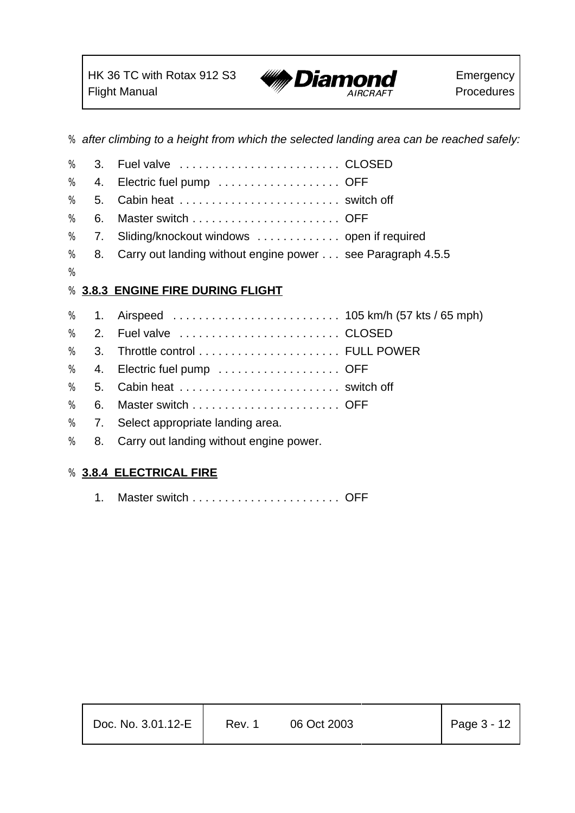% *after climbing to a height from which the selected landing area can be reached safely:*

| % | 3. |                                                            |
|---|----|------------------------------------------------------------|
| % | 4. | Electric fuel pump OFF                                     |
| % | 5. |                                                            |
| % | 6. |                                                            |
| % | 7. | Sliding/knockout windows  open if required                 |
| % | 8. | Carry out landing without engine power see Paragraph 4.5.5 |
| % |    |                                                            |
| % |    | <b>3.8.3 ENGINE FIRE DURING FLIGHT</b>                     |
| % | 1. |                                                            |
| % | 2. | Fuel valve  CLOSED                                         |
| % | 3. |                                                            |
| % | 4. | Electric fuel pump OFF                                     |
| % | 5. |                                                            |
| % | 6. |                                                            |
| % | 7. | Select appropriate landing area.                           |
| % | 8. | Carry out landing without engine power.                    |
|   |    |                                                            |

#### % **3.8.4 ELECTRICAL FIRE**

1. Master switch . . . . . . . . . . . . . . . . . . . . . . . OFF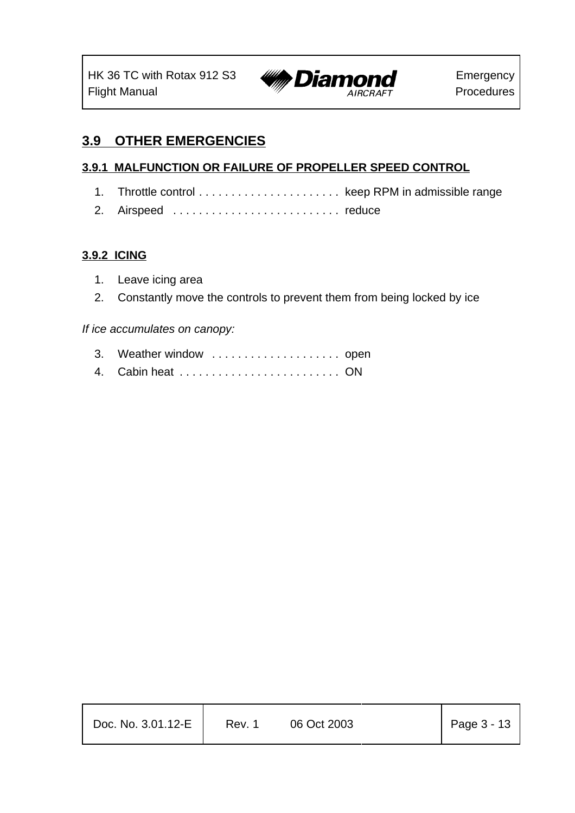

# **3.9 OTHER EMERGENCIES**

#### **3.9.1 MALFUNCTION OR FAILURE OF PROPELLER SPEED CONTROL**

- 1. Throttle control . . . . . . . . . . . . . . . . . . . . . . keep RPM in admissible range
- 2. Airspeed .......................... reduce

#### **3.9.2 ICING**

- 1. Leave icing area
- 2. Constantly move the controls to prevent them from being locked by ice

#### *If ice accumulates on canopy:*

- 3. Weather window .................... open
- 4. Cabin heat . . . . . . . . . . . . . . . . . . . . . . . . . ON

| Doc. No. $3.01.12-E$ | Rev. 1 | 06 Oct 2003 | Page $3 - 13$ |
|----------------------|--------|-------------|---------------|
|                      |        |             |               |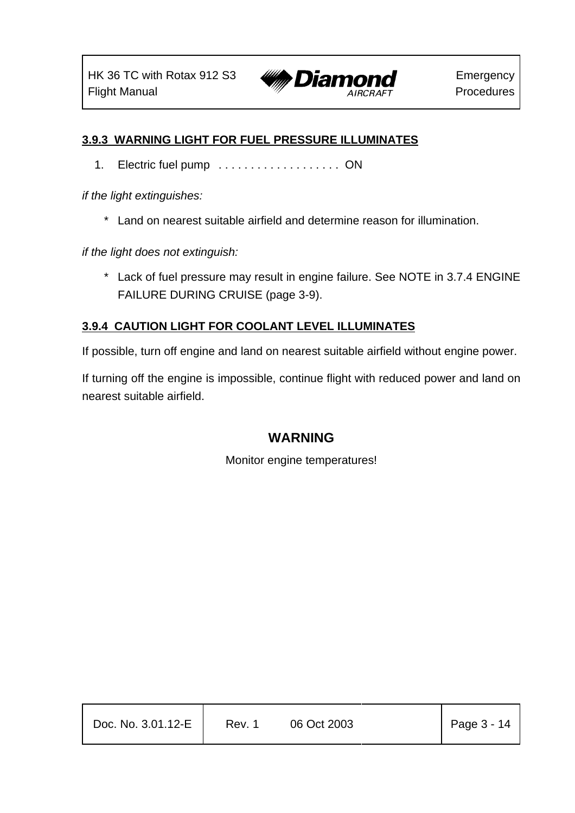

#### **3.9.3 WARNING LIGHT FOR FUEL PRESSURE ILLUMINATES**

1. Electric fuel pump . . . . . . . . . . . . . . . . . . . ON

*if the light extinguishes:*

\* Land on nearest suitable airfield and determine reason for illumination.

*if the light does not extinguish:*

\* Lack of fuel pressure may result in engine failure. See NOTE in 3.7.4 ENGINE FAILURE DURING CRUISE (page 3-9).

#### **3.9.4 CAUTION LIGHT FOR COOLANT LEVEL ILLUMINATES**

If possible, turn off engine and land on nearest suitable airfield without engine power.

If turning off the engine is impossible, continue flight with reduced power and land on nearest suitable airfield.

#### **WARNING**

Monitor engine temperatures!

| Doc. No. 3.01.12-E | Rev. 1 | 06 Oct 2003 | Page $3 - 14$ |
|--------------------|--------|-------------|---------------|
|                    |        |             |               |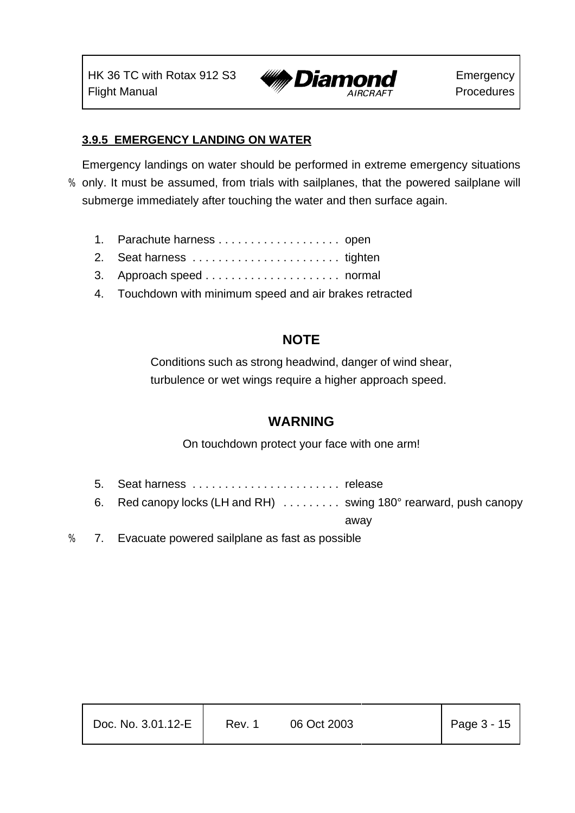

#### **3.9.5 EMERGENCY LANDING ON WATER**

Emergency landings on water should be performed in extreme emergency situations % only. It must be assumed, from trials with sailplanes, that the powered sailplane will submerge immediately after touching the water and then surface again.

- 1. Parachute harness . . . . . . . . . . . . . . . . . . . open
- 2. Seat harness . . . . . . . . . . . . . . . . . . . . . . . tighten
- 3. Approach speed . . . . . . . . . . . . . . . . . . . . . normal
- 4. Touchdown with minimum speed and air brakes retracted

#### **NOTE**

Conditions such as strong headwind, danger of wind shear, turbulence or wet wings require a higher approach speed.

#### **WARNING**

On touchdown protect your face with one arm!

- 5. Seat harness . . . . . . . . . . . . . . . . . . . . . . . release
- 6. Red canopy locks (LH and RH) . . . . . . . . . swing 180° rearward, push canopy

away

% 7. Evacuate powered sailplane as fast as possible

| Doc. No. 3.01.12-E | Rev. 1 | 06 Oct 2003 | Page $3 - 15$ |
|--------------------|--------|-------------|---------------|
|--------------------|--------|-------------|---------------|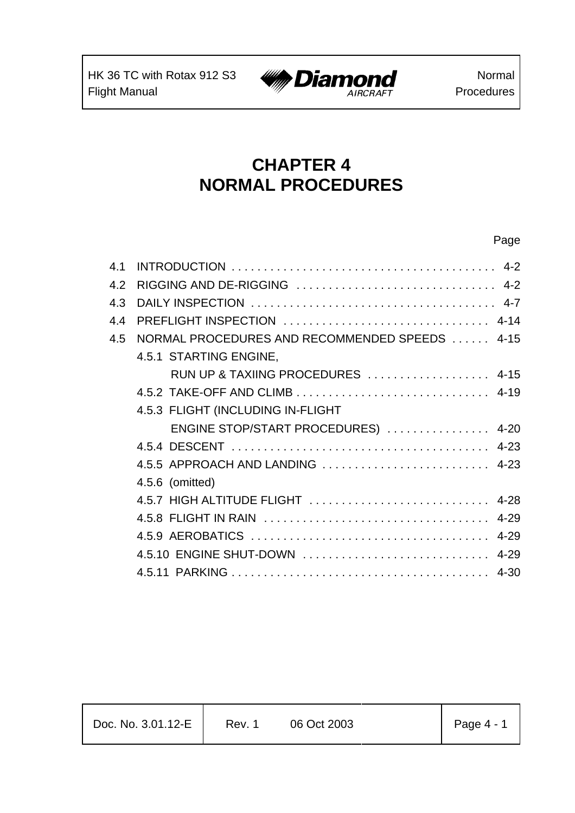$\mathsf{r}$ 



Page

# **CHAPTER 4 NORMAL PROCEDURES**

| 4.1 |                                                |  |
|-----|------------------------------------------------|--|
| 4.2 |                                                |  |
| 4.3 |                                                |  |
| 4.4 | PREFLIGHT INSPECTION  4-14                     |  |
| 4.5 | NORMAL PROCEDURES AND RECOMMENDED SPEEDS  4-15 |  |
|     | 4.5.1 STARTING ENGINE,                         |  |
|     | RUN UP & TAXIING PROCEDURES  4-15              |  |
|     |                                                |  |
|     | 4.5.3 FLIGHT (INCLUDING IN-FLIGHT              |  |
|     | ENGINE STOP/START PROCEDURES)  4-20            |  |
|     |                                                |  |
|     | 4.5.5 APPROACH AND LANDING  4-23               |  |
|     | 4.5.6 (omitted)                                |  |
|     | 4.5.7 HIGH ALTITUDE FLIGHT  4-28               |  |
|     |                                                |  |
|     |                                                |  |
|     | 4.5.10 ENGINE SHUT-DOWN  4-29                  |  |
|     |                                                |  |
|     |                                                |  |

| Doc. No. 3.01.12-E | Rev. 1 | 06 Oct 2003 |  | $\vert$ Page 4 - 1 |
|--------------------|--------|-------------|--|--------------------|
|--------------------|--------|-------------|--|--------------------|

Τ

Τ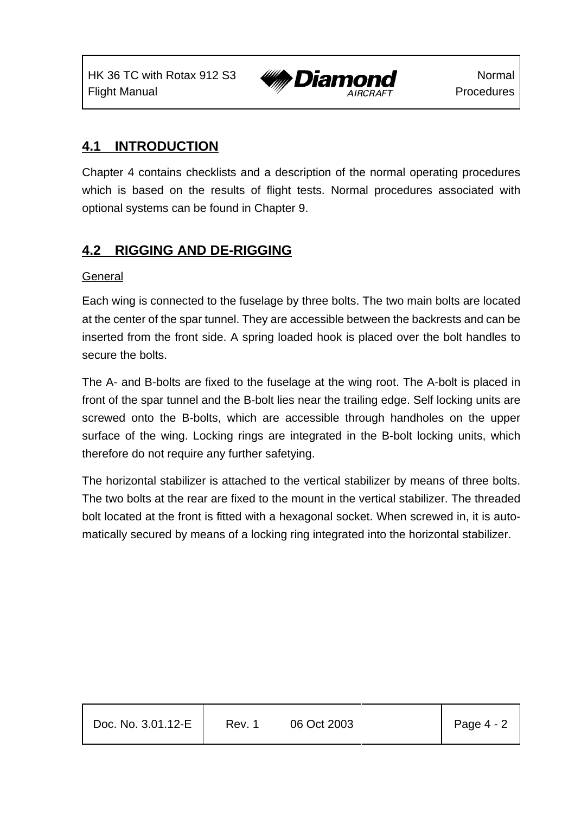

### **4.1 INTRODUCTION**

Chapter 4 contains checklists and a description of the normal operating procedures which is based on the results of flight tests. Normal procedures associated with optional systems can be found in Chapter 9.

### **4.2 RIGGING AND DE-RIGGING**

#### General

Each wing is connected to the fuselage by three bolts. The two main bolts are located at the center of the spar tunnel. They are accessible between the backrests and can be inserted from the front side. A spring loaded hook is placed over the bolt handles to secure the bolts.

The A- and B-bolts are fixed to the fuselage at the wing root. The A-bolt is placed in front of the spar tunnel and the B-bolt lies near the trailing edge. Self locking units are screwed onto the B-bolts, which are accessible through handholes on the upper surface of the wing. Locking rings are integrated in the B-bolt locking units, which therefore do not require any further safetying.

The horizontal stabilizer is attached to the vertical stabilizer by means of three bolts. The two bolts at the rear are fixed to the mount in the vertical stabilizer. The threaded bolt located at the front is fitted with a hexagonal socket. When screwed in, it is automatically secured by means of a locking ring integrated into the horizontal stabilizer.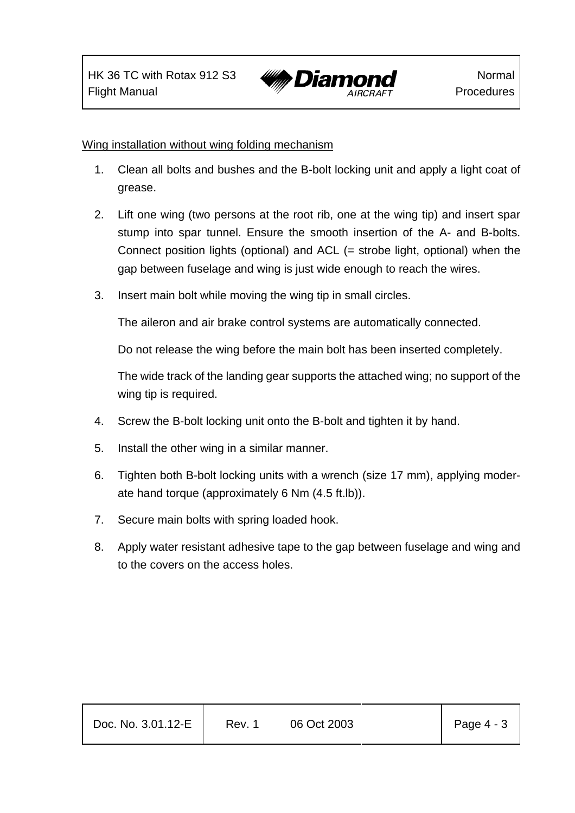

#### Wing installation without wing folding mechanism

- 1. Clean all bolts and bushes and the B-bolt locking unit and apply a light coat of grease.
- 2. Lift one wing (two persons at the root rib, one at the wing tip) and insert spar stump into spar tunnel. Ensure the smooth insertion of the A- and B-bolts. Connect position lights (optional) and ACL (= strobe light, optional) when the gap between fuselage and wing is just wide enough to reach the wires.
- 3. Insert main bolt while moving the wing tip in small circles.

The aileron and air brake control systems are automatically connected.

Do not release the wing before the main bolt has been inserted completely.

The wide track of the landing gear supports the attached wing; no support of the wing tip is required.

- 4. Screw the B-bolt locking unit onto the B-bolt and tighten it by hand.
- 5. Install the other wing in a similar manner.
- 6. Tighten both B-bolt locking units with a wrench (size 17 mm), applying moderate hand torque (approximately 6 Nm (4.5 ft.lb)).
- 7. Secure main bolts with spring loaded hook.
- 8. Apply water resistant adhesive tape to the gap between fuselage and wing and to the covers on the access holes.

| Page 4 - 3<br>Doc. No. 3.01.12-E<br>06 Oct 2003<br>Rev. 1 |  |
|-----------------------------------------------------------|--|
|-----------------------------------------------------------|--|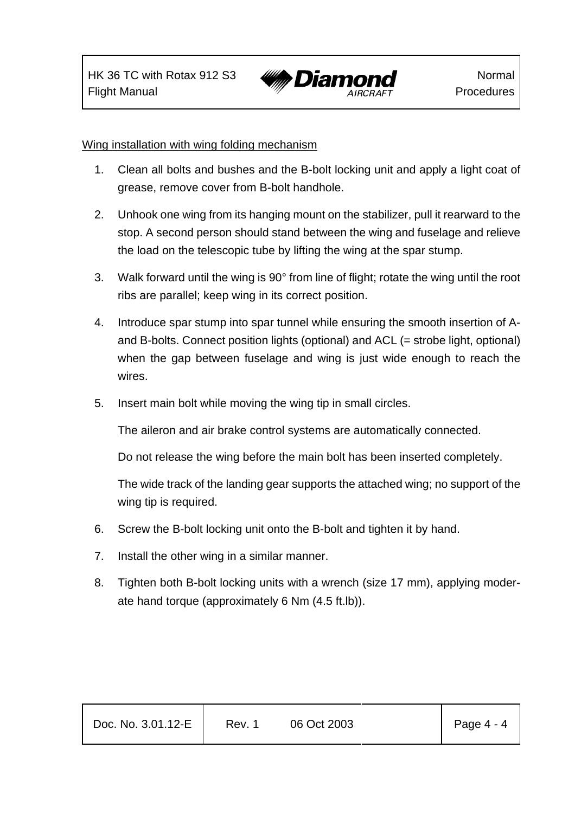

#### Wing installation with wing folding mechanism

- 1. Clean all bolts and bushes and the B-bolt locking unit and apply a light coat of grease, remove cover from B-bolt handhole.
- 2. Unhook one wing from its hanging mount on the stabilizer, pull it rearward to the stop. A second person should stand between the wing and fuselage and relieve the load on the telescopic tube by lifting the wing at the spar stump.
- 3. Walk forward until the wing is 90° from line of flight; rotate the wing until the root ribs are parallel; keep wing in its correct position.
- 4. Introduce spar stump into spar tunnel while ensuring the smooth insertion of Aand B-bolts. Connect position lights (optional) and ACL (= strobe light, optional) when the gap between fuselage and wing is just wide enough to reach the wires.
- 5. Insert main bolt while moving the wing tip in small circles.

The aileron and air brake control systems are automatically connected.

Do not release the wing before the main bolt has been inserted completely.

The wide track of the landing gear supports the attached wing; no support of the wing tip is required.

- 6. Screw the B-bolt locking unit onto the B-bolt and tighten it by hand.
- 7. Install the other wing in a similar manner.
- 8. Tighten both B-bolt locking units with a wrench (size 17 mm), applying moderate hand torque (approximately 6 Nm (4.5 ft.lb)).

| Doc. No. 3.01.12-E | Rev. 1 | 06 Oct 2003 | Page $4 - 4$ |
|--------------------|--------|-------------|--------------|
|                    |        |             |              |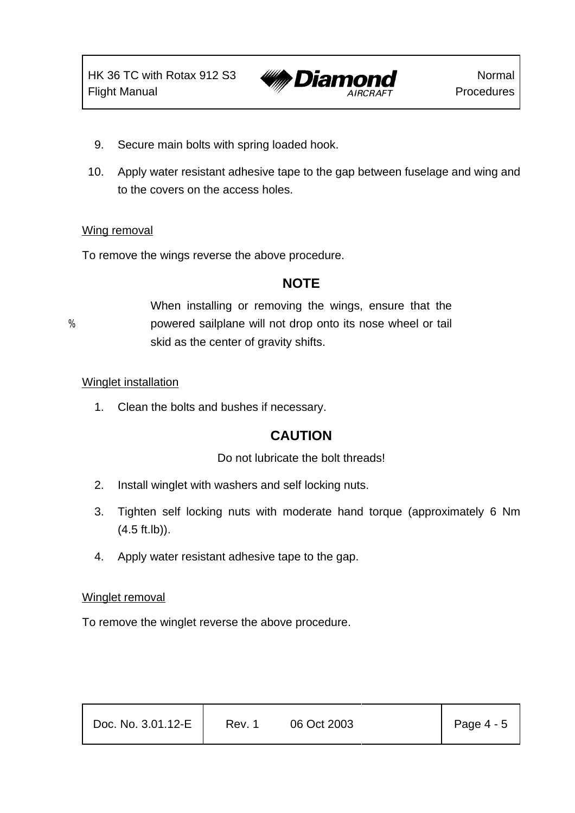

- 9. Secure main bolts with spring loaded hook.
- 10. Apply water resistant adhesive tape to the gap between fuselage and wing and to the covers on the access holes.

#### Wing removal

To remove the wings reverse the above procedure.

#### **NOTE**

When installing or removing the wings, ensure that the % powered sailplane will not drop onto its nose wheel or tail skid as the center of gravity shifts.

#### Winglet installation

1. Clean the bolts and bushes if necessary.

#### **CAUTION**

#### Do not lubricate the bolt threads!

- 2. Install winglet with washers and self locking nuts.
- 3. Tighten self locking nuts with moderate hand torque (approximately 6 Nm (4.5 ft.lb)).
- 4. Apply water resistant adhesive tape to the gap.

#### Winglet removal

To remove the winglet reverse the above procedure.

| Doc. No. 3.01.12-E | Rev. 1 | 06 Oct 2003 | Page $4 - 5$ |
|--------------------|--------|-------------|--------------|
|                    |        |             |              |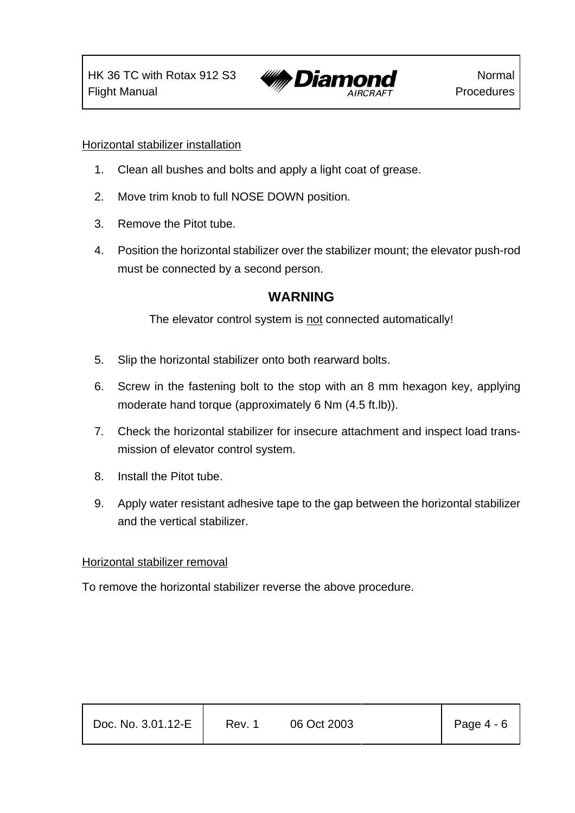

#### Horizontal stabilizer installation

- 1. Clean all bushes and bolts and apply a light coat of grease.
- 2. Move trim knob to full NOSE DOWN position.
- 3. Remove the Pitot tube.
- 4. Position the horizontal stabilizer over the stabilizer mount; the elevator push-rod must be connected by a second person.

#### **WARNING**

The elevator control system is not connected automatically!

- 5. Slip the horizontal stabilizer onto both rearward bolts.
- 6. Screw in the fastening bolt to the stop with an 8 mm hexagon key, applying moderate hand torque (approximately 6 Nm (4.5 ft.lb)).
- 7. Check the horizontal stabilizer for insecure attachment and inspect load transmission of elevator control system.
- 8. Install the Pitot tube.
- 9. Apply water resistant adhesive tape to the gap between the horizontal stabilizer and the vertical stabilizer.

#### Horizontal stabilizer removal

To remove the horizontal stabilizer reverse the above procedure.

| Doc. No. 3.01.12-E | Rev. 1 | 06 Oct 2003 | Page 4 - 6 |
|--------------------|--------|-------------|------------|
|                    |        |             |            |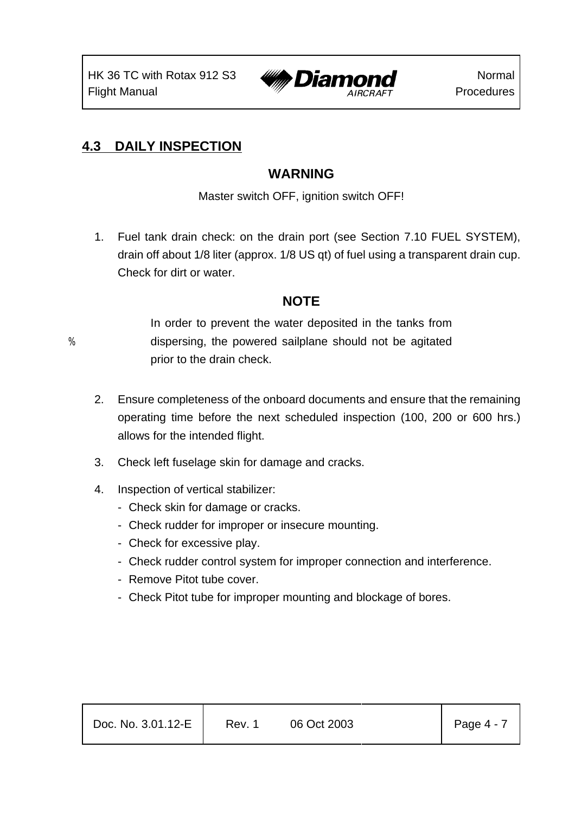

### **4.3 DAILY INSPECTION**

### **WARNING**

Master switch OFF, ignition switch OFF!

1. Fuel tank drain check: on the drain port (see Section 7.10 FUEL SYSTEM), drain off about 1/8 liter (approx. 1/8 US qt) of fuel using a transparent drain cup. Check for dirt or water.

### **NOTE**

In order to prevent the water deposited in the tanks from % dispersing, the powered sailplane should not be agitated prior to the drain check.

- 2. Ensure completeness of the onboard documents and ensure that the remaining operating time before the next scheduled inspection (100, 200 or 600 hrs.) allows for the intended flight.
- 3. Check left fuselage skin for damage and cracks.
- 4. Inspection of vertical stabilizer:
	- Check skin for damage or cracks.
	- Check rudder for improper or insecure mounting.
	- Check for excessive play.
	- Check rudder control system for improper connection and interference.
	- Remove Pitot tube cover.
	- Check Pitot tube for improper mounting and blockage of bores.

| Doc. No. 3.01.12-E | Rev. 1 | 06 Oct 2003 | Page $4 - 7$ |
|--------------------|--------|-------------|--------------|
|--------------------|--------|-------------|--------------|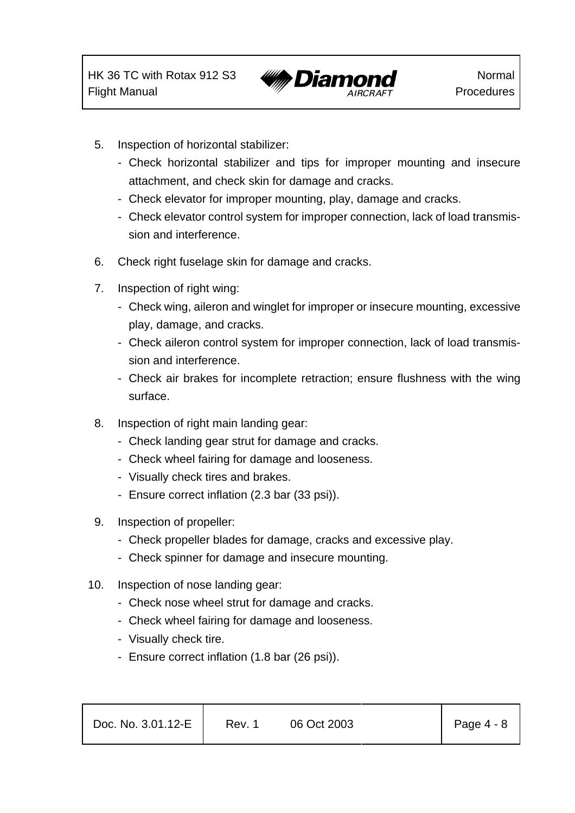

- 5. Inspection of horizontal stabilizer:
	- Check horizontal stabilizer and tips for improper mounting and insecure attachment, and check skin for damage and cracks.
	- Check elevator for improper mounting, play, damage and cracks.
	- Check elevator control system for improper connection, lack of load transmission and interference.
- 6. Check right fuselage skin for damage and cracks.
- 7. Inspection of right wing:
	- Check wing, aileron and winglet for improper or insecure mounting, excessive play, damage, and cracks.
	- Check aileron control system for improper connection, lack of load transmission and interference.
	- Check air brakes for incomplete retraction; ensure flushness with the wing surface.
- 8. Inspection of right main landing gear:
	- Check landing gear strut for damage and cracks.
	- Check wheel fairing for damage and looseness.
	- Visually check tires and brakes.
	- Ensure correct inflation (2.3 bar (33 psi)).
- 9. Inspection of propeller:
	- Check propeller blades for damage, cracks and excessive play.
	- Check spinner for damage and insecure mounting.
- 10. Inspection of nose landing gear:
	- Check nose wheel strut for damage and cracks.
	- Check wheel fairing for damage and looseness.
	- Visually check tire.
	- Ensure correct inflation (1.8 bar (26 psi)).

| Page $4 - 8$<br>Doc. No. 3.01.12-E<br>Rev. 1<br>06 Oct 2003 |  |
|-------------------------------------------------------------|--|
|-------------------------------------------------------------|--|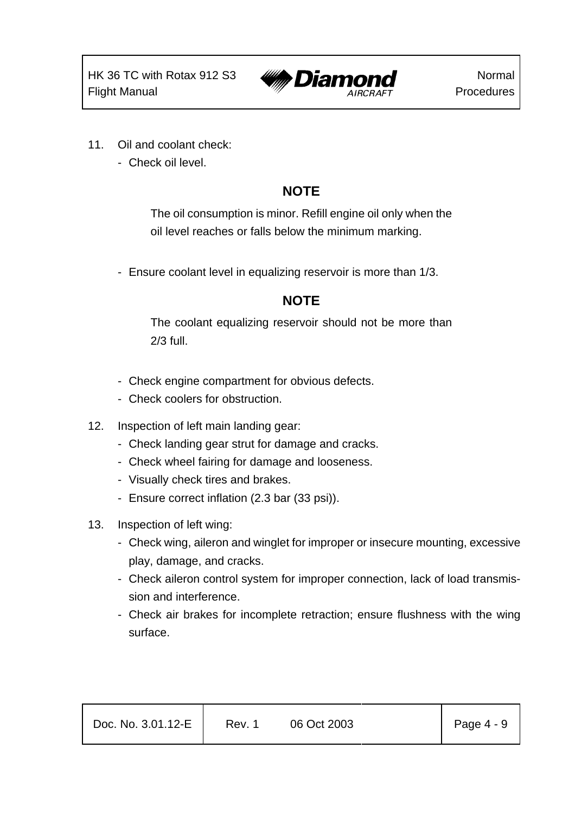

- 11. Oil and coolant check:
	- Check oil level.

# **NOTE**

The oil consumption is minor. Refill engine oil only when the oil level reaches or falls below the minimum marking.

- Ensure coolant level in equalizing reservoir is more than 1/3.

### **NOTE**

The coolant equalizing reservoir should not be more than 2/3 full.

- Check engine compartment for obvious defects.
- Check coolers for obstruction.
- 12. Inspection of left main landing gear:
	- Check landing gear strut for damage and cracks.
	- Check wheel fairing for damage and looseness.
	- Visually check tires and brakes.
	- Ensure correct inflation (2.3 bar (33 psi)).
- 13. Inspection of left wing:
	- Check wing, aileron and winglet for improper or insecure mounting, excessive play, damage, and cracks.
	- Check aileron control system for improper connection, lack of load transmission and interference.
	- Check air brakes for incomplete retraction; ensure flushness with the wing surface.

| Doc. No. 3.01.12-E | Rev. 1 | 06 Oct 2003 | Page 4 - 9 |
|--------------------|--------|-------------|------------|
|                    |        |             |            |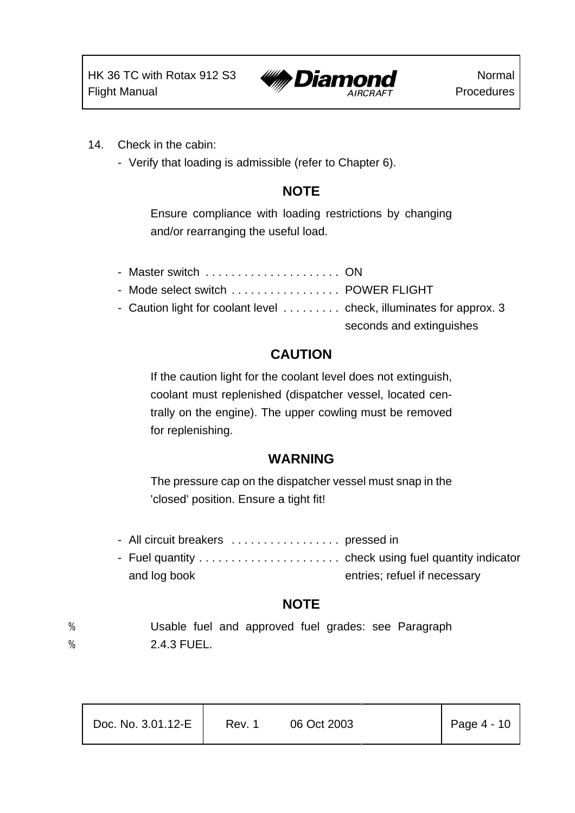

- 14. Check in the cabin:
	- Verify that loading is admissible (refer to Chapter 6).

### **NOTE**

Ensure compliance with loading restrictions by changing and/or rearranging the useful load.

| - Master switch  ON                                                 |                          |
|---------------------------------------------------------------------|--------------------------|
| - Mode select switch  POWER FLIGHT                                  |                          |
| - Caution light for coolant level  check, illuminates for approx. 3 |                          |
|                                                                     | seconds and extinguishes |

### **CAUTION**

If the caution light for the coolant level does not extinguish, coolant must replenished (dispatcher vessel, located centrally on the engine). The upper cowling must be removed for replenishing.

#### **WARNING**

The pressure cap on the dispatcher vessel must snap in the 'closed' position. Ensure a tight fit!

- All circuit breakers . . . . . . . . . . . . . . . . pressed in
- Fuel quantity . . . . . . . . . . . . . . . . . . . . . . check using fuel quantity indicator and log book entries; refuel if necessary

### **NOTE**

% Usable fuel and approved fuel grades: see Paragraph % 2.4.3 FUEL.

| Doc. No. 3.01.12-E | Rev. 1 | 06 Oct 2003 | Page $4 - 10$ |
|--------------------|--------|-------------|---------------|
|                    |        |             |               |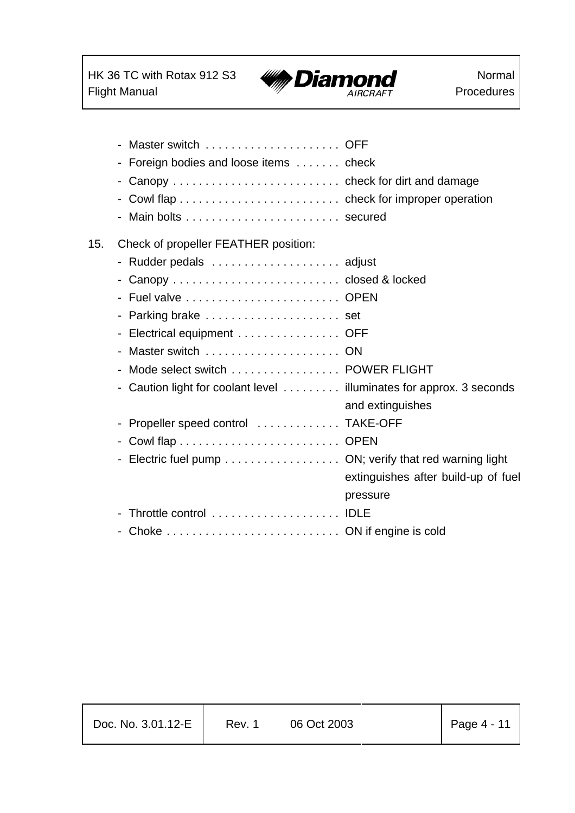$\mathbf{r}$ 



Normal Procedures

|     | - Foreign bodies and loose items check                              |                                     |
|-----|---------------------------------------------------------------------|-------------------------------------|
|     | - Canopy  check for dirt and damage                                 |                                     |
|     |                                                                     |                                     |
|     |                                                                     |                                     |
| 15. | Check of propeller FEATHER position:                                |                                     |
|     | - Rudder pedals  adjust                                             |                                     |
|     | - Canopy  closed & locked                                           |                                     |
|     |                                                                     |                                     |
|     | - Parking brake  set                                                |                                     |
|     | - Electrical equipment OFF                                          |                                     |
|     | - Master switch  ON                                                 |                                     |
|     | - Mode select switch  POWER FLIGHT                                  |                                     |
|     | - Caution light for coolant level illuminates for approx. 3 seconds | and extinguishes                    |
|     | - Propeller speed control  TAKE-OFF                                 |                                     |
|     |                                                                     |                                     |
|     | - Electric fuel pump ON; verify that red warning light              |                                     |
|     |                                                                     | extinguishes after build-up of fuel |
|     |                                                                     | pressure                            |
|     | Throttle control  IDLE                                              |                                     |
|     |                                                                     |                                     |

| Doc. No. 3.01.12-E | Rev. 1 | 06 Oct 2003 | $\vert$ Page 4 - 11 |
|--------------------|--------|-------------|---------------------|
|                    |        |             |                     |

Т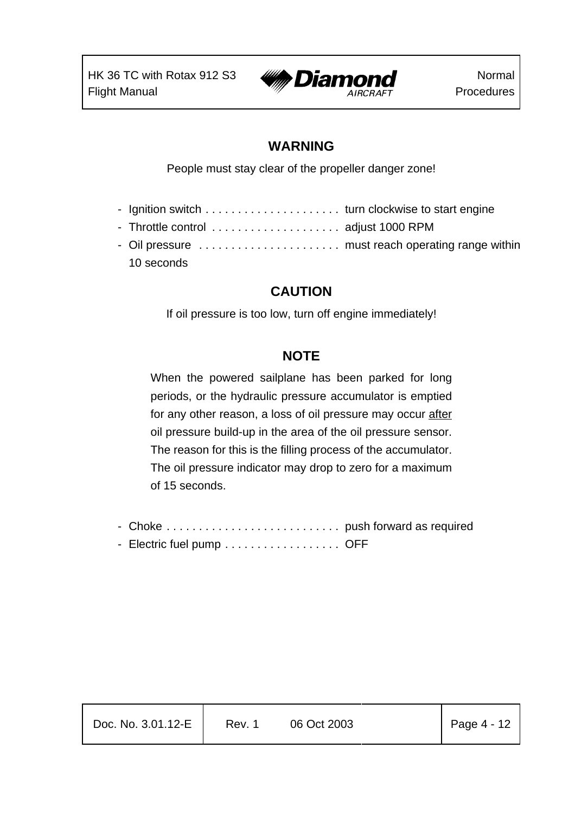

#### **WARNING**

People must stay clear of the propeller danger zone!

- Ignition switch . . . . . . . . . . . . . . . . . . . . . turn clockwise to start engine
- Throttle control . . . . . . . . . . . . . . . . . . . . adjust 1000 RPM
- Oil pressure . . . . . . . . . . . . . . . . . . . . . . must reach operating range within 10 seconds

# **CAUTION**

If oil pressure is too low, turn off engine immediately!

# **NOTE**

When the powered sailplane has been parked for long periods, or the hydraulic pressure accumulator is emptied for any other reason, a loss of oil pressure may occur after oil pressure build-up in the area of the oil pressure sensor. The reason for this is the filling process of the accumulator. The oil pressure indicator may drop to zero for a maximum of 15 seconds.

- Choke . . . . . . . . . . . . . . . . . . . . . . . . . . . push forward as required - Electric fuel pump . . . . . . . . . . . . . . . . . OFF

| Doc. No. 3.01.12-E | Rev. 1 | 06 Oct 2003 | $\vert$ Page 4 - 12 |
|--------------------|--------|-------------|---------------------|
|                    |        |             |                     |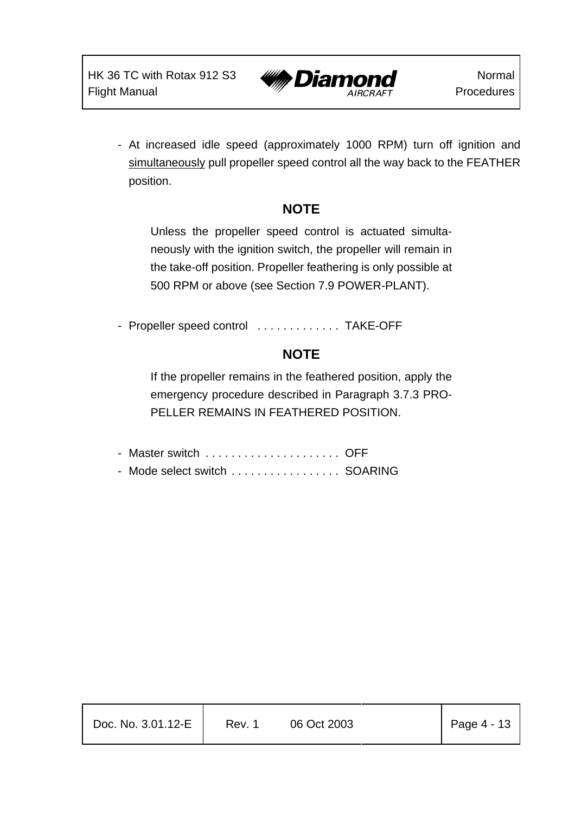

- At increased idle speed (approximately 1000 RPM) turn off ignition and simultaneously pull propeller speed control all the way back to the FEATHER position.

# **NOTE**

Unless the propeller speed control is actuated simultaneously with the ignition switch, the propeller will remain in the take-off position. Propeller feathering is only possible at 500 RPM or above (see Section 7.9 POWER-PLANT).

- Propeller speed control ............... TAKE-OFF

# **NOTE**

If the propeller remains in the feathered position, apply the emergency procedure described in Paragraph 3.7.3 PRO-PELLER REMAINS IN FEATHERED POSITION.

| - Mode select switch  SOARING |  |
|-------------------------------|--|

| $\vert$ Page 4 - 13<br>Doc. No. 3.01.12-E<br>06 Oct 2003<br>Rev. 1 |
|--------------------------------------------------------------------|
|--------------------------------------------------------------------|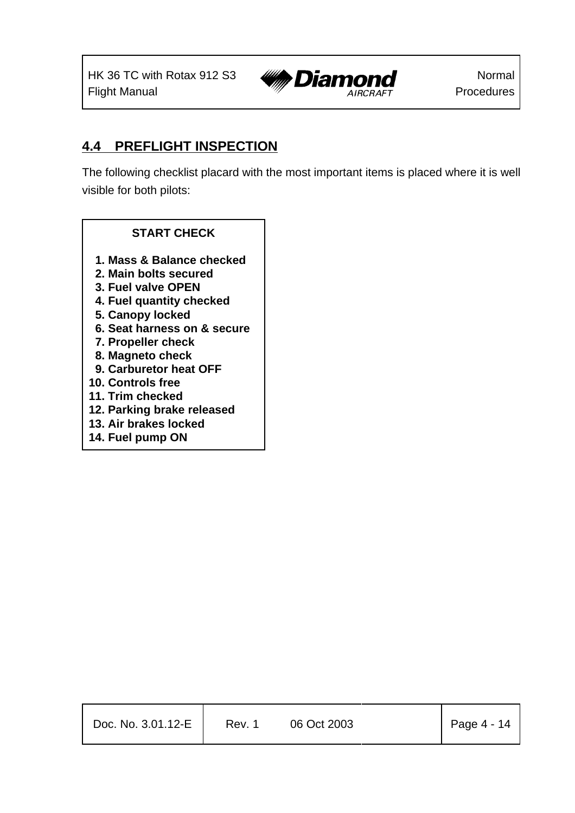

### **4.4 PREFLIGHT INSPECTION**

The following checklist placard with the most important items is placed where it is well visible for both pilots:

#### **START CHECK**

- **1. Mass & Balance checked**
- **2. Main bolts secured**
- **3. Fuel valve OPEN**
- **4. Fuel quantity checked**
- **5. Canopy locked**
- **6. Seat harness on & secure**
- **7. Propeller check**
- **8. Magneto check**
- **9. Carburetor heat OFF**
- **10. Controls free**
- **11. Trim checked**
- **12. Parking brake released**
- **13. Air brakes locked**
- **14. Fuel pump ON**

| Doc. No. 3.01.12-E | Rev. 1 | 06 Oct 2003 | $\vert$ Page 4 - 14 |
|--------------------|--------|-------------|---------------------|
|                    |        |             |                     |

Τ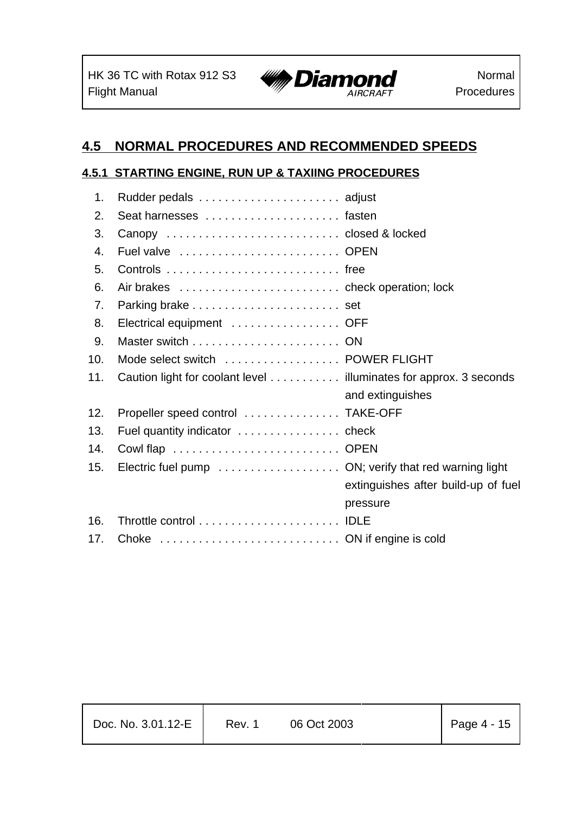$\mathbf{r}$ 



# **4.5 NORMAL PROCEDURES AND RECOMMENDED SPEEDS**

#### **4.5.1 STARTING ENGINE, RUN UP & TAXIING PROCEDURES**

| 1.             |                                                                   |                                     |
|----------------|-------------------------------------------------------------------|-------------------------------------|
| 2.             | Seat harnesses  fasten                                            |                                     |
| 3.             | Canopy  closed & locked                                           |                                     |
| 4.             | Fuel valve  OPEN                                                  |                                     |
| 5.             |                                                                   |                                     |
| 6.             |                                                                   |                                     |
| 7 <sub>1</sub> |                                                                   |                                     |
| 8.             | Electrical equipment  OFF                                         |                                     |
| 9.             |                                                                   |                                     |
| 10.            | Mode select switch  POWER FLIGHT                                  |                                     |
| 11.            | Caution light for coolant level illuminates for approx. 3 seconds |                                     |
|                |                                                                   | and extinguishes                    |
| 12.            | Propeller speed control  TAKE-OFF                                 |                                     |
| 13.            |                                                                   |                                     |
| 14.            |                                                                   |                                     |
| 15.            |                                                                   |                                     |
|                |                                                                   | extinguishes after build-up of fuel |
|                |                                                                   | pressure                            |
| 16.            |                                                                   |                                     |
| 17.            |                                                                   |                                     |
|                |                                                                   |                                     |

| Doc. No. 3.01.12-E | Rev. 1 | 06 Oct 2003 | $\vert$ Page 4 - 15 |
|--------------------|--------|-------------|---------------------|
|                    |        |             |                     |

Т

Т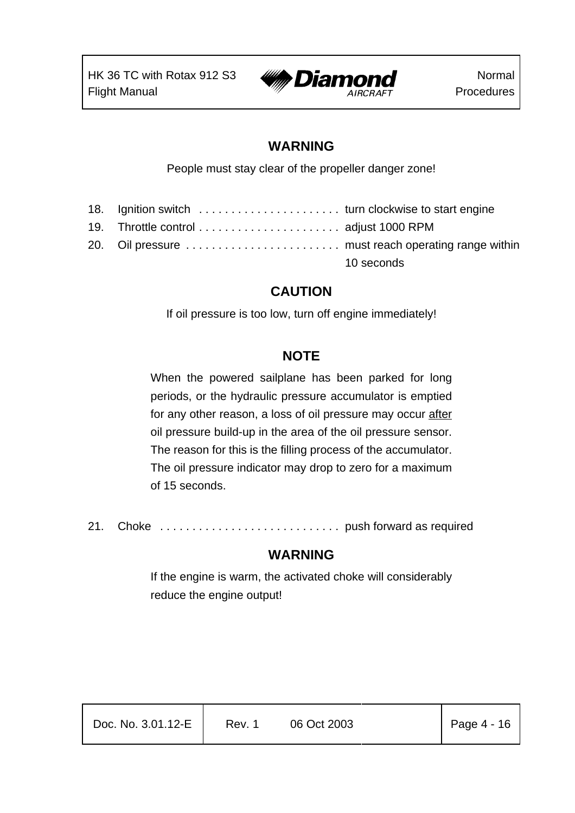

#### **WARNING**

People must stay clear of the propeller danger zone!

| 18. Ignition switch  turn clockwise to start engine |            |
|-----------------------------------------------------|------------|
|                                                     |            |
| 20. Oil pressure  must reach operating range within |            |
|                                                     | 10 seconds |

# **CAUTION**

If oil pressure is too low, turn off engine immediately!

# **NOTE**

When the powered sailplane has been parked for long periods, or the hydraulic pressure accumulator is emptied for any other reason, a loss of oil pressure may occur after oil pressure build-up in the area of the oil pressure sensor. The reason for this is the filling process of the accumulator. The oil pressure indicator may drop to zero for a maximum of 15 seconds.

21. Choke . . . . . . . . . . . . . . . . . . . . . . . . . . . . push forward as required

### **WARNING**

If the engine is warm, the activated choke will considerably reduce the engine output!

| Doc. No. 3.01.12-E | Rev. 1 | 06 Oct 2003 | $\vert$ Page 4 - 16 |
|--------------------|--------|-------------|---------------------|
|                    |        |             |                     |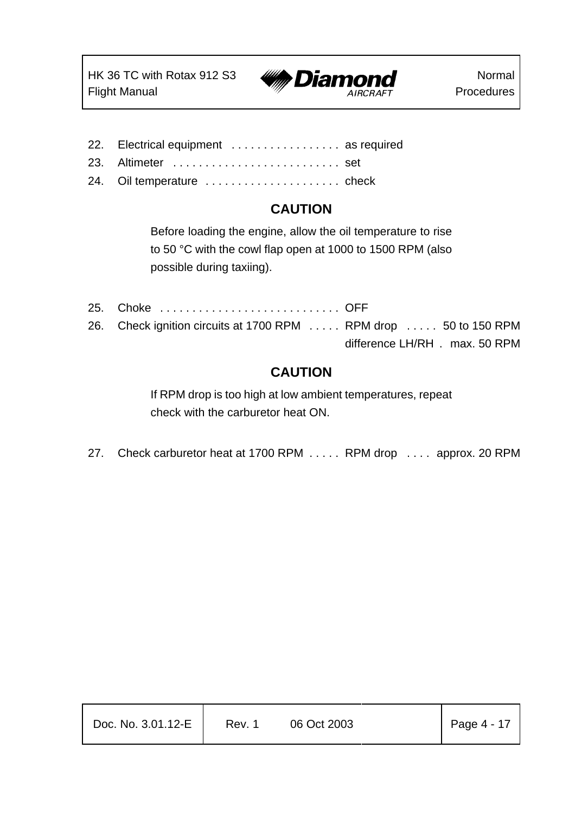

- 22. Electrical equipment ................. as required
- 23. Altimeter . . . . . . . . . . . . . . . . . . . . . . . . . . set
- 24. Oil temperature . . . . . . . . . . . . . . . . . . . . . check

### **CAUTION**

Before loading the engine, allow the oil temperature to rise to 50 °C with the cowl flap open at 1000 to 1500 RPM (also possible during taxiing).

25. Choke . . . . . . . . . . . . . . . . . . . . . . . . . . . . OFF 26. Check ignition circuits at 1700 RPM . . . . . RPM drop . . . . . 50 to 150 RPM difference LH/RH . max. 50 RPM

### **CAUTION**

If RPM drop is too high at low ambient temperatures, repeat check with the carburetor heat ON.

27. Check carburetor heat at 1700 RPM . . . . . RPM drop . . . . approx. 20 RPM

| Doc. No. 3.01.12-E | Rev. 1 | 06 Oct 2003 | $\vert$ Page 4 - 17 |
|--------------------|--------|-------------|---------------------|
|                    |        |             |                     |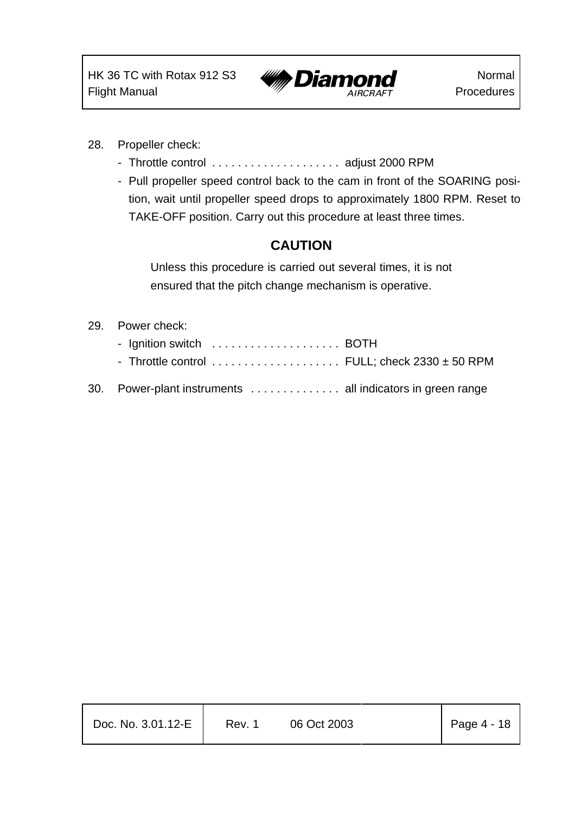

- 28. Propeller check:
	- Throttle control ........................ adjust 2000 RPM
	- Pull propeller speed control back to the cam in front of the SOARING position, wait until propeller speed drops to approximately 1800 RPM. Reset to TAKE-OFF position. Carry out this procedure at least three times.

### **CAUTION**

Unless this procedure is carried out several times, it is not ensured that the pitch change mechanism is operative.

#### 29. Power check:

- Ignition switch . . . . . . . . . . . . . . . . . . BOTH
- Throttle control . . . . . . . . . . . . . . . . . . FULL; check 2330 ± 50 RPM
- 30. Power-plant instruments . . . . . . . . . . . . . . all indicators in green range

| Doc. No. 3.01.12-E | Rev. 1 | 06 Oct 2003 | $\vert$ Page 4 - 18 |
|--------------------|--------|-------------|---------------------|
|                    |        |             |                     |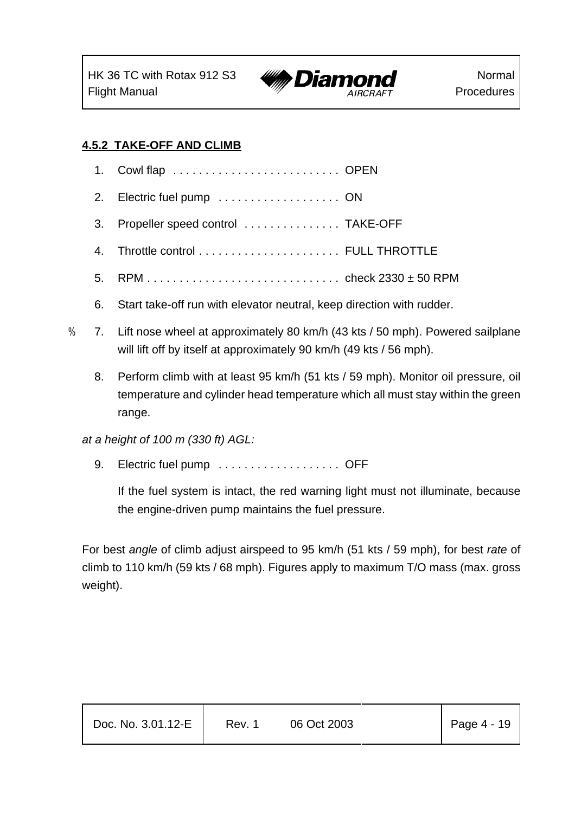

#### **4.5.2 TAKE-OFF AND CLIMB**

- 1. Cowl flap . . . . . . . . . . . . . . . . . . . . . . . . . . OPEN
- 2. Electric fuel pump . . . . . . . . . . . . . . . . . ON
- 3. Propeller speed control ................... TAKE-OFF
- 4. Throttle control . . . . . . . . . . . . . . . . . . . . . . FULL THROTTLE
- 5. RPM . . . . . . . . . . . . . . . . . . . . . . . . . . . . . . check 2330 ± 50 RPM
- 6. Start take-off run with elevator neutral, keep direction with rudder.
- % 7. Lift nose wheel at approximately 80 km/h (43 kts / 50 mph). Powered sailplane will lift off by itself at approximately 90 km/h (49 kts / 56 mph).
	- 8. Perform climb with at least 95 km/h (51 kts / 59 mph). Monitor oil pressure, oil temperature and cylinder head temperature which all must stay within the green range.

*at a height of 100 m (330 ft) AGL:*

9. Electric fuel pump . . . . . . . . . . . . . . . . . OFF

If the fuel system is intact, the red warning light must not illuminate, because the engine-driven pump maintains the fuel pressure.

For best *angle* of climb adjust airspeed to 95 km/h (51 kts / 59 mph), for best *rate* of climb to 110 km/h (59 kts / 68 mph). Figures apply to maximum T/O mass (max. gross weight).

| Doc. No. 3.01.12-E | Rev. 1 | 06 Oct 2003 | Page $4 - 19$ |
|--------------------|--------|-------------|---------------|
|                    |        |             |               |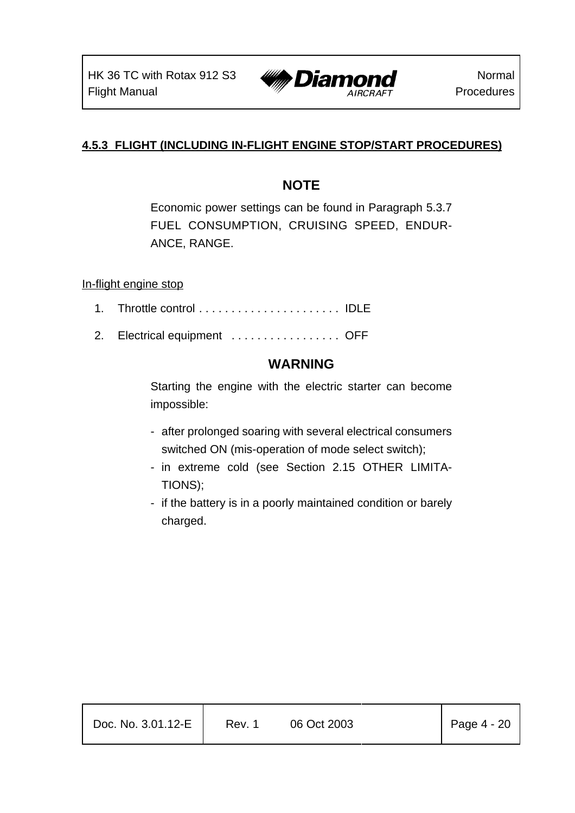

#### **4.5.3 FLIGHT (INCLUDING IN-FLIGHT ENGINE STOP/START PROCEDURES)**

### **NOTE**

Economic power settings can be found in Paragraph 5.3.7 FUEL CONSUMPTION, CRUISING SPEED, ENDUR-ANCE, RANGE.

In-flight engine stop

- 1. Throttle control . . . . . . . . . . . . . . . . . . . . . . IDLE
- 2. Electrical equipment .................. OFF

### **WARNING**

Starting the engine with the electric starter can become impossible:

- after prolonged soaring with several electrical consumers switched ON (mis-operation of mode select switch);
- in extreme cold (see Section 2.15 OTHER LIMITA-TIONS);
- if the battery is in a poorly maintained condition or barely charged.

| Doc. No. 3.01.12-E | Rev. 1 | 06 Oct 2003 | $\vert$ Page 4 - 20 |
|--------------------|--------|-------------|---------------------|
|                    |        |             |                     |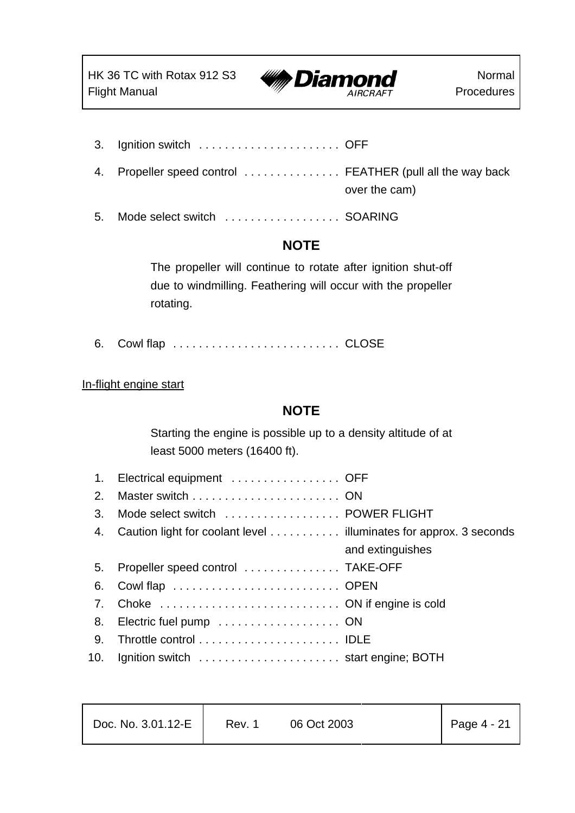

- 3. Ignition switch . . . . . . . . . . . . . . . . . . . . . . OFF
- 4. Propeller speed control . . . . . . . . . . . . . . FEATHER (pull all the way back over the cam)
- 5. Mode select switch . . . . . . . . . . . . . . . . . . SOARING

### **NOTE**

The propeller will continue to rotate after ignition shut-off due to windmilling. Feathering will occur with the propeller rotating.

6. Cowl flap . . . . . . . . . . . . . . . . . . . . . . . . . . CLOSE

#### In-flight engine start

### **NOTE**

Starting the engine is possible up to a density altitude of at least 5000 meters (16400 ft).

| 1.                             | Electrical equipment  OFF                                         |                  |
|--------------------------------|-------------------------------------------------------------------|------------------|
| 2.                             |                                                                   |                  |
| 3.                             | Mode select switch  POWER FLIGHT                                  |                  |
| 4.                             | Caution light for coolant level illuminates for approx. 3 seconds |                  |
|                                |                                                                   | and extinguishes |
| 5.                             | Propeller speed control  TAKE-OFF                                 |                  |
| 6.                             | Cowl flap  OPEN                                                   |                  |
| $7_{\scriptscriptstyle{\sim}}$ |                                                                   |                  |
| 8.                             |                                                                   |                  |
| 9.                             |                                                                   |                  |
|                                | 10. Ignition switch  start engine; BOTH                           |                  |

| Doc. No. 3.01.12-E |  |  |
|--------------------|--|--|
|                    |  |  |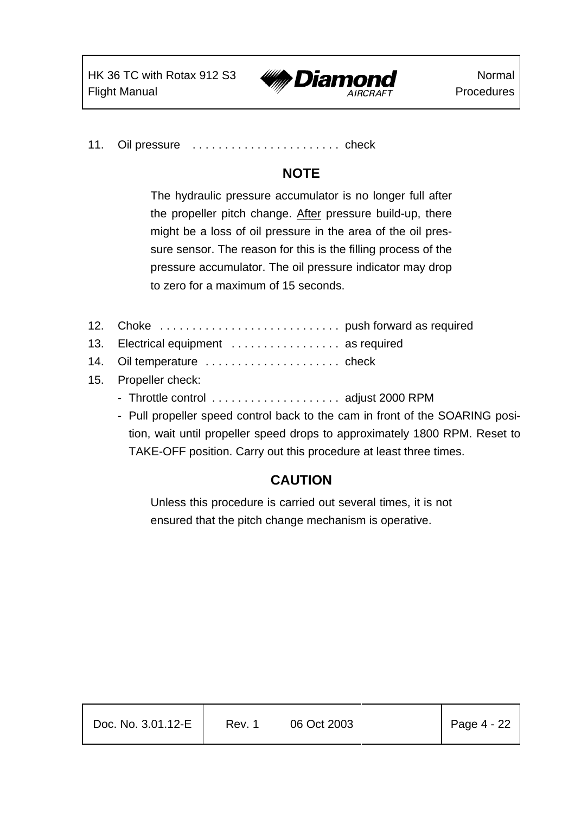

11. Oil pressure ............................ check

# **NOTE**

The hydraulic pressure accumulator is no longer full after the propeller pitch change. After pressure build-up, there might be a loss of oil pressure in the area of the oil pressure sensor. The reason for this is the filling process of the pressure accumulator. The oil pressure indicator may drop to zero for a maximum of 15 seconds.

- 12. Choke . . . . . . . . . . . . . . . . . . . . . . . . . . . . push forward as required
- 13. Electrical equipment . . . . . . . . . . . . . . . . . as required
- 14. Oil temperature ......................... check
- 15. Propeller check:
	- Throttle control . . . . . . . . . . . . . . . . . . adjust 2000 RPM
	- Pull propeller speed control back to the cam in front of the SOARING position, wait until propeller speed drops to approximately 1800 RPM. Reset to TAKE-OFF position. Carry out this procedure at least three times.

### **CAUTION**

Unless this procedure is carried out several times, it is not ensured that the pitch change mechanism is operative.

| Doc. No. 3.01.12-E | Rev. 1 | 06 Oct 2003 | $\vert$ Page 4 - 22 |
|--------------------|--------|-------------|---------------------|
|                    |        |             |                     |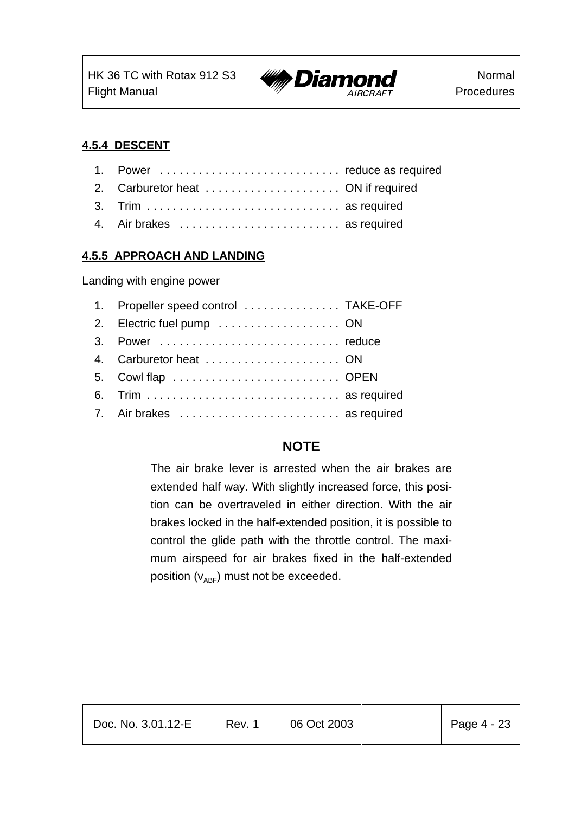

#### **4.5.4 DESCENT**

| 1. Power  reduce as required |
|------------------------------|
|                              |
| 3. Trim  as required         |
| 4. Air brakes  as required   |

#### **4.5.5 APPROACH AND LANDING**

Landing with engine power

| 1. Propeller speed control  TAKE-OFF |  |
|--------------------------------------|--|
|                                      |  |
|                                      |  |
|                                      |  |
| 5. Cowl flap  OPEN                   |  |
| 6. Trim  as required                 |  |
| 7. Air brakes  as required           |  |

### **NOTE**

The air brake lever is arrested when the air brakes are extended half way. With slightly increased force, this position can be overtraveled in either direction. With the air brakes locked in the half-extended position, it is possible to control the glide path with the throttle control. The maximum airspeed for air brakes fixed in the half-extended position  $(v_{ABF})$  must not be exceeded.

| Doc. No. 3.01.12-E | Rev. 1 | 06 Oct 2003 | $\vert$ Page 4 - 23 |
|--------------------|--------|-------------|---------------------|
|                    |        |             |                     |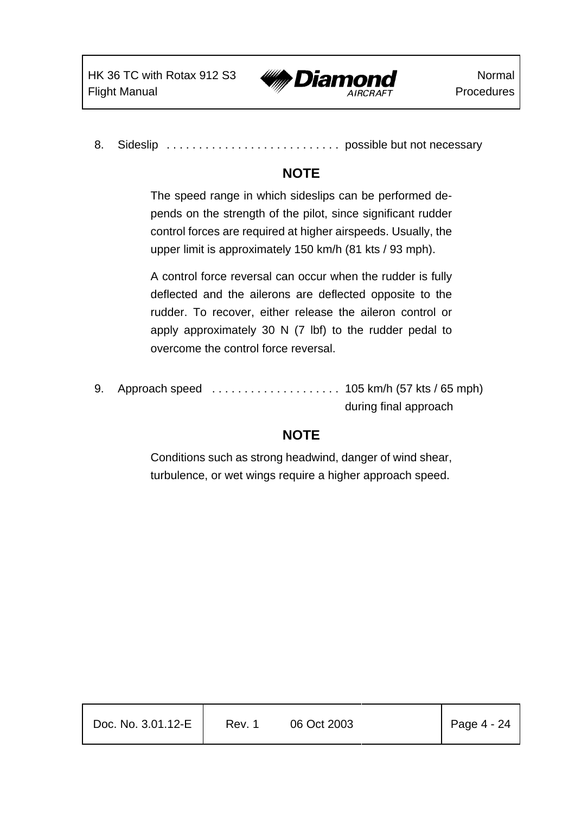

8. Sideslip . . . . . . . . . . . . . . . . . . . . . . . . . . . possible but not necessary

# **NOTE**

The speed range in which sideslips can be performed depends on the strength of the pilot, since significant rudder control forces are required at higher airspeeds. Usually, the upper limit is approximately 150 km/h (81 kts / 93 mph).

A control force reversal can occur when the rudder is fully deflected and the ailerons are deflected opposite to the rudder. To recover, either release the aileron control or apply approximately 30 N (7 lbf) to the rudder pedal to overcome the control force reversal.

9. Approach speed .................... 105 km/h (57 kts / 65 mph) during final approach

# **NOTE**

Conditions such as strong headwind, danger of wind shear, turbulence, or wet wings require a higher approach speed.

| Doc. No. 3.01.12-E | Rev. 1 | 06 Oct 2003 | Page $4 - 24$ |
|--------------------|--------|-------------|---------------|
|                    |        |             |               |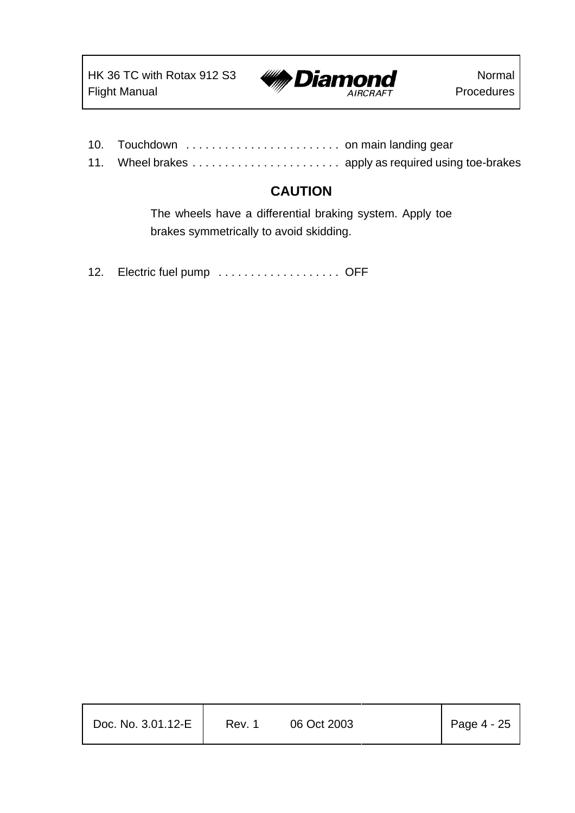

- 10. Touchdown . . . . . . . . . . . . . . . . . . . . . . . . on main landing gear
- 11. Wheel brakes ....................... apply as required using toe-brakes

### **CAUTION**

The wheels have a differential braking system. Apply toe brakes symmetrically to avoid skidding.

12. Electric fuel pump . . . . . . . . . . . . . . . . . OFF

| Doc. No. 3.01.12-E | Rev. 1 | 06 Oct 2003 | Page $4 - 25$ |
|--------------------|--------|-------------|---------------|
|                    |        |             |               |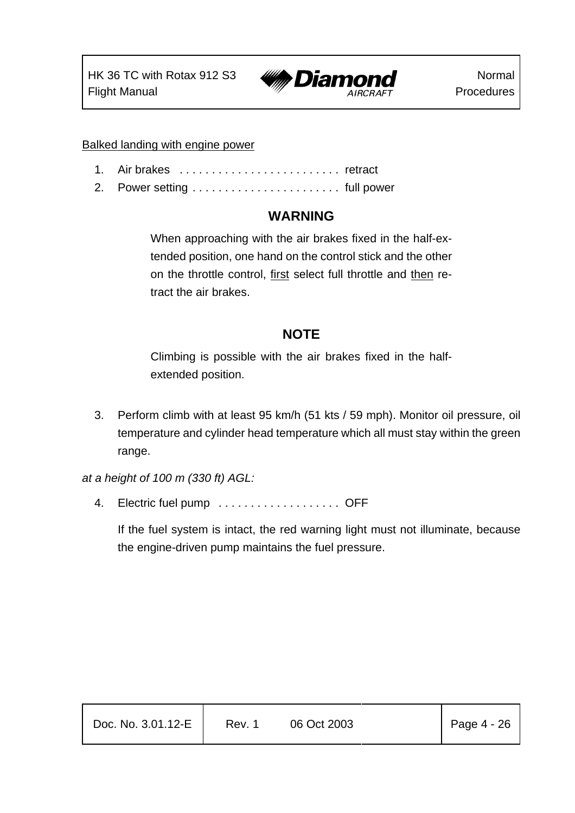HK 36 TC with Rotax 912 S3 Flight Manual



Balked landing with engine power

- 1. Air brakes . . . . . . . . . . . . . . . . . . . . . . . . . retract
- 2. Power setting . . . . . . . . . . . . . . . . . . . . . . . full power

### **WARNING**

When approaching with the air brakes fixed in the half-extended position, one hand on the control stick and the other on the throttle control, first select full throttle and then retract the air brakes.

### **NOTE**

Climbing is possible with the air brakes fixed in the halfextended position.

3. Perform climb with at least 95 km/h (51 kts / 59 mph). Monitor oil pressure, oil temperature and cylinder head temperature which all must stay within the green range.

*at a height of 100 m (330 ft) AGL:*

4. Electric fuel pump . . . . . . . . . . . . . . . . . OFF

If the fuel system is intact, the red warning light must not illuminate, because the engine-driven pump maintains the fuel pressure.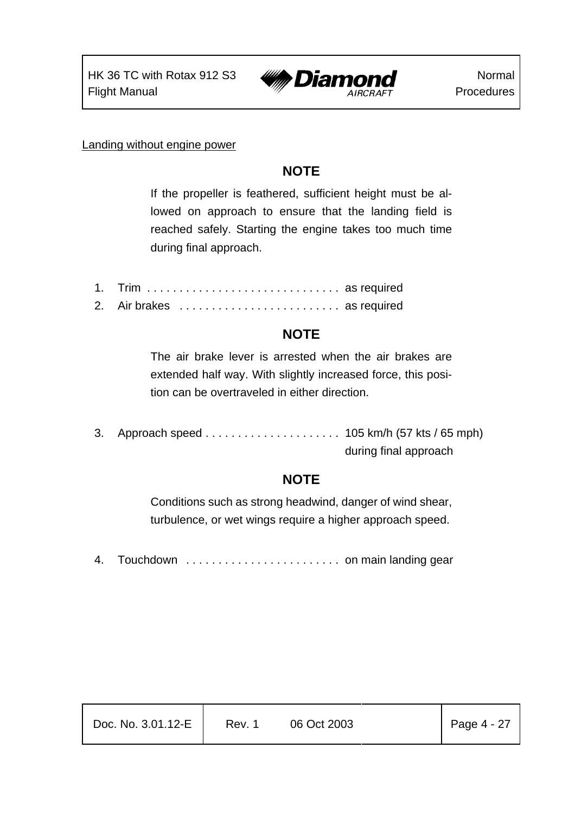

Landing without engine power

### **NOTE**

If the propeller is feathered, sufficient height must be allowed on approach to ensure that the landing field is reached safely. Starting the engine takes too much time during final approach.

- 1. Trim . . . . . . . . . . . . . . . . . . . . . . . . . . . . . . as required
- 2. Air brakes . . . . . . . . . . . . . . . . . . . . . . . . . as required

# **NOTE**

The air brake lever is arrested when the air brakes are extended half way. With slightly increased force, this position can be overtraveled in either direction.

3. Approach speed ..................... 105 km/h (57 kts / 65 mph) during final approach

# **NOTE**

Conditions such as strong headwind, danger of wind shear, turbulence, or wet wings require a higher approach speed.

4. Touchdown . . . . . . . . . . . . . . . . . . . . . . . . on main landing gear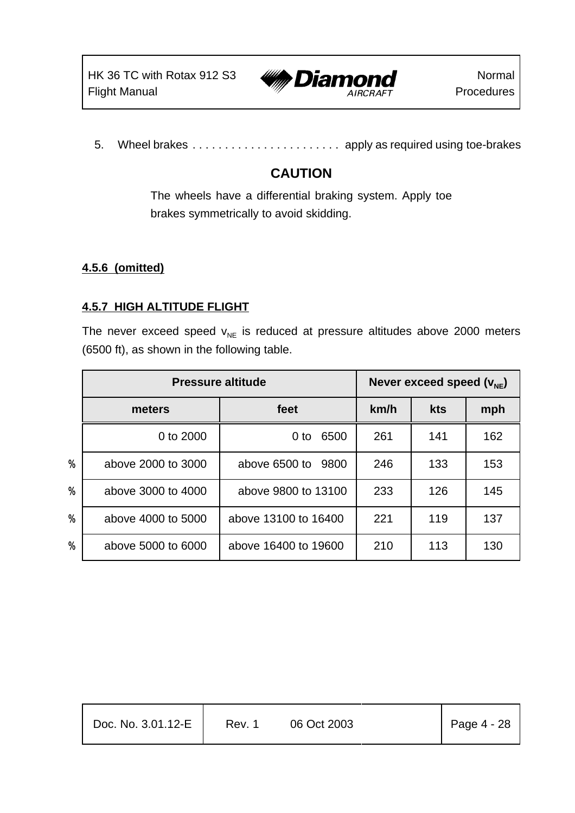

5. Wheel brakes ....................... apply as required using toe-brakes

# **CAUTION**

The wheels have a differential braking system. Apply toe brakes symmetrically to avoid skidding.

### **4.5.6 (omitted)**

### **4.5.7 HIGH ALTITUDE FLIGHT**

The never exceed speed  $v_{NE}$  is reduced at pressure altitudes above 2000 meters (6500 ft), as shown in the following table.

|                   | <b>Pressure altitude</b> |                       | Never exceed speed $(v_{NF})$ |            |     |
|-------------------|--------------------------|-----------------------|-------------------------------|------------|-----|
|                   | meters                   | feet                  | km/h                          | <b>kts</b> | mph |
|                   | 0 to 2000                | 6500<br>0 to          | 261                           | 141        | 162 |
| $\gamma$          | above 2000 to 3000       | above 6500 to<br>9800 | 246                           | 133        | 153 |
| $\gamma$          | above 3000 to 4000       | above 9800 to 13100   | 233                           | 126        | 145 |
| $\boldsymbol{\%}$ | above 4000 to 5000       | above 13100 to 16400  | 221                           | 119        | 137 |
| $\%$              | above 5000 to 6000       | above 16400 to 19600  | 210                           | 113        | 130 |

| Doc. No. 3.01.12-E | Rev. 1 | 06 Oct 2003 | $Page 4 - 28$ |
|--------------------|--------|-------------|---------------|
|                    |        |             |               |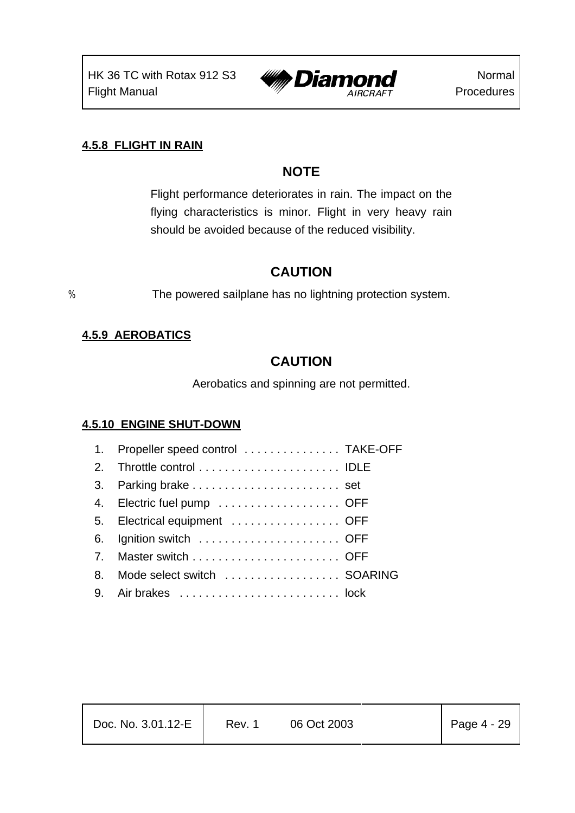

#### **4.5.8 FLIGHT IN RAIN**

# **NOTE**

Flight performance deteriorates in rain. The impact on the flying characteristics is minor. Flight in very heavy rain should be avoided because of the reduced visibility.

### **CAUTION**

% The powered sailplane has no lightning protection system.

#### **4.5.9 AEROBATICS**

## **CAUTION**

Aerobatics and spinning are not permitted.

### **4.5.10 ENGINE SHUT-DOWN**

|                | 1. Propeller speed control  TAKE-OFF |
|----------------|--------------------------------------|
|                |                                      |
|                | 3. Parking brake  set                |
|                | 4. Electric fuel pump  OFF           |
|                | 5. Electrical equipment  OFF         |
|                | 6. Ignition switch  OFF              |
| 7 <sub>1</sub> |                                      |
| 8.             | Mode select switch  SOARING          |
|                |                                      |

Τ

| Doc. No. 3.01.12-E | Rev. 1 | 06 Oct 2003 | $\vert$ Page 4 - 29 |
|--------------------|--------|-------------|---------------------|
|                    |        |             |                     |

Τ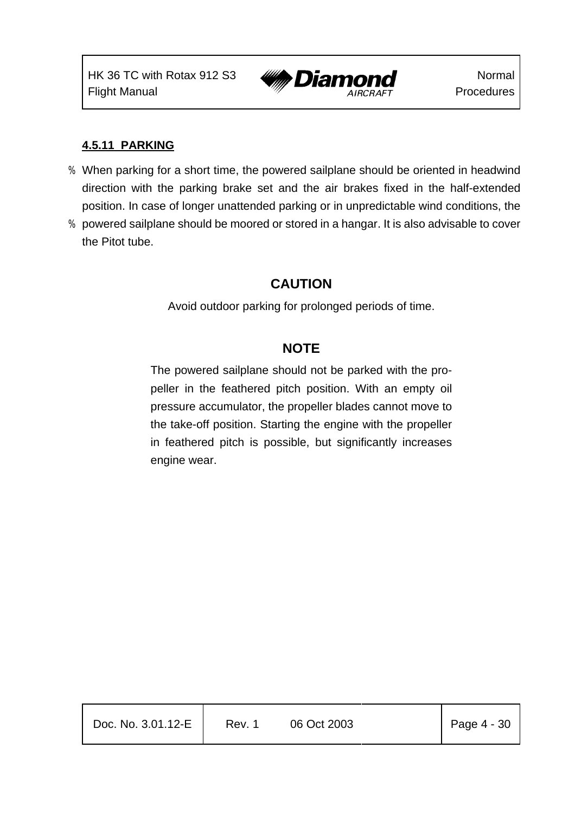HK 36 TC with Rotax 912 S3 Flight Manual



#### **4.5.11 PARKING**

- % When parking for a short time, the powered sailplane should be oriented in headwind direction with the parking brake set and the air brakes fixed in the half-extended position. In case of longer unattended parking or in unpredictable wind conditions, the
- % powered sailplane should be moored or stored in a hangar. It is also advisable to cover the Pitot tube.

### **CAUTION**

Avoid outdoor parking for prolonged periods of time.

### **NOTE**

The powered sailplane should not be parked with the propeller in the feathered pitch position. With an empty oil pressure accumulator, the propeller blades cannot move to the take-off position. Starting the engine with the propeller in feathered pitch is possible, but significantly increases engine wear.

| Doc. No. 3.01.12-E | Rev. 1 | 06 Oct 2003 | Page $4 - 30$ |
|--------------------|--------|-------------|---------------|
|                    |        |             |               |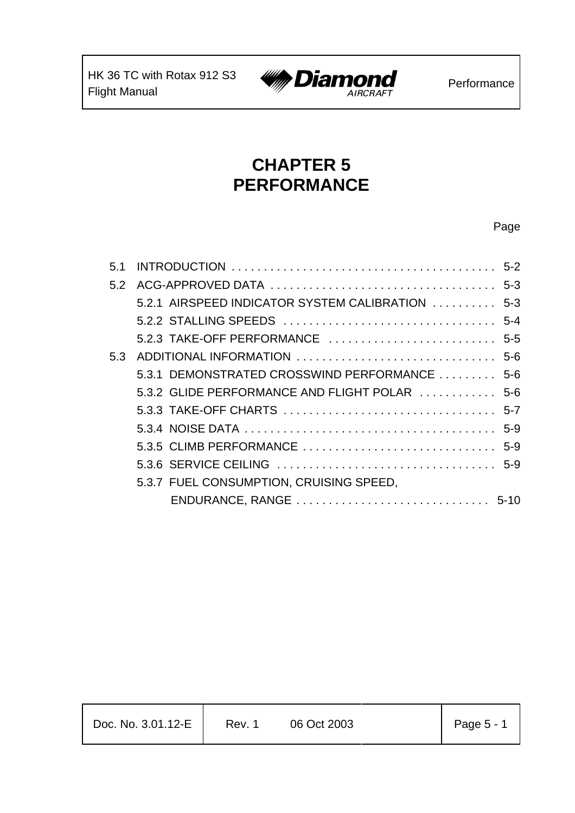

# **CHAPTER 5 PERFORMANCE**

# Page

| 5.1 |                                                  |  |
|-----|--------------------------------------------------|--|
|     |                                                  |  |
|     | 5.2.1 AIRSPEED INDICATOR SYSTEM CALIBRATION  5-3 |  |
|     |                                                  |  |
|     |                                                  |  |
|     |                                                  |  |
|     | 5.3.1 DEMONSTRATED CROSSWIND PERFORMANCE  5-6    |  |
|     | 5.3.2 GLIDE PERFORMANCE AND FLIGHT POLAR  5-6    |  |
|     |                                                  |  |
|     |                                                  |  |
|     |                                                  |  |
|     |                                                  |  |
|     | 5.3.7 FUEL CONSUMPTION, CRUISING SPEED,          |  |
|     |                                                  |  |

| Doc. No. 3.01.12-E<br>06 Oct 2003<br>Rev. 1 |  |  |  |  | Page 5 - 1 |
|---------------------------------------------|--|--|--|--|------------|
|---------------------------------------------|--|--|--|--|------------|

T

 $\overline{\mathsf{T}}$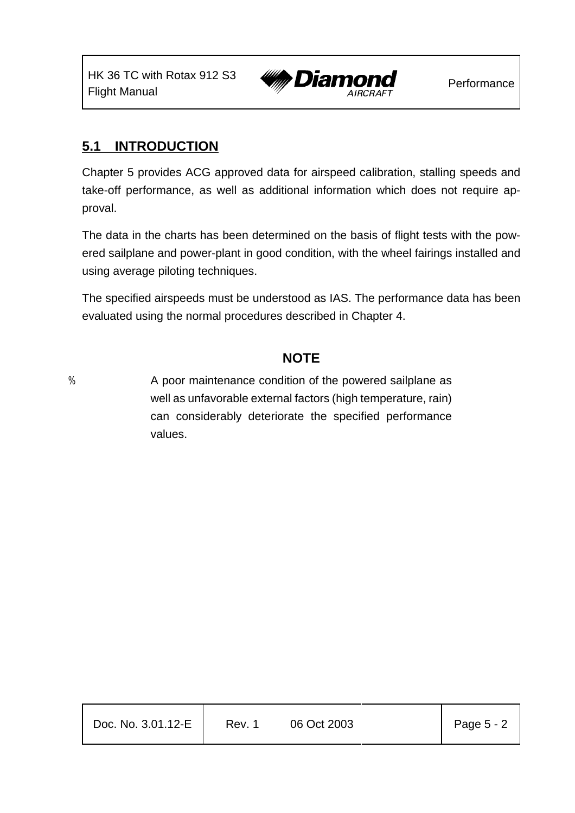

### **5.1 INTRODUCTION**

Chapter 5 provides ACG approved data for airspeed calibration, stalling speeds and take-off performance, as well as additional information which does not require approval.

The data in the charts has been determined on the basis of flight tests with the powered sailplane and power-plant in good condition, with the wheel fairings installed and using average piloting techniques.

The specified airspeeds must be understood as IAS. The performance data has been evaluated using the normal procedures described in Chapter 4.

### **NOTE**

% A poor maintenance condition of the powered sailplane as well as unfavorable external factors (high temperature, rain) can considerably deteriorate the specified performance values.

| Doc. No. 3.01.12-E | Rev. 1 | 06 Oct 2003 | Page 5 - 2 |
|--------------------|--------|-------------|------------|
|                    |        |             |            |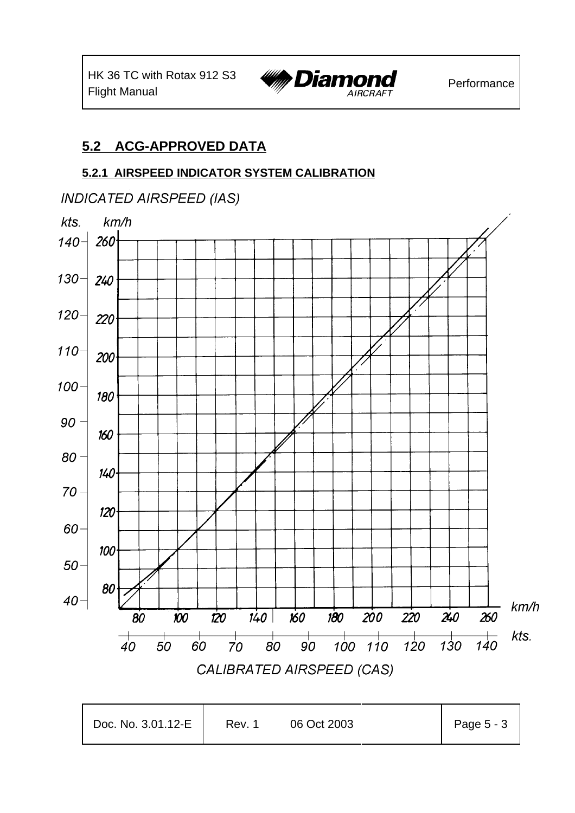

### **5.2 ACG-APPROVED DATA**

### **5.2.1 AIRSPEED INDICATOR SYSTEM CALIBRATION**

### **INDICATED AIRSPEED (IAS)**



| Doc. No. 3.01.12-E | Rev. 1 | 06 Oct 2003 | Page 5 - 3 |
|--------------------|--------|-------------|------------|
|--------------------|--------|-------------|------------|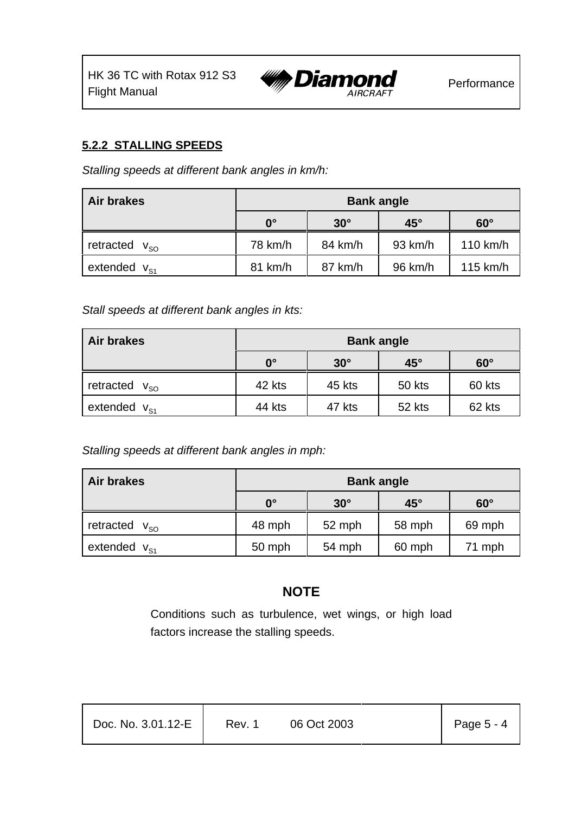

#### **5.2.2 STALLING SPEEDS**

*Stalling speeds at different bank angles in km/h:*

| Air brakes             | <b>Bank angle</b> |            |              |            |  |  |
|------------------------|-------------------|------------|--------------|------------|--|--|
|                        | $0^{\circ}$       | $30^\circ$ | $45^{\circ}$ | $60^\circ$ |  |  |
| retracted $V_{\rm so}$ | 78 km/h           | 84 km/h    | 93 km/h      | 110 km/h   |  |  |
| extended $V_{S1}$      | 81 km/h           | 87 km/h    | 96 km/h      | $115$ km/h |  |  |

*Stall speeds at different bank angles in kts:*

| <b>Air brakes</b>      | <b>Bank angle</b> |            |              |            |  |  |
|------------------------|-------------------|------------|--------------|------------|--|--|
|                        | $0^{\circ}$       | $30^\circ$ | $45^{\circ}$ | $60^\circ$ |  |  |
| retracted $v_{\rm so}$ | 42 kts            | 45 kts     | 50 kts       | 60 kts     |  |  |
| extended $V_{S1}$      | 44 kts            | 47 kts     | 52 kts       | 62 kts     |  |  |

*Stalling speeds at different bank angles in mph:*

| Air brakes             | <b>Bank angle</b> |            |              |            |  |  |
|------------------------|-------------------|------------|--------------|------------|--|--|
|                        | $0^{\circ}$       | $30^\circ$ | $45^{\circ}$ | $60^\circ$ |  |  |
| retracted $V_{\rm SO}$ | 48 mph            | 52 mph     | 58 mph       | 69 mph     |  |  |
| extended $V_{S1}$      | 50 mph            | 54 mph     | 60 mph       | 71 mph     |  |  |

### **NOTE**

Conditions such as turbulence, wet wings, or high load factors increase the stalling speeds.

| Doc. No. 3.01.12-E | Rev. 1 | 06 Oct 2003 | Page 5 - 4 |
|--------------------|--------|-------------|------------|
|                    |        |             |            |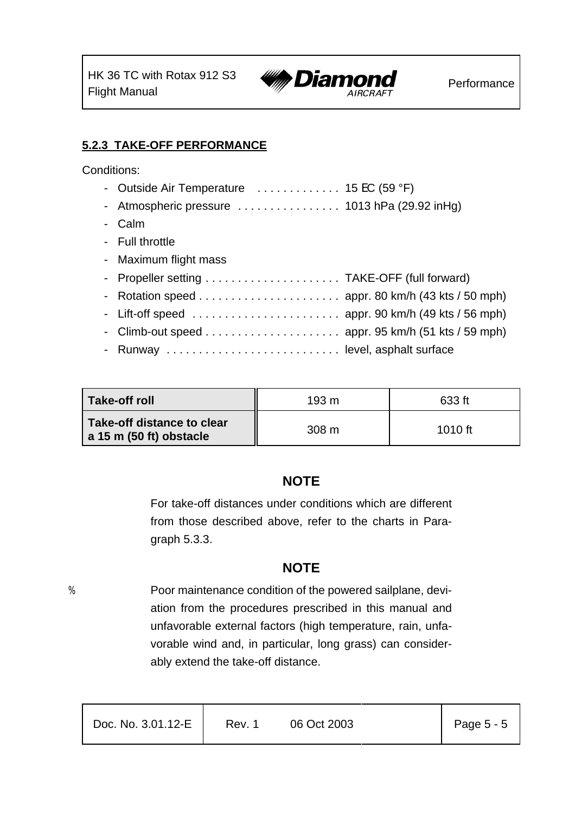

### **5.2.3 TAKE-OFF PERFORMANCE**

Conditions:

- Outside Air Temperature  $\dots\dots\dots\dots$  15 EC (59 °F) - Atmospheric pressure  $\dots\dots\dots\dots\dots$  1013 hPa (29.92 inHg) - Calm - Full throttle - Maximum flight mass - Propeller setting . . . . . . . . . . . . . . . . . . . . . TAKE-OFF (full forward) - Rotation speed ...................... appr. 80 km/h (43 kts / 50 mph) - Lift-off speed  $\ldots \ldots \ldots \ldots \ldots \ldots$  appr. 90 km/h (49 kts / 56 mph) - Climb-out speed ..................... appr. 95 km/h (51 kts / 59 mph) - Runway ........................... level, asphalt surface

| <b>Take-off roll</b>                                    | 193 m            | 633 ft    |
|---------------------------------------------------------|------------------|-----------|
| Take-off distance to clear<br>$a$ 15 m (50 ft) obstacle | 308 <sub>m</sub> | $1010$ ft |

# **NOTE**

For take-off distances under conditions which are different from those described above, refer to the charts in Paragraph 5.3.3.

### **NOTE**

% Poor maintenance condition of the powered sailplane, deviation from the procedures prescribed in this manual and unfavorable external factors (high temperature, rain, unfavorable wind and, in particular, long grass) can considerably extend the take-off distance.

| Doc. No. 3.01.12-E | Rev. 1 | 06 Oct 2003 | Page $5 - 5$ |
|--------------------|--------|-------------|--------------|
|                    |        |             |              |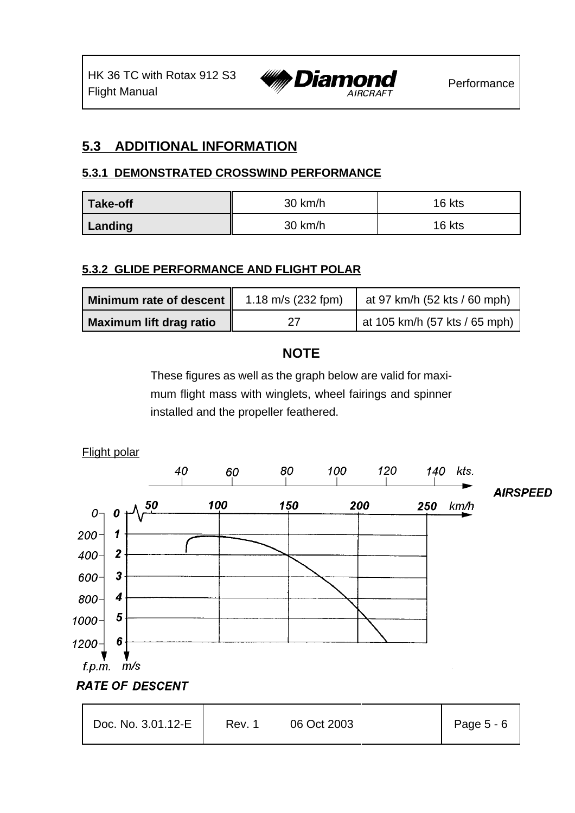

### **5.3 ADDITIONAL INFORMATION**

#### **5.3.1 DEMONSTRATED CROSSWIND PERFORMANCE**

| <b>Take-off</b> | 30 km/h           | 16 kts |
|-----------------|-------------------|--------|
| Landing         | $30 \text{ km/h}$ | 16 kts |

### **5.3.2 GLIDE PERFORMANCE AND FLIGHT POLAR**

| Minimum rate of descent        | 1.18 m/s $(232$ fpm) | at 97 km/h (52 kts / 60 mph)    |
|--------------------------------|----------------------|---------------------------------|
| <b>Maximum lift drag ratio</b> |                      | at 105 km/h $(57$ kts / 65 mph) |

### **NOTE**

These figures as well as the graph below are valid for maximum flight mass with winglets, wheel fairings and spinner installed and the propeller feathered.

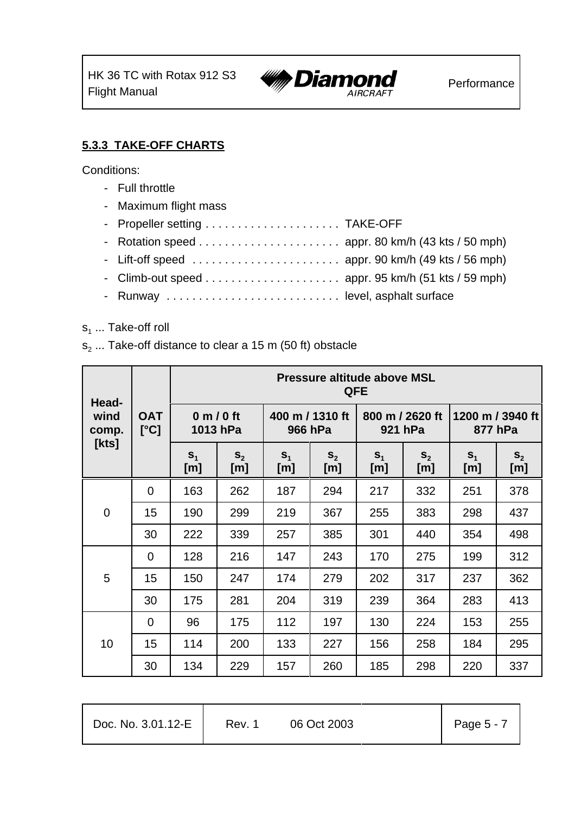

### **5.3.3 TAKE-OFF CHARTS**

Conditions:

- Full throttle
- Maximum flight mass
- Propeller setting . . . . . . . . . . . . . . . . . . . . . TAKE-OFF
- Rotation speed ...................... appr. 80 km/h (43 kts / 50 mph)
- Lift-off speed ....................... appr. 90 km/h (49 kts / 56 mph)
- Climb-out speed ..................... appr. 95 km/h (51 kts / 59 mph)
- Runway . . . . . . . . . . . . . . . . . . . . . . . . . . . level, asphalt surface

#### s<sub>1</sub> ... Take-off roll

s<sub>2</sub> ... Take-off distance to clear a 15 m (50 ft) obstacle

| Head-                  |                    | <b>Pressure altitude above MSL</b><br><b>QFE</b> |                        |                       |                            |                       |                            |                       |                       |  |
|------------------------|--------------------|--------------------------------------------------|------------------------|-----------------------|----------------------------|-----------------------|----------------------------|-----------------------|-----------------------|--|
| wind<br>comp.<br>[kts] | <b>OAT</b><br>[°C] |                                                  | 0 m / 0 ft<br>1013 hPa |                       | 400 m / 1310 ft<br>966 hPa |                       | 800 m / 2620 ft<br>921 hPa | 877 hPa               | 1200 m / 3940 ft      |  |
|                        |                    | S <sub>1</sub><br>[m]                            | S <sub>2</sub><br>[m]  | S <sub>1</sub><br>[m] | S <sub>2</sub><br>[m]      | S <sub>1</sub><br>[m] | S <sub>2</sub><br>[m]      | S <sub>1</sub><br>[m] | S <sub>2</sub><br>[m] |  |
|                        | $\overline{0}$     | 163                                              | 262                    | 187                   | 294                        | 217                   | 332                        | 251                   | 378                   |  |
| $\mathbf 0$            | 15                 | 190                                              | 299                    | 219                   | 367                        | 255                   | 383                        | 298                   | 437                   |  |
|                        | 30                 | 222                                              | 339                    | 257                   | 385                        | 301                   | 440                        | 354                   | 498                   |  |
|                        | $\overline{0}$     | 128                                              | 216                    | 147                   | 243                        | 170                   | 275                        | 199                   | 312                   |  |
| 5                      | 15                 | 150                                              | 247                    | 174                   | 279                        | 202                   | 317                        | 237                   | 362                   |  |
|                        | 30                 | 175                                              | 281                    | 204                   | 319                        | 239                   | 364                        | 283                   | 413                   |  |
|                        | $\Omega$           | 96                                               | 175                    | 112                   | 197                        | 130                   | 224                        | 153                   | 255                   |  |
| 10                     | 15                 | 114                                              | 200                    | 133                   | 227                        | 156                   | 258                        | 184                   | 295                   |  |
|                        | 30                 | 134                                              | 229                    | 157                   | 260                        | 185                   | 298                        | 220                   | 337                   |  |

| Doc. No. 3.01.12-E | Rev. 1 | 06 Oct 2003 | Page 5 - 7 |
|--------------------|--------|-------------|------------|
|--------------------|--------|-------------|------------|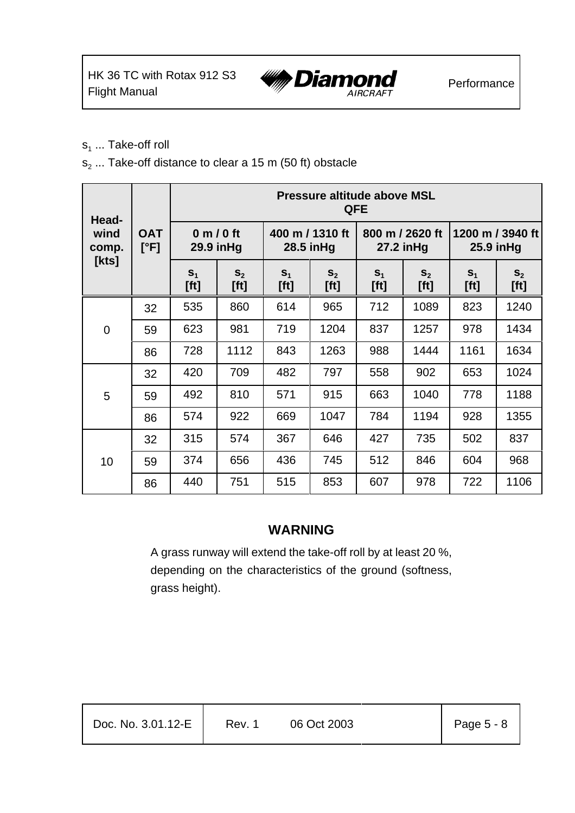

- $s_1$  ... Take-off roll
- $s_2$  ... Take-off distance to clear a 15 m (50 ft) obstacle

| Head-                  |                                      | <b>Pressure altitude above MSL</b><br><b>QFE</b> |                          |                        |                               |                        |                               |                        |                                |  |
|------------------------|--------------------------------------|--------------------------------------------------|--------------------------|------------------------|-------------------------------|------------------------|-------------------------------|------------------------|--------------------------------|--|
| wind<br>comp.<br>[kts] | <b>OAT</b><br>$[\mathrm{^{\circ}F}]$ |                                                  | 0 m / 0 ft<br>29.9 in Hg |                        | 400 m / 1310 ft<br>28.5 in Hg |                        | 800 m / 2620 ft<br>27.2 in Hg |                        | 1200 m / 3940 ft<br>25.9 in Hg |  |
|                        |                                      | S <sub>1</sub><br>[ft]                           | $S_{2}$<br>[ft]          | S <sub>1</sub><br>[ft] | S <sub>2</sub><br>[ft]        | S <sub>1</sub><br>[ft] | $S_{2}$<br>[ft]               | S <sub>1</sub><br>[ft] | S <sub>2</sub><br>[ft]         |  |
|                        | 32                                   | 535                                              | 860                      | 614                    | 965                           | 712                    | 1089                          | 823                    | 1240                           |  |
| $\overline{0}$         | 59                                   | 623                                              | 981                      | 719                    | 1204                          | 837                    | 1257                          | 978                    | 1434                           |  |
|                        | 86                                   | 728                                              | 1112                     | 843                    | 1263                          | 988                    | 1444                          | 1161                   | 1634                           |  |
|                        | 32                                   | 420                                              | 709                      | 482                    | 797                           | 558                    | 902                           | 653                    | 1024                           |  |
| 5                      | 59                                   | 492                                              | 810                      | 571                    | 915                           | 663                    | 1040                          | 778                    | 1188                           |  |
|                        | 86                                   | 574                                              | 922                      | 669                    | 1047                          | 784                    | 1194                          | 928                    | 1355                           |  |
|                        | 32                                   | 315                                              | 574                      | 367                    | 646                           | 427                    | 735                           | 502                    | 837                            |  |
| 10                     | 59                                   | 374                                              | 656                      | 436                    | 745                           | 512                    | 846                           | 604                    | 968                            |  |
|                        | 86                                   | 440                                              | 751                      | 515                    | 853                           | 607                    | 978                           | 722                    | 1106                           |  |

### **WARNING**

A grass runway will extend the take-off roll by at least 20 %, depending on the characteristics of the ground (softness, grass height).

| Doc. No. 3.01.12-E | Rev. 1 | 06 Oct 2003 | Page $5 - 8$ |
|--------------------|--------|-------------|--------------|
|                    |        |             |              |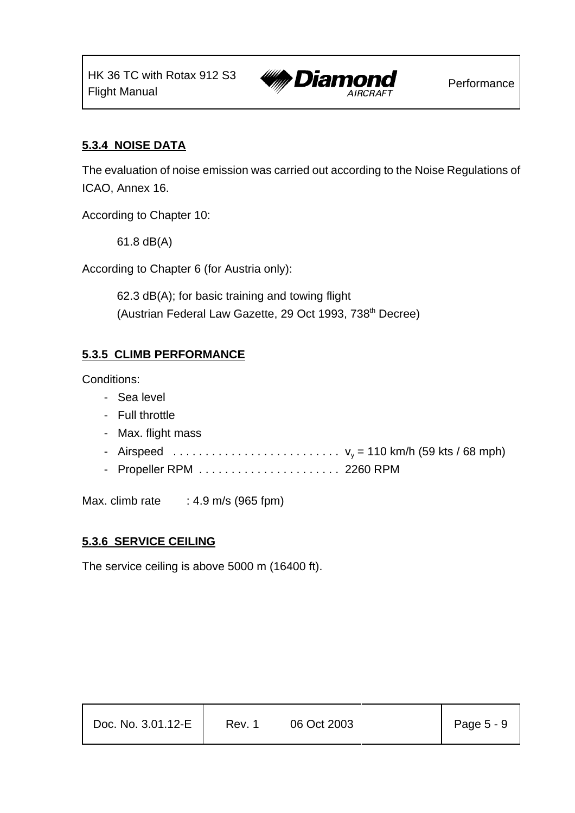

#### **5.3.4 NOISE DATA**

The evaluation of noise emission was carried out according to the Noise Regulations of ICAO, Annex 16.

According to Chapter 10:

61.8 dB(A)

According to Chapter 6 (for Austria only):

62.3 dB(A); for basic training and towing flight (Austrian Federal Law Gazette, 29 Oct 1993, 738<sup>th</sup> Decree)

#### **5.3.5 CLIMB PERFORMANCE**

Conditions:

- Sea level
- Full throttle
- Max. flight mass
- Airspeed .......................... vy = 110 km/h (59 kts / 68 mph)
- Propeller RPM . . . . . . . . . . . . . . . . . . . . . . 2260 RPM

Max. climb rate  $\therefore$  4.9 m/s (965 fpm)

#### **5.3.6 SERVICE CEILING**

The service ceiling is above 5000 m (16400 ft).

| Doc. No. 3.01.12-E | Rev. 1 | 06 Oct 2003 | Page $5 - 9$ |
|--------------------|--------|-------------|--------------|
|--------------------|--------|-------------|--------------|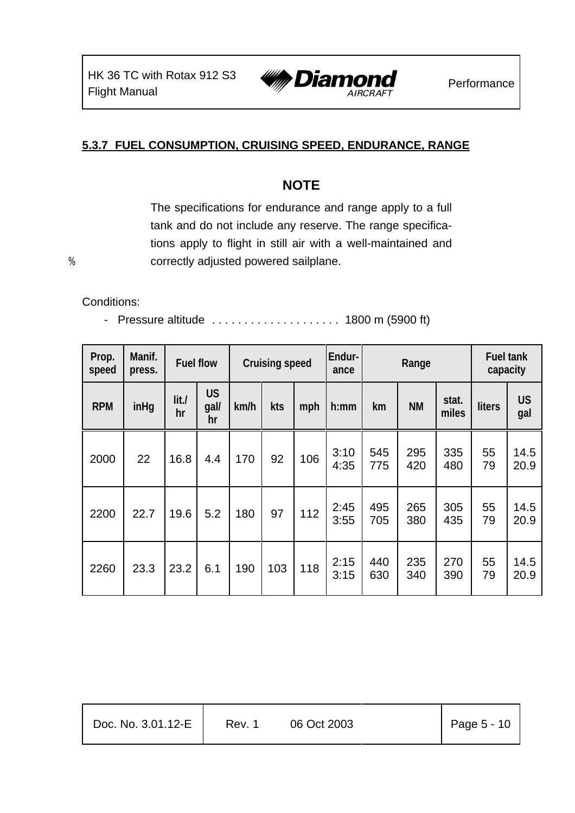

### **5.3.7 FUEL CONSUMPTION, CRUISING SPEED, ENDURANCE, RANGE**

### **NOTE**

The specifications for endurance and range apply to a full tank and do not include any reserve. The range specifications apply to flight in still air with a well-maintained and % correctly adjusted powered sailplane.

Conditions:

- Pressure altitude ....................... 1800 m (5900 ft)

| Prop.<br>speed | Manif.<br>press. |            | <b>Fuel flow</b>        |      | Endur-<br><b>Cruising speed</b><br>Range<br>ance |     |              |            | <b>Fuel tank</b><br>capacity |                |          |                  |
|----------------|------------------|------------|-------------------------|------|--------------------------------------------------|-----|--------------|------------|------------------------------|----------------|----------|------------------|
| <b>RPM</b>     | inHg             | lit.<br>hr | <b>US</b><br>gal/<br>hr | km/h | kts                                              | mph | h:mm         | km         | <b>NM</b>                    | stat.<br>miles | liters   | <b>US</b><br>gal |
| 2000           | 22               | 16.8       | 4.4                     | 170  | 92                                               | 106 | 3:10<br>4:35 | 545<br>775 | 295<br>420                   | 335<br>480     | 55<br>79 | 14.5<br>20.9     |
| 2200           | 22.7             | 19.6       | 5.2                     | 180  | 97                                               | 112 | 2:45<br>3:55 | 495<br>705 | 265<br>380                   | 305<br>435     | 55<br>79 | 14.5<br>20.9     |
| 2260           | 23.3             | 23.2       | 6.1                     | 190  | 103                                              | 118 | 2:15<br>3:15 | 440<br>630 | 235<br>340                   | 270<br>390     | 55<br>79 | 14.5<br>20.9     |

| Doc. No. 3.01.12-E | Rev. 1 | 06 Oct 2003 | Page $5 - 10$ |
|--------------------|--------|-------------|---------------|
|--------------------|--------|-------------|---------------|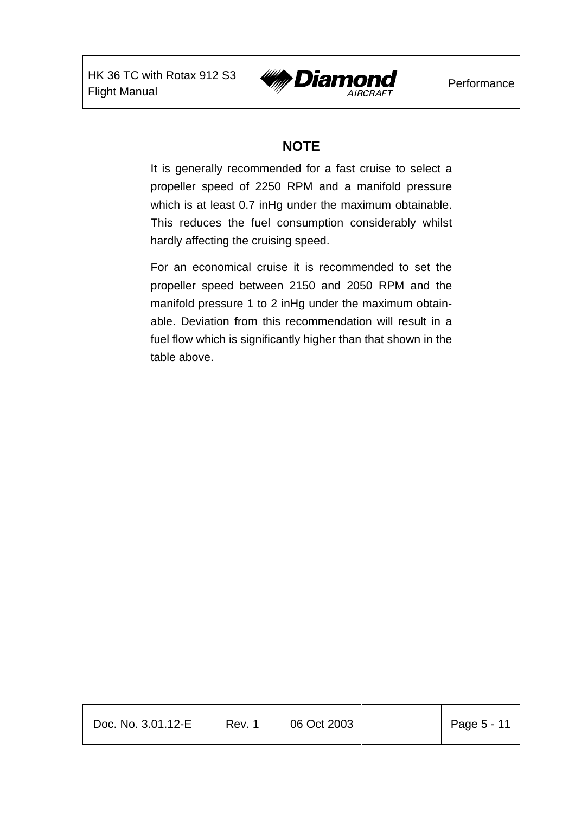

### **NOTE**

It is generally recommended for a fast cruise to select a propeller speed of 2250 RPM and a manifold pressure which is at least 0.7 inHg under the maximum obtainable. This reduces the fuel consumption considerably whilst hardly affecting the cruising speed.

For an economical cruise it is recommended to set the propeller speed between 2150 and 2050 RPM and the manifold pressure 1 to 2 inHg under the maximum obtainable. Deviation from this recommendation will result in a fuel flow which is significantly higher than that shown in the table above.

| Doc. No. 3.01.12-E | Rev. 1 | 06 Oct 2003 | $\vert$ Page 5 - 11 |
|--------------------|--------|-------------|---------------------|
|                    |        |             |                     |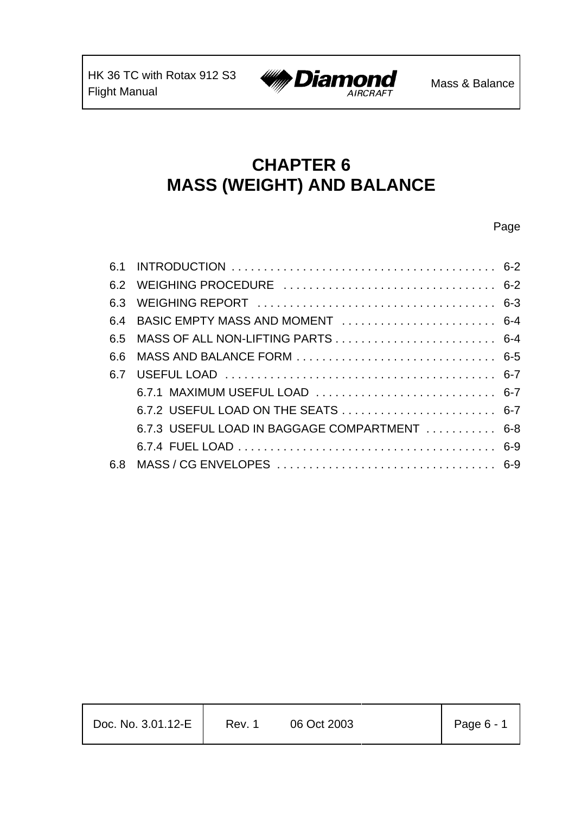

# **CHAPTER 6 MASS (WEIGHT) AND BALANCE**

#### Page

| 6.4 BASIC EMPTY MASS AND MOMENT  6-4 |                                                                                                                        |
|--------------------------------------|------------------------------------------------------------------------------------------------------------------------|
|                                      |                                                                                                                        |
|                                      |                                                                                                                        |
|                                      |                                                                                                                        |
|                                      |                                                                                                                        |
|                                      |                                                                                                                        |
|                                      |                                                                                                                        |
|                                      |                                                                                                                        |
|                                      |                                                                                                                        |
|                                      | 6.7.1 MAXIMUM USEFUL LOAD  6-7<br>6.7.2 USEFUL LOAD ON THE SEATS  6-7<br>6.7.3 USEFUL LOAD IN BAGGAGE COMPARTMENT  6-8 |

| Doc. No. 3.01.12-E | Rev. 1 | 06 Oct 2003 | Page $6 - 1$ |
|--------------------|--------|-------------|--------------|
|--------------------|--------|-------------|--------------|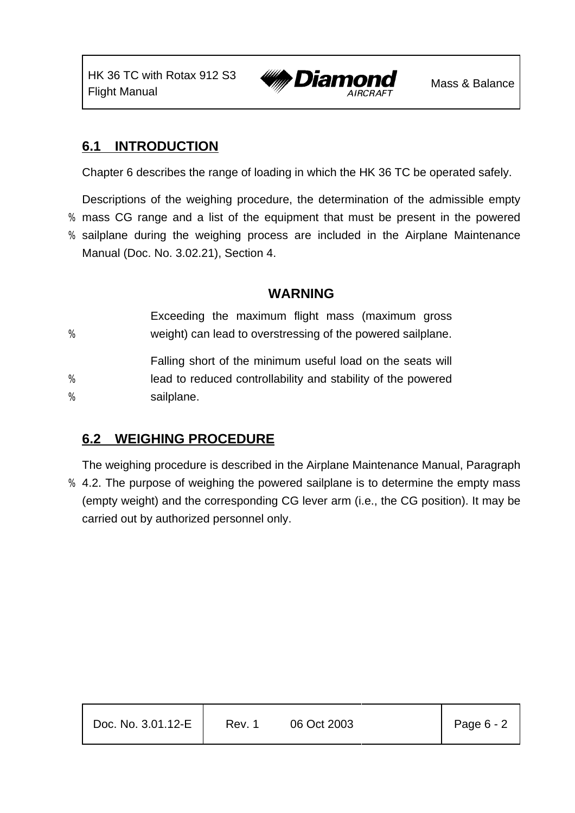

### **6.1 INTRODUCTION**

Chapter 6 describes the range of loading in which the HK 36 TC be operated safely.

Descriptions of the weighing procedure, the determination of the admissible empty

% mass CG range and a list of the equipment that must be present in the powered

% sailplane during the weighing process are included in the Airplane Maintenance Manual (Doc. No. 3.02.21), Section 4.

### **WARNING**

| %      | Exceeding the maximum flight mass (maximum gross<br>weight) can lead to overstressing of the powered sailplane.                          |
|--------|------------------------------------------------------------------------------------------------------------------------------------------|
| %<br>% | Falling short of the minimum useful load on the seats will<br>lead to reduced controllability and stability of the powered<br>sailplane. |

### **6.2 WEIGHING PROCEDURE**

The weighing procedure is described in the Airplane Maintenance Manual, Paragraph % 4.2. The purpose of weighing the powered sailplane is to determine the empty mass (empty weight) and the corresponding CG lever arm (i.e., the CG position). It may be carried out by authorized personnel only.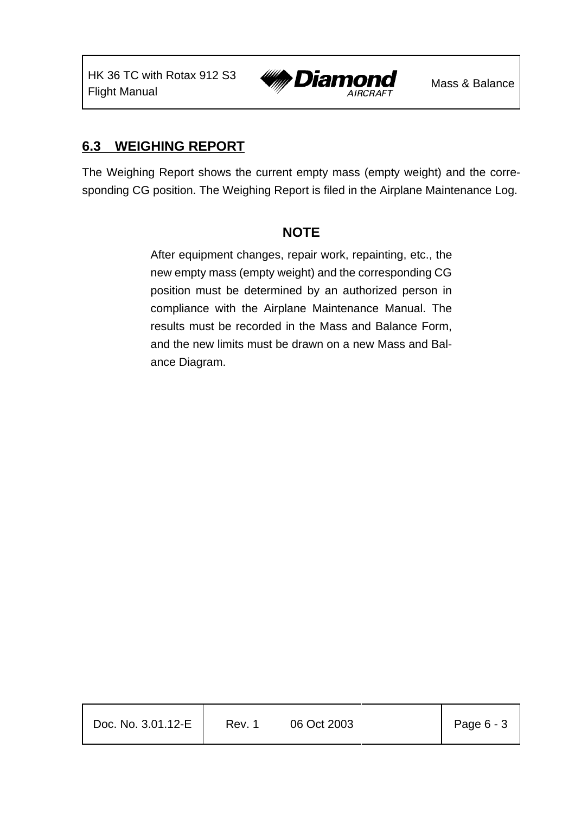

### **6.3 WEIGHING REPORT**

The Weighing Report shows the current empty mass (empty weight) and the corresponding CG position. The Weighing Report is filed in the Airplane Maintenance Log.

### **NOTE**

After equipment changes, repair work, repainting, etc., the new empty mass (empty weight) and the corresponding CG position must be determined by an authorized person in compliance with the Airplane Maintenance Manual. The results must be recorded in the Mass and Balance Form, and the new limits must be drawn on a new Mass and Balance Diagram.

| Doc. No. 3.01.12-E | Rev. 1 | 06 Oct 2003 | Page 6 - 3 |
|--------------------|--------|-------------|------------|
|                    |        |             |            |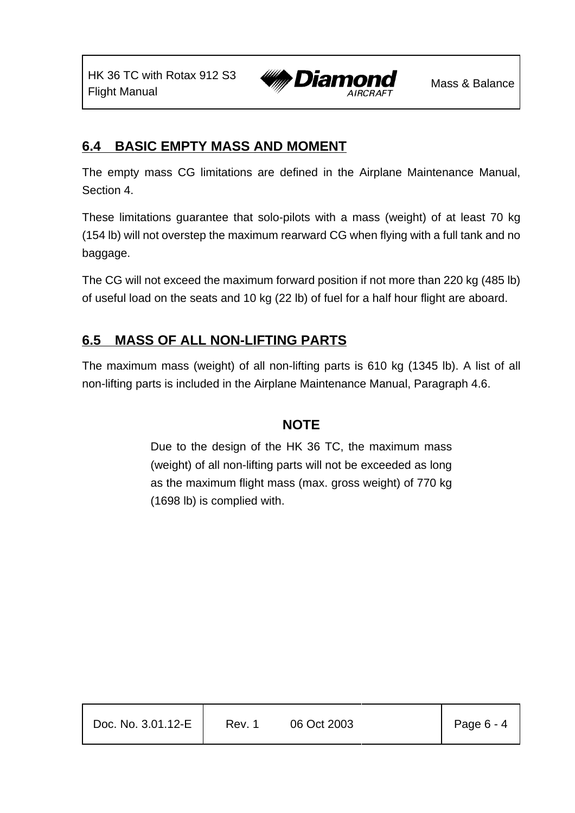

### **6.4 BASIC EMPTY MASS AND MOMENT**

The empty mass CG limitations are defined in the Airplane Maintenance Manual, Section 4.

These limitations guarantee that solo-pilots with a mass (weight) of at least 70 kg (154 lb) will not overstep the maximum rearward CG when flying with a full tank and no baggage.

The CG will not exceed the maximum forward position if not more than 220 kg (485 lb) of useful load on the seats and 10 kg (22 lb) of fuel for a half hour flight are aboard.

### **6.5 MASS OF ALL NON-LIFTING PARTS**

The maximum mass (weight) of all non-lifting parts is 610 kg (1345 lb). A list of all non-lifting parts is included in the Airplane Maintenance Manual, Paragraph 4.6.

### **NOTE**

Due to the design of the HK 36 TC, the maximum mass (weight) of all non-lifting parts will not be exceeded as long as the maximum flight mass (max. gross weight) of 770 kg (1698 lb) is complied with.

| Doc. No. 3.01.12-E | Rev. 1 | 06 Oct 2003 | $\vert$ Page 6 - 4 |
|--------------------|--------|-------------|--------------------|
|                    |        |             |                    |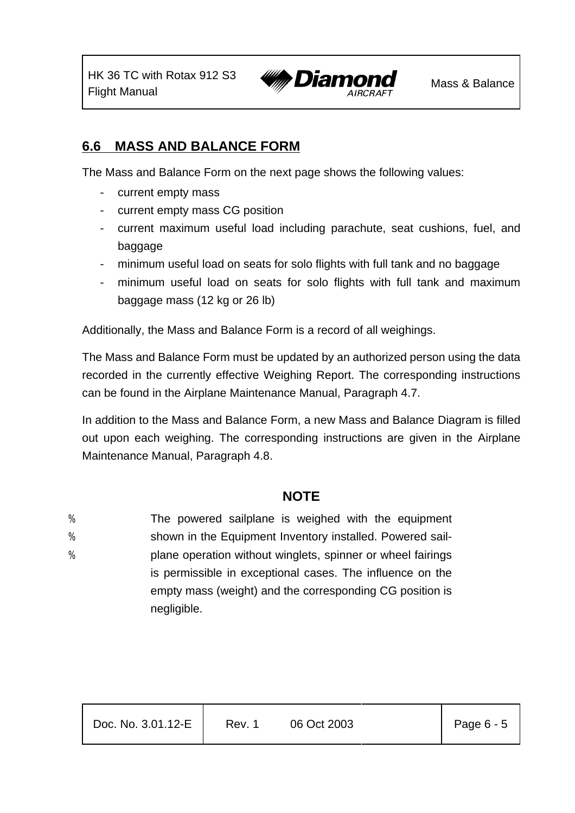

### **6.6 MASS AND BALANCE FORM**

The Mass and Balance Form on the next page shows the following values:

- current empty mass
- current empty mass CG position
- current maximum useful load including parachute, seat cushions, fuel, and baggage
- minimum useful load on seats for solo flights with full tank and no baggage
- minimum useful load on seats for solo flights with full tank and maximum baggage mass (12 kg or 26 lb)

Additionally, the Mass and Balance Form is a record of all weighings.

The Mass and Balance Form must be updated by an authorized person using the data recorded in the currently effective Weighing Report. The corresponding instructions can be found in the Airplane Maintenance Manual, Paragraph 4.7.

In addition to the Mass and Balance Form, a new Mass and Balance Diagram is filled out upon each weighing. The corresponding instructions are given in the Airplane Maintenance Manual, Paragraph 4.8.

### **NOTE**

- % The powered sailplane is weighed with the equipment
- % shown in the Equipment Inventory installed. Powered sail-
- % plane operation without winglets, spinner or wheel fairings is permissible in exceptional cases. The influence on the empty mass (weight) and the corresponding CG position is negligible.

| Doc. No. 3.01.12-E | Rev. 1 | 06 Oct 2003 | Page 6 - 5 |
|--------------------|--------|-------------|------------|
|                    |        |             |            |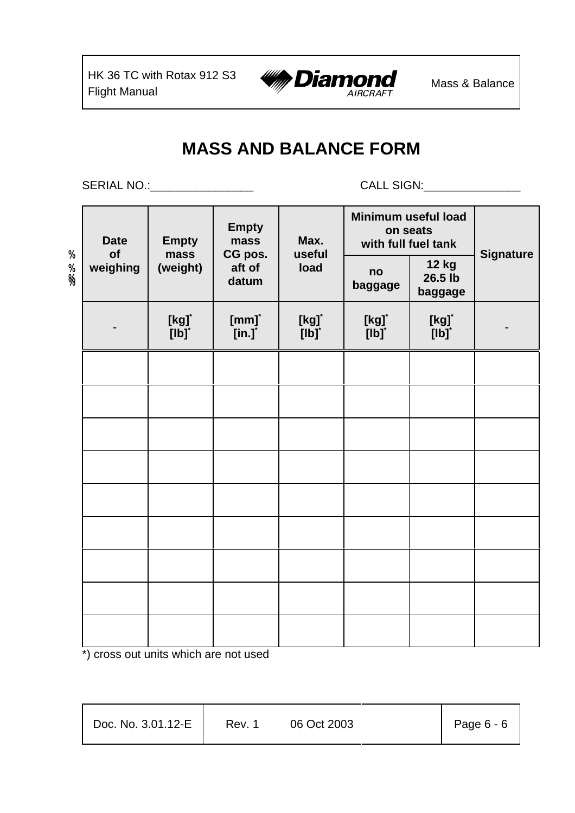

# **MASS AND BALANCE FORM**

SERIAL NO.:\_\_\_\_\_\_\_\_\_\_\_\_\_\_\_\_ CALL SIGN:\_\_\_\_\_\_\_\_\_\_\_\_\_\_\_

| X      | <b>Date</b><br>of | <b>Empty</b><br>mass                          | <b>Empty</b><br>mass                       | Max.<br>useful                         | Minimum useful load<br>on seats<br>with full fuel tank            | <b>Signature</b>                       |  |
|--------|-------------------|-----------------------------------------------|--------------------------------------------|----------------------------------------|-------------------------------------------------------------------|----------------------------------------|--|
| %<br>% | weighing          | (weight)                                      | CG pos.<br>aft of<br>datum                 | load                                   | no<br>baggage                                                     | <b>12 kg</b><br>26.5 lb<br>baggage     |  |
|        |                   | $\begin{bmatrix} \mathsf{kg} \end{bmatrix}^*$ | [mm]<br>$\overline{[}$ in.] $\overline{ }$ | [kg] <sup>*</sup><br>[lb] <sup>*</sup> | $\begin{bmatrix} \mathsf{kgj}^* \\ \mathsf{[lb]}^* \end{bmatrix}$ | [kg] <sup>*</sup><br>[lb] <sup>*</sup> |  |
|        |                   |                                               |                                            |                                        |                                                                   |                                        |  |
|        |                   |                                               |                                            |                                        |                                                                   |                                        |  |
|        |                   |                                               |                                            |                                        |                                                                   |                                        |  |
|        |                   |                                               |                                            |                                        |                                                                   |                                        |  |
|        |                   |                                               |                                            |                                        |                                                                   |                                        |  |
|        |                   |                                               |                                            |                                        |                                                                   |                                        |  |
|        |                   |                                               |                                            |                                        |                                                                   |                                        |  |
|        |                   |                                               |                                            |                                        |                                                                   |                                        |  |
|        |                   |                                               |                                            |                                        |                                                                   |                                        |  |

\*) cross out units which are not used

| Doc. No. 3.01.12-E | Rev. 1 | 06 Oct 2003 | Page $6 - 6$ |
|--------------------|--------|-------------|--------------|
|                    |        |             |              |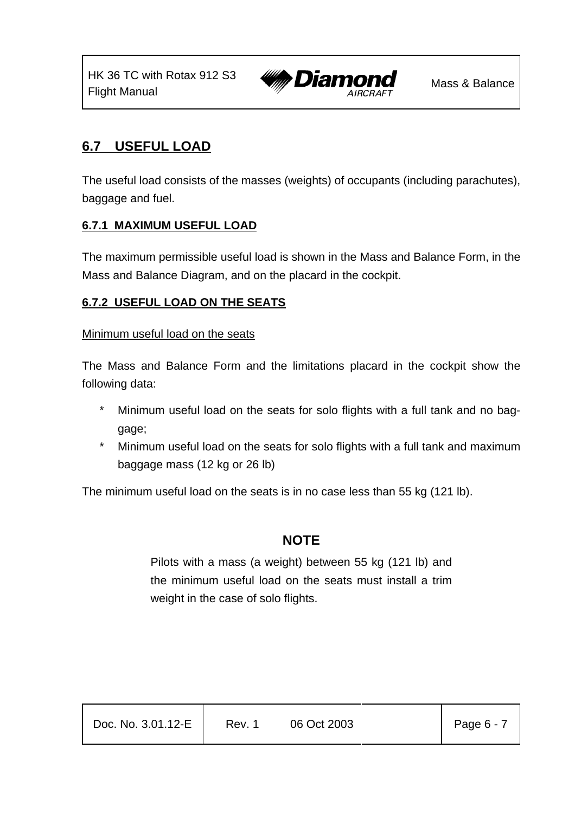

### **6.7 USEFUL LOAD**

The useful load consists of the masses (weights) of occupants (including parachutes), baggage and fuel.

### **6.7.1 MAXIMUM USEFUL LOAD**

The maximum permissible useful load is shown in the Mass and Balance Form, in the Mass and Balance Diagram, and on the placard in the cockpit.

#### **6.7.2 USEFUL LOAD ON THE SEATS**

#### Minimum useful load on the seats

The Mass and Balance Form and the limitations placard in the cockpit show the following data:

- \* Minimum useful load on the seats for solo flights with a full tank and no baggage;
- \* Minimum useful load on the seats for solo flights with a full tank and maximum baggage mass (12 kg or 26 lb)

The minimum useful load on the seats is in no case less than 55 kg (121 lb).

### **NOTE**

Pilots with a mass (a weight) between 55 kg (121 lb) and the minimum useful load on the seats must install a trim weight in the case of solo flights.

| Doc. No. 3.01.12-E | Rev. 1 | 06 Oct 2003 | Page $6 - 7$ |
|--------------------|--------|-------------|--------------|
|                    |        |             |              |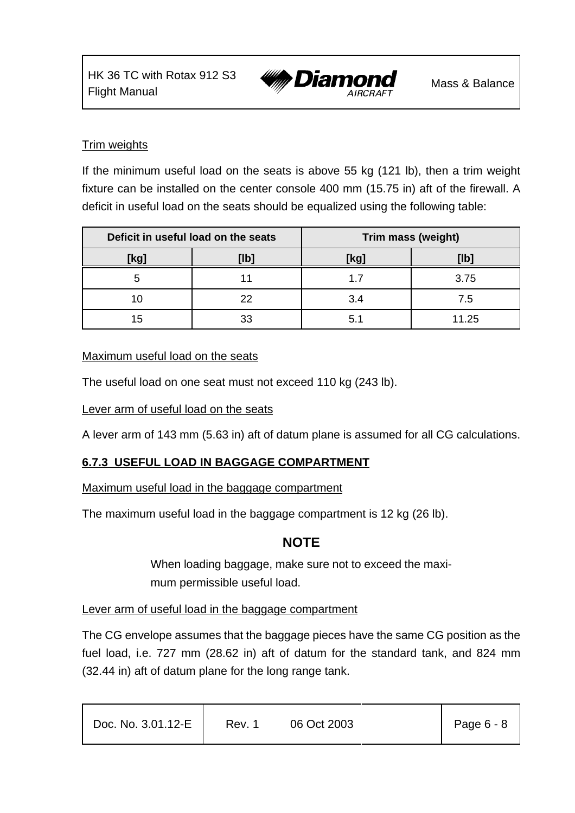

#### Trim weights

If the minimum useful load on the seats is above 55 kg (121 lb), then a trim weight fixture can be installed on the center console 400 mm (15.75 in) aft of the firewall. A deficit in useful load on the seats should be equalized using the following table:

| Deficit in useful load on the seats |      | Trim mass (weight) |       |
|-------------------------------------|------|--------------------|-------|
| [kg]                                | [lb] | [kg]               | [lb]  |
|                                     |      |                    | 3.75  |
|                                     | 22   | 3.4                | 7.5   |
| 15                                  | 33   | 5.                 | 11.25 |

#### Maximum useful load on the seats

The useful load on one seat must not exceed 110 kg (243 lb).

Lever arm of useful load on the seats

A lever arm of 143 mm (5.63 in) aft of datum plane is assumed for all CG calculations.

### **6.7.3 USEFUL LOAD IN BAGGAGE COMPARTMENT**

Maximum useful load in the baggage compartment

The maximum useful load in the baggage compartment is 12 kg (26 lb).

### **NOTE**

When loading baggage, make sure not to exceed the maximum permissible useful load.

#### Lever arm of useful load in the baggage compartment

The CG envelope assumes that the baggage pieces have the same CG position as the fuel load, i.e. 727 mm (28.62 in) aft of datum for the standard tank, and 824 mm (32.44 in) aft of datum plane for the long range tank.

| Doc. No. 3.01.12-E | Rev. 1 | 06 Oct 2003 | Page $6 - 8$ |  |
|--------------------|--------|-------------|--------------|--|
|                    |        |             |              |  |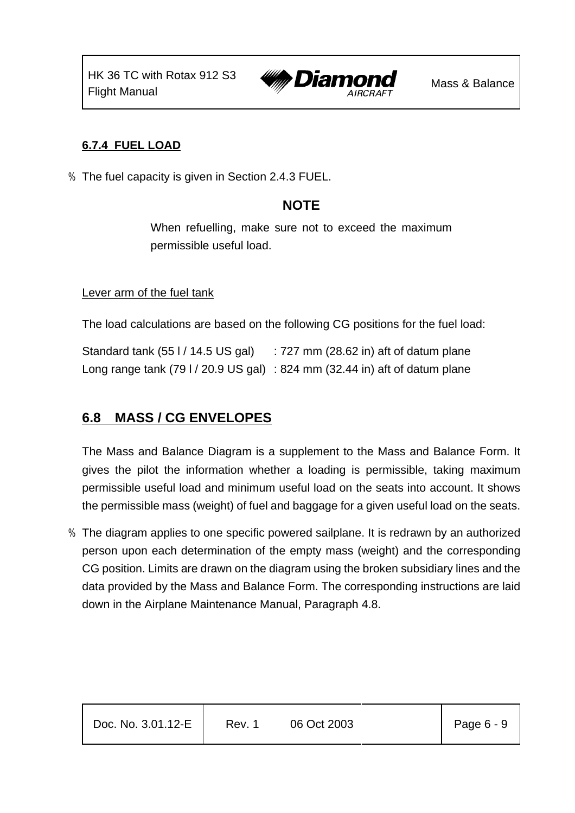

### **6.7.4 FUEL LOAD**

% The fuel capacity is given in Section 2.4.3 FUEL.

### **NOTE**

When refuelling, make sure not to exceed the maximum permissible useful load.

#### Lever arm of the fuel tank

The load calculations are based on the following CG positions for the fuel load:

Standard tank (55 l / 14.5 US gal) : 727 mm (28.62 in) aft of datum plane Long range tank (79 l / 20.9 US gal) : 824 mm (32.44 in) aft of datum plane

### **6.8 MASS / CG ENVELOPES**

The Mass and Balance Diagram is a supplement to the Mass and Balance Form. It gives the pilot the information whether a loading is permissible, taking maximum permissible useful load and minimum useful load on the seats into account. It shows the permissible mass (weight) of fuel and baggage for a given useful load on the seats.

% The diagram applies to one specific powered sailplane. It is redrawn by an authorized person upon each determination of the empty mass (weight) and the corresponding CG position. Limits are drawn on the diagram using the broken subsidiary lines and the data provided by the Mass and Balance Form. The corresponding instructions are laid down in the Airplane Maintenance Manual, Paragraph 4.8.

| Doc. No. 3.01.12-E | Rev. 1 | 06 Oct 2003 | Page $6 - 9$ |
|--------------------|--------|-------------|--------------|
|                    |        |             |              |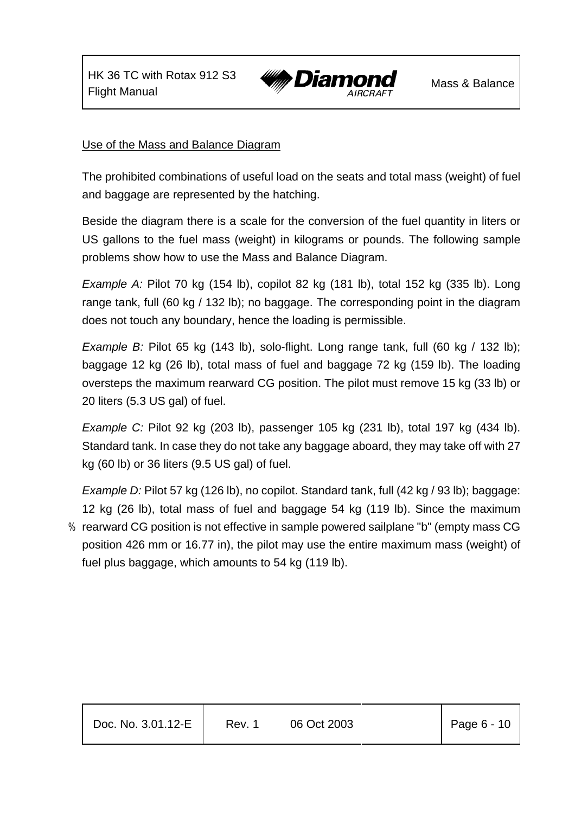

#### Use of the Mass and Balance Diagram

The prohibited combinations of useful load on the seats and total mass (weight) of fuel and baggage are represented by the hatching.

Beside the diagram there is a scale for the conversion of the fuel quantity in liters or US gallons to the fuel mass (weight) in kilograms or pounds. The following sample problems show how to use the Mass and Balance Diagram.

*Example A:* Pilot 70 kg (154 lb), copilot 82 kg (181 lb), total 152 kg (335 lb). Long range tank, full (60 kg / 132 lb); no baggage. The corresponding point in the diagram does not touch any boundary, hence the loading is permissible.

*Example B:* Pilot 65 kg (143 lb), solo-flight. Long range tank, full (60 kg / 132 lb); baggage 12 kg (26 lb), total mass of fuel and baggage 72 kg (159 lb). The loading oversteps the maximum rearward CG position. The pilot must remove 15 kg (33 lb) or 20 liters (5.3 US gal) of fuel.

*Example C:* Pilot 92 kg (203 lb), passenger 105 kg (231 lb), total 197 kg (434 lb). Standard tank. In case they do not take any baggage aboard, they may take off with 27 kg (60 lb) or 36 liters (9.5 US gal) of fuel.

*Example D:* Pilot 57 kg (126 lb), no copilot. Standard tank, full (42 kg / 93 lb); baggage: 12 kg (26 lb), total mass of fuel and baggage 54 kg (119 lb). Since the maximum

% rearward CG position is not effective in sample powered sailplane "b" (empty mass CG position 426 mm or 16.77 in), the pilot may use the entire maximum mass (weight) of fuel plus baggage, which amounts to 54 kg (119 lb).

| Doc. No. 3.01.12-E | Rev. 1 | 06 Oct 2003 | Page $6 - 10$ |
|--------------------|--------|-------------|---------------|
|                    |        |             |               |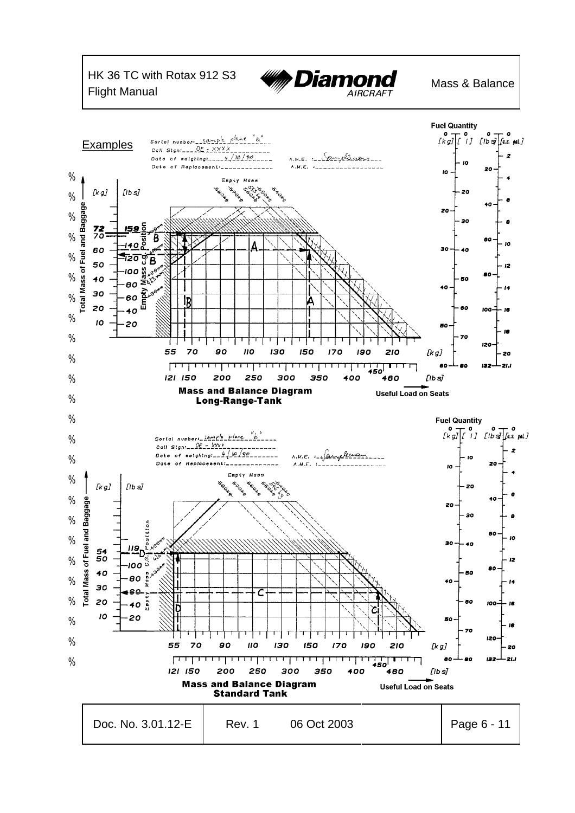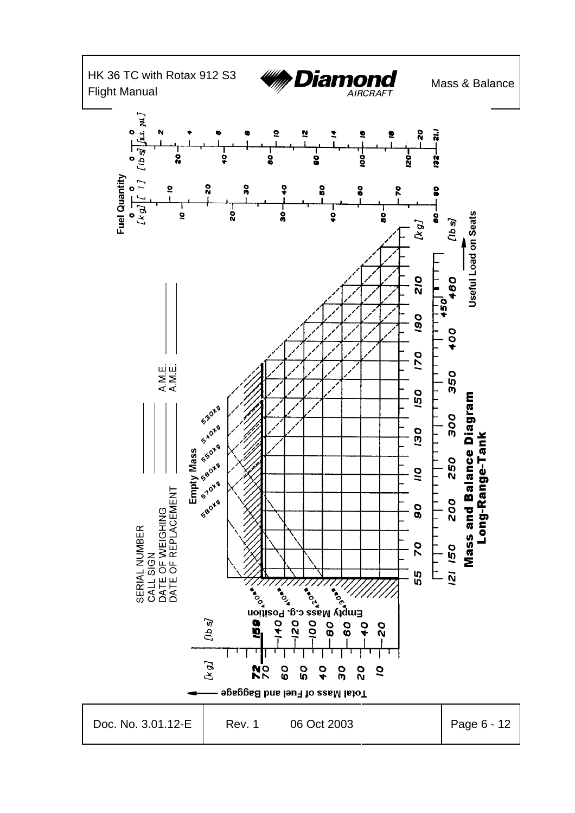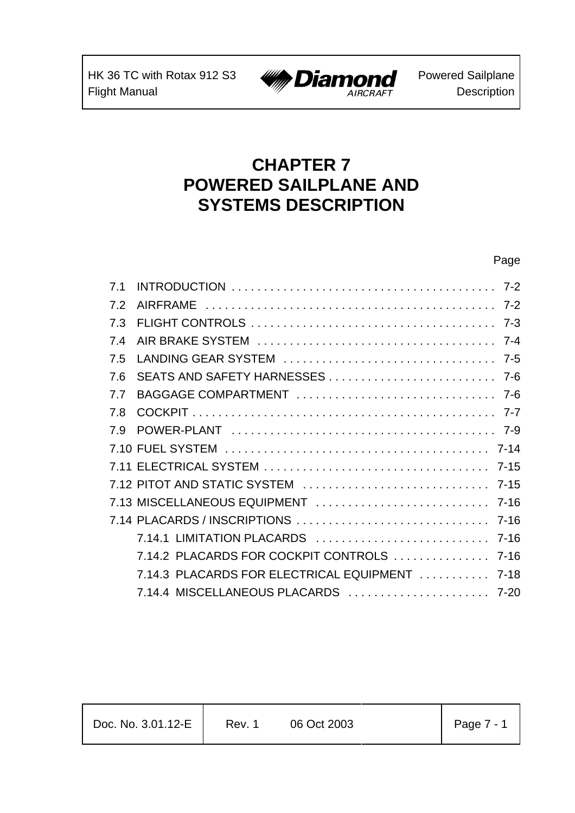

# **CHAPTER 7 POWERED SAILPLANE AND SYSTEMS DESCRIPTION**

### Page

| 7 <sub>1</sub> |                                          |          |
|----------------|------------------------------------------|----------|
| 7.2            |                                          | $7 - 2$  |
| 7.3            |                                          | $7 - 3$  |
| 7.4            |                                          | $7 - 4$  |
| 7.5            |                                          | $7 - 5$  |
| 7.6            |                                          |          |
| 7.7            |                                          |          |
| 7.8            |                                          | $7 - 7$  |
| 79             |                                          |          |
|                |                                          |          |
|                |                                          | $7 - 15$ |
|                |                                          |          |
|                | 7.13 MISCELLANEOUS EQUIPMENT             | 7-16     |
|                | 7.14 PLACARDS / INSCRIPTIONS             | $7 - 16$ |
|                | 7.14.1 LIMITATION PLACARDS               | $7 - 16$ |
|                | 7.14.2 PLACARDS FOR COCKPIT CONTROLS     | $7 - 16$ |
|                | 7.14.3 PLACARDS FOR ELECTRICAL EQUIPMENT | $7 - 18$ |
|                | 7.14.4 MISCELLANEOUS PLACARDS  7-20      |          |

| Doc. No. 3.01.12-E | Rev. 1 | 06 Oct 2003 | Page $7 - 1$ |
|--------------------|--------|-------------|--------------|
|                    |        |             |              |

T

Т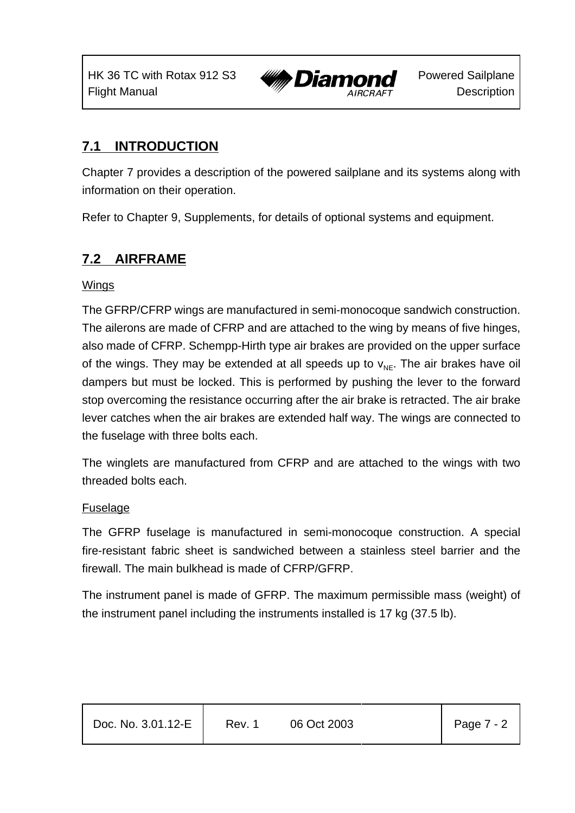

# **7.1 INTRODUCTION**

Chapter 7 provides a description of the powered sailplane and its systems along with information on their operation.

Refer to Chapter 9, Supplements, for details of optional systems and equipment.

# **7.2 AIRFRAME**

### **Wings**

The GFRP/CFRP wings are manufactured in semi-monocoque sandwich construction. The ailerons are made of CFRP and are attached to the wing by means of five hinges, also made of CFRP. Schempp-Hirth type air brakes are provided on the upper surface of the wings. They may be extended at all speeds up to  $v_{NF}$ . The air brakes have oil dampers but must be locked. This is performed by pushing the lever to the forward stop overcoming the resistance occurring after the air brake is retracted. The air brake lever catches when the air brakes are extended half way. The wings are connected to the fuselage with three bolts each.

The winglets are manufactured from CFRP and are attached to the wings with two threaded bolts each.

### **Fuselage**

The GFRP fuselage is manufactured in semi-monocoque construction. A special fire-resistant fabric sheet is sandwiched between a stainless steel barrier and the firewall. The main bulkhead is made of CFRP/GFRP.

The instrument panel is made of GFRP. The maximum permissible mass (weight) of the instrument panel including the instruments installed is 17 kg (37.5 lb).

| Doc. No. 3.01.12-E | Rev. 1 | 06 Oct 2003 | Page $7 - 2$ |
|--------------------|--------|-------------|--------------|
|                    |        |             |              |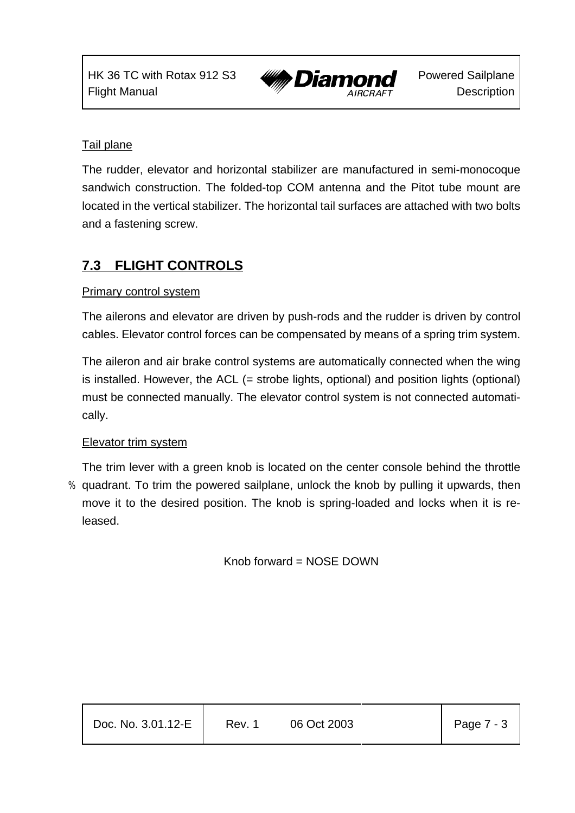

### Tail plane

The rudder, elevator and horizontal stabilizer are manufactured in semi-monocoque sandwich construction. The folded-top COM antenna and the Pitot tube mount are located in the vertical stabilizer. The horizontal tail surfaces are attached with two bolts and a fastening screw.

# **7.3 FLIGHT CONTROLS**

### Primary control system

The ailerons and elevator are driven by push-rods and the rudder is driven by control cables. Elevator control forces can be compensated by means of a spring trim system.

The aileron and air brake control systems are automatically connected when the wing is installed. However, the ACL (= strobe lights, optional) and position lights (optional) must be connected manually. The elevator control system is not connected automatically.

### Elevator trim system

The trim lever with a green knob is located on the center console behind the throttle % quadrant. To trim the powered sailplane, unlock the knob by pulling it upwards, then move it to the desired position. The knob is spring-loaded and locks when it is released.

Knob forward = NOSE DOWN

| Page 7 - 3<br>Doc. No. 3.01.12-E<br>Rev. 1<br>06 Oct 2003 |
|-----------------------------------------------------------|
|-----------------------------------------------------------|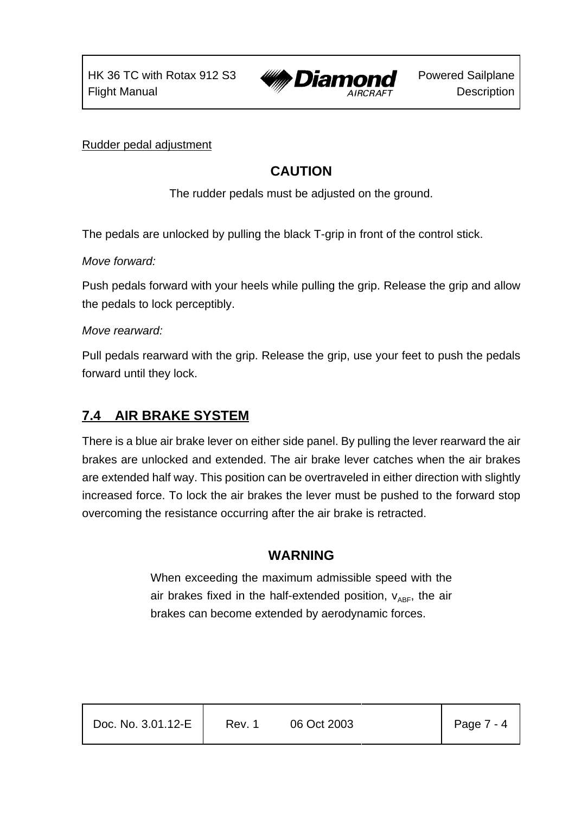

Rudder pedal adjustment

# **CAUTION**

The rudder pedals must be adjusted on the ground.

The pedals are unlocked by pulling the black T-grip in front of the control stick.

*Move forward:*

Push pedals forward with your heels while pulling the grip. Release the grip and allow the pedals to lock perceptibly.

### *Move rearward:*

Pull pedals rearward with the grip. Release the grip, use your feet to push the pedals forward until they lock.

### **7.4 AIR BRAKE SYSTEM**

There is a blue air brake lever on either side panel. By pulling the lever rearward the air brakes are unlocked and extended. The air brake lever catches when the air brakes are extended half way. This position can be overtraveled in either direction with slightly increased force. To lock the air brakes the lever must be pushed to the forward stop overcoming the resistance occurring after the air brake is retracted.

### **WARNING**

When exceeding the maximum admissible speed with the air brakes fixed in the half-extended position,  $V_{ABF}$ , the air brakes can become extended by aerodynamic forces.

| Doc. No. 3.01.12-E | Rev. 1 | 06 Oct 2003 | Page $7 - 4$ |
|--------------------|--------|-------------|--------------|
|                    |        |             |              |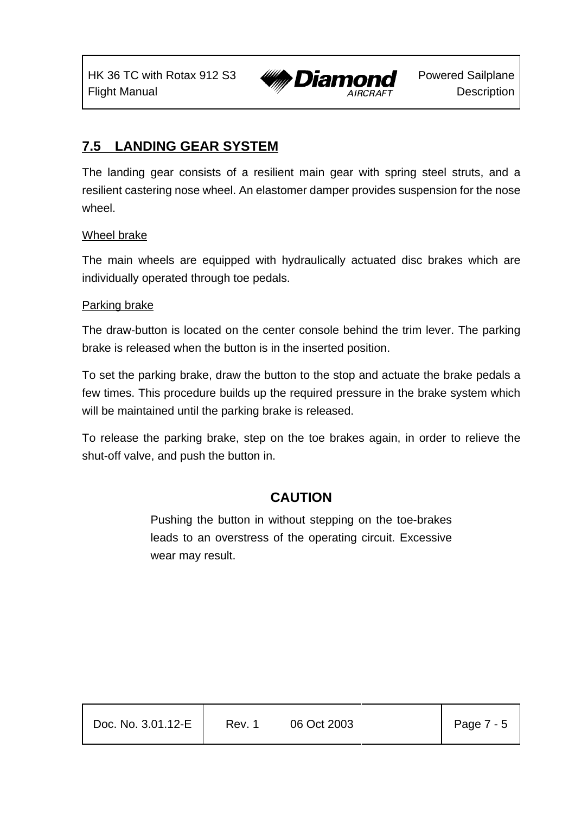

# **7.5 LANDING GEAR SYSTEM**

The landing gear consists of a resilient main gear with spring steel struts, and a resilient castering nose wheel. An elastomer damper provides suspension for the nose wheel

#### Wheel brake

The main wheels are equipped with hydraulically actuated disc brakes which are individually operated through toe pedals.

#### Parking brake

The draw-button is located on the center console behind the trim lever. The parking brake is released when the button is in the inserted position.

To set the parking brake, draw the button to the stop and actuate the brake pedals a few times. This procedure builds up the required pressure in the brake system which will be maintained until the parking brake is released.

To release the parking brake, step on the toe brakes again, in order to relieve the shut-off valve, and push the button in.

### **CAUTION**

Pushing the button in without stepping on the toe-brakes leads to an overstress of the operating circuit. Excessive wear may result.

| Doc. No. 3.01.12-E | Rev. 1 | 06 Oct 2003 | Page $7 - 5$ |
|--------------------|--------|-------------|--------------|
|                    |        |             |              |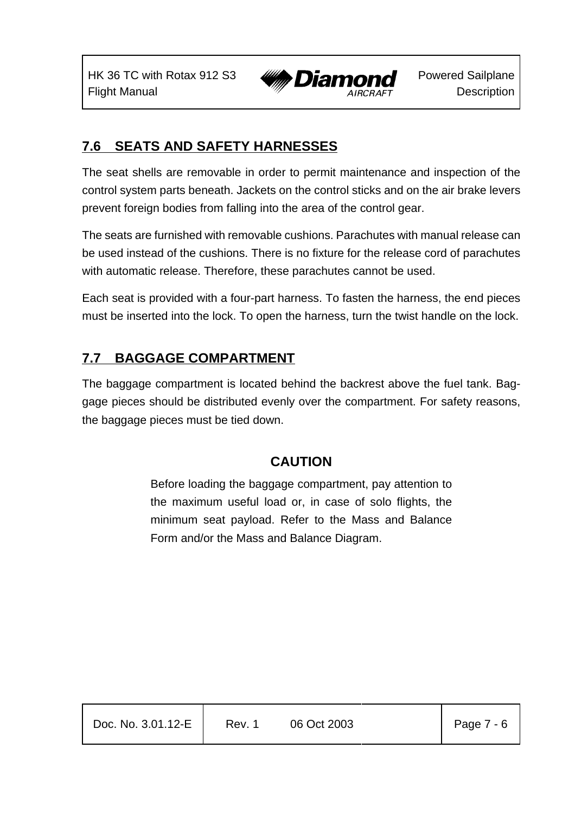HK 36 TC with Rotax 912 S3 Flight Manual



# **7.6 SEATS AND SAFETY HARNESSES**

The seat shells are removable in order to permit maintenance and inspection of the control system parts beneath. Jackets on the control sticks and on the air brake levers prevent foreign bodies from falling into the area of the control gear.

The seats are furnished with removable cushions. Parachutes with manual release can be used instead of the cushions. There is no fixture for the release cord of parachutes with automatic release. Therefore, these parachutes cannot be used.

Each seat is provided with a four-part harness. To fasten the harness, the end pieces must be inserted into the lock. To open the harness, turn the twist handle on the lock.

## **7.7 BAGGAGE COMPARTMENT**

The baggage compartment is located behind the backrest above the fuel tank. Baggage pieces should be distributed evenly over the compartment. For safety reasons, the baggage pieces must be tied down.

# **CAUTION**

Before loading the baggage compartment, pay attention to the maximum useful load or, in case of solo flights, the minimum seat payload. Refer to the Mass and Balance Form and/or the Mass and Balance Diagram.

| Doc. No. 3.01.12-E | Rev. 1 | 06 Oct 2003 | Page 7 - 6 |
|--------------------|--------|-------------|------------|
|                    |        |             |            |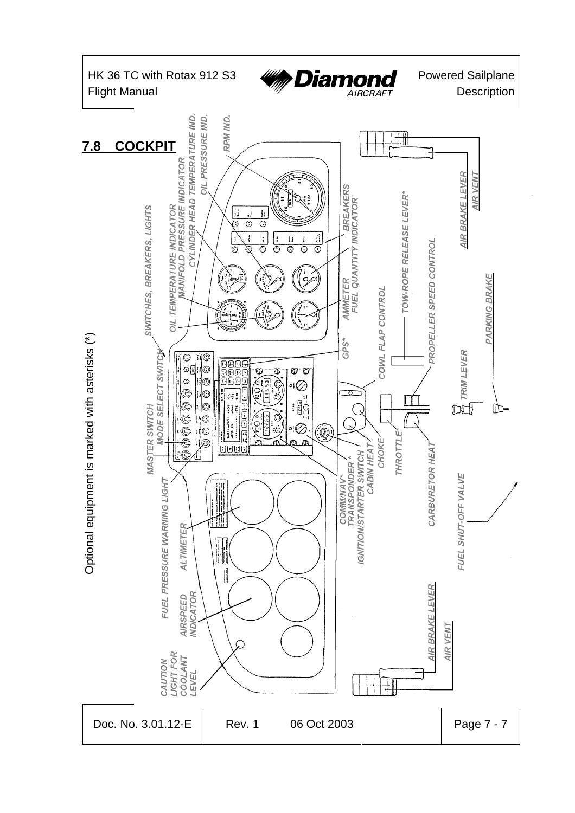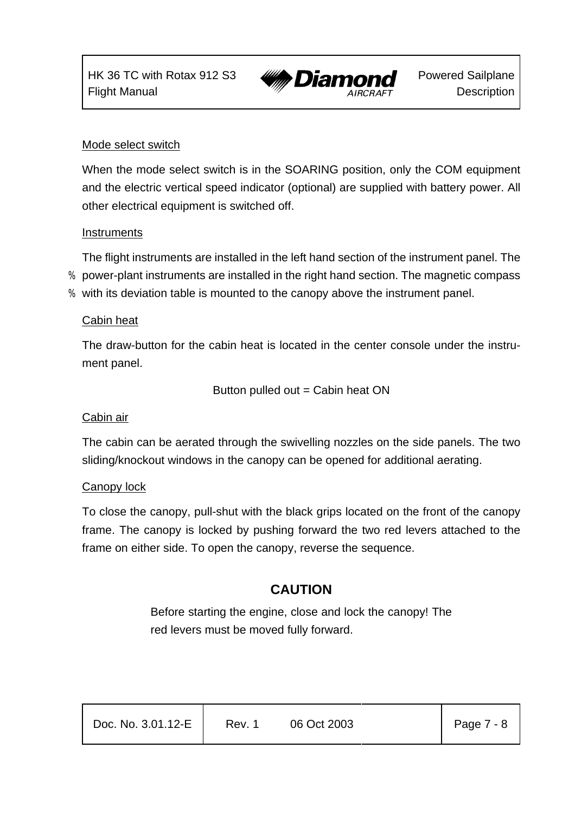

#### Mode select switch

When the mode select switch is in the SOARING position, only the COM equipment and the electric vertical speed indicator (optional) are supplied with battery power. All other electrical equipment is switched off.

#### **Instruments**

The flight instruments are installed in the left hand section of the instrument panel. The

- % power-plant instruments are installed in the right hand section. The magnetic compass
- % with its deviation table is mounted to the canopy above the instrument panel.

#### Cabin heat

The draw-button for the cabin heat is located in the center console under the instrument panel.

Button pulled out  $=$  Cabin heat ON

### Cabin air

The cabin can be aerated through the swivelling nozzles on the side panels. The two sliding/knockout windows in the canopy can be opened for additional aerating.

### Canopy lock

To close the canopy, pull-shut with the black grips located on the front of the canopy frame. The canopy is locked by pushing forward the two red levers attached to the frame on either side. To open the canopy, reverse the sequence.

## **CAUTION**

Before starting the engine, close and lock the canopy! The red levers must be moved fully forward.

| Doc. No. 3.01.12-E | Rev. 1 | 06 Oct 2003 | Page $7 - 8$ |
|--------------------|--------|-------------|--------------|
|                    |        |             |              |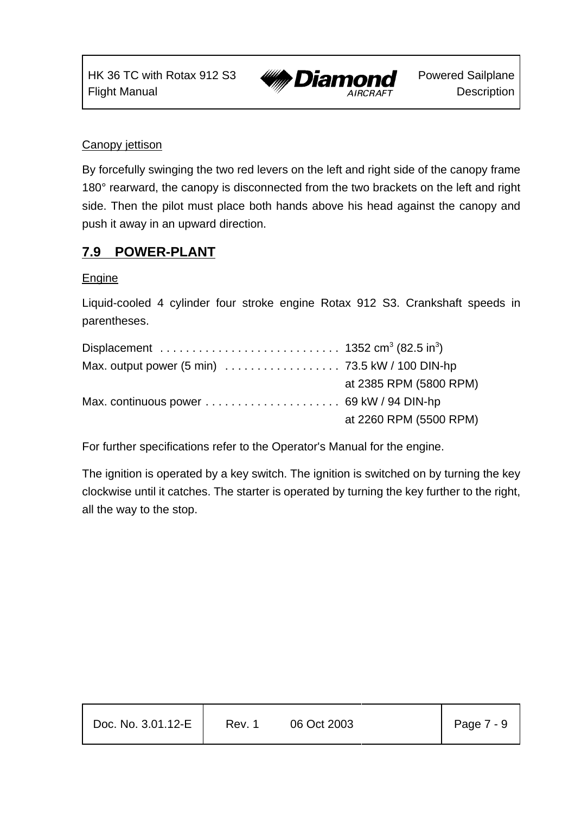HK 36 TC with Rotax 912 S3 Flight Manual



#### Canopy jettison

By forcefully swinging the two red levers on the left and right side of the canopy frame 180° rearward, the canopy is disconnected from the two brackets on the left and right side. Then the pilot must place both hands above his head against the canopy and push it away in an upward direction.

## **7.9 POWER-PLANT**

#### **Engine**

Liquid-cooled 4 cylinder four stroke engine Rotax 912 S3. Crankshaft speeds in parentheses.

| at 2385 RPM (5800 RPM) |
|------------------------|
|                        |
| at 2260 RPM (5500 RPM) |

For further specifications refer to the Operator's Manual for the engine.

The ignition is operated by a key switch. The ignition is switched on by turning the key clockwise until it catches. The starter is operated by turning the key further to the right, all the way to the stop.

| Doc. No. 3.01.12-E | Rev. 1 | 06 Oct 2003 | Page $7 - 9$ |
|--------------------|--------|-------------|--------------|
|                    |        |             |              |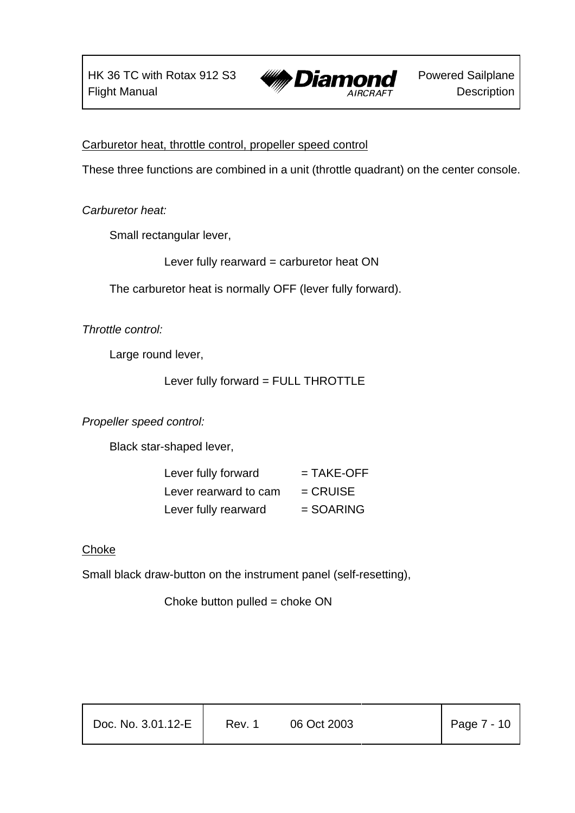

Carburetor heat, throttle control, propeller speed control

These three functions are combined in a unit (throttle quadrant) on the center console.

*Carburetor heat:*

Small rectangular lever,

Lever fully rearward = carburetor heat ON

The carburetor heat is normally OFF (lever fully forward).

*Throttle control:*

Large round lever,

Lever fully forward = FULL THROTTLE

*Propeller speed control:*

Black star-shaped lever,

| Lever fully forward   | $=$ TAKE-OFF |
|-----------------------|--------------|
| Lever rearward to cam | $=$ CRUISE   |
| Lever fully rearward  | $=$ SOARING  |

### Choke

Small black draw-button on the instrument panel (self-resetting),

Choke button pulled  $=$  choke ON

| Doc. No. 3.01.12-E | Rev. 1 | 06 Oct 2003 | Page 7 - 10 |
|--------------------|--------|-------------|-------------|
|                    |        |             |             |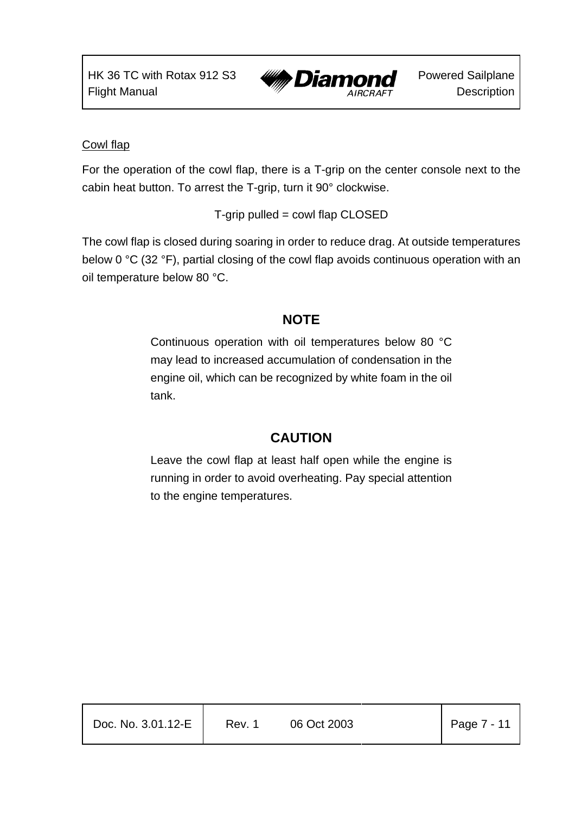

### Cowl flap

For the operation of the cowl flap, there is a T-grip on the center console next to the cabin heat button. To arrest the T-grip, turn it 90° clockwise.

T-grip pulled = cowl flap CLOSED

The cowl flap is closed during soaring in order to reduce drag. At outside temperatures below 0 °C (32 °F), partial closing of the cowl flap avoids continuous operation with an oil temperature below 80 °C.

## **NOTE**

Continuous operation with oil temperatures below 80 °C may lead to increased accumulation of condensation in the engine oil, which can be recognized by white foam in the oil tank.

## **CAUTION**

Leave the cowl flap at least half open while the engine is running in order to avoid overheating. Pay special attention to the engine temperatures.

| Doc. No. 3.01.12-E | Rev. 1 | 06 Oct 2003 | $\vert$ Page 7 - 11 |
|--------------------|--------|-------------|---------------------|
|                    |        |             |                     |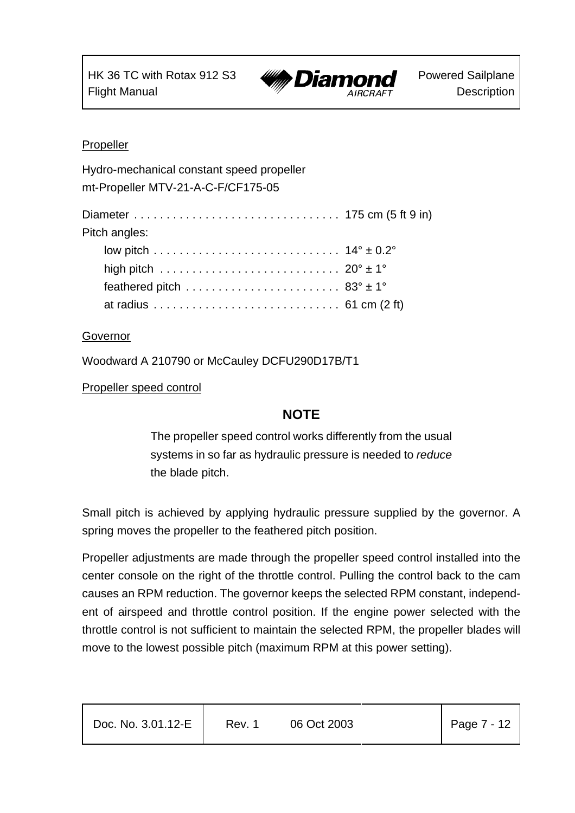

#### Propeller

| Hydro-mechanical constant speed propeller<br>mt-Propeller MTV-21-A-C-F/CF175-05 |  |
|---------------------------------------------------------------------------------|--|
| Pitch angles:                                                                   |  |
|                                                                                 |  |
|                                                                                 |  |
|                                                                                 |  |
|                                                                                 |  |

#### Governor

Woodward A 210790 or McCauley DCFU290D17B/T1

#### Propeller speed control

### **NOTE**

The propeller speed control works differently from the usual systems in so far as hydraulic pressure is needed to *reduce* the blade pitch.

Small pitch is achieved by applying hydraulic pressure supplied by the governor. A spring moves the propeller to the feathered pitch position.

Propeller adjustments are made through the propeller speed control installed into the center console on the right of the throttle control. Pulling the control back to the cam causes an RPM reduction. The governor keeps the selected RPM constant, independent of airspeed and throttle control position. If the engine power selected with the throttle control is not sufficient to maintain the selected RPM, the propeller blades will move to the lowest possible pitch (maximum RPM at this power setting).

| Doc. No. 3.01.12-E | Rev. 1 | 06 Oct 2003 | Page 7 - 12 |
|--------------------|--------|-------------|-------------|
|                    |        |             |             |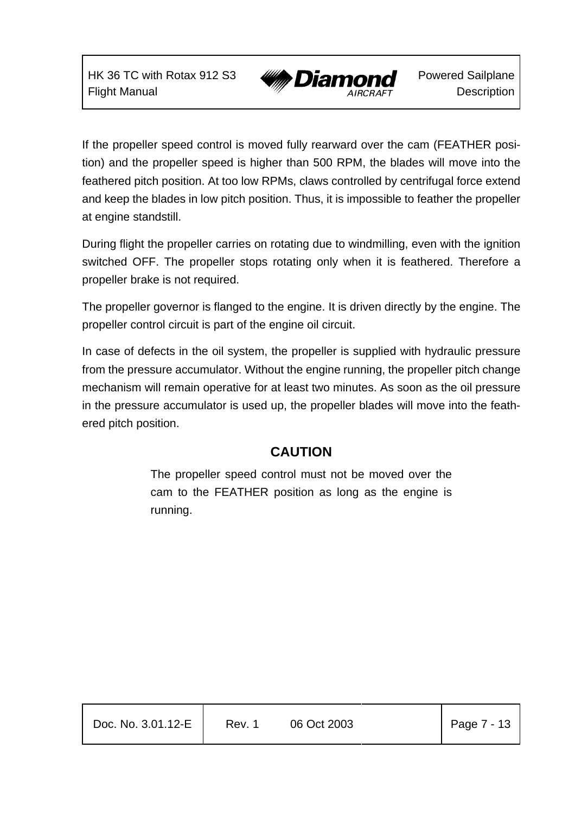HK 36 TC with Rotax 912 S3 Flight Manual



Powered Sailplane **Description** 

If the propeller speed control is moved fully rearward over the cam (FEATHER position) and the propeller speed is higher than 500 RPM, the blades will move into the feathered pitch position. At too low RPMs, claws controlled by centrifugal force extend and keep the blades in low pitch position. Thus, it is impossible to feather the propeller at engine standstill.

During flight the propeller carries on rotating due to windmilling, even with the ignition switched OFF. The propeller stops rotating only when it is feathered. Therefore a propeller brake is not required.

The propeller governor is flanged to the engine. It is driven directly by the engine. The propeller control circuit is part of the engine oil circuit.

In case of defects in the oil system, the propeller is supplied with hydraulic pressure from the pressure accumulator. Without the engine running, the propeller pitch change mechanism will remain operative for at least two minutes. As soon as the oil pressure in the pressure accumulator is used up, the propeller blades will move into the feathered pitch position.

### **CAUTION**

The propeller speed control must not be moved over the cam to the FEATHER position as long as the engine is running.

| Doc. No. 3.01.12-E | Rev. 1 | 06 Oct 2003 | Page $7 - 13$ |
|--------------------|--------|-------------|---------------|
|                    |        |             |               |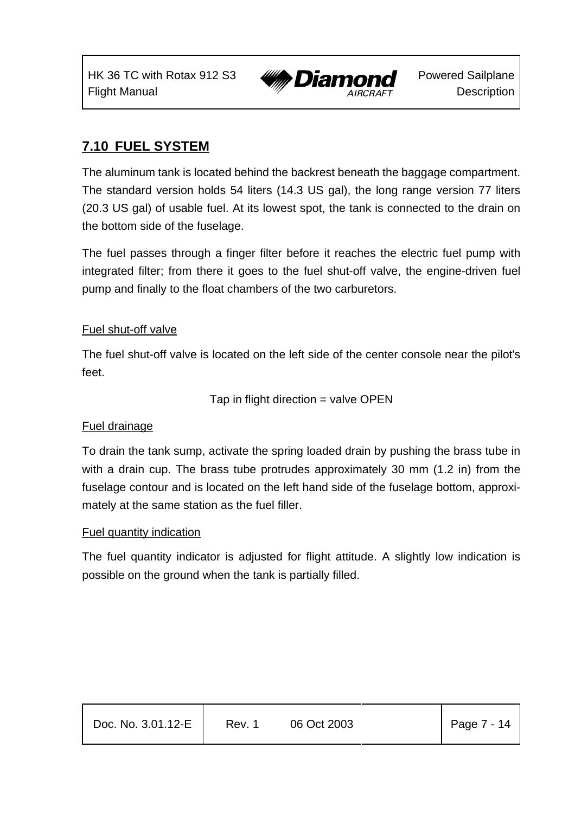

## **7.10 FUEL SYSTEM**

The aluminum tank is located behind the backrest beneath the baggage compartment. The standard version holds 54 liters (14.3 US gal), the long range version 77 liters (20.3 US gal) of usable fuel. At its lowest spot, the tank is connected to the drain on the bottom side of the fuselage.

The fuel passes through a finger filter before it reaches the electric fuel pump with integrated filter; from there it goes to the fuel shut-off valve, the engine-driven fuel pump and finally to the float chambers of the two carburetors.

#### Fuel shut-off valve

The fuel shut-off valve is located on the left side of the center console near the pilot's feet.

Tap in flight direction  $=$  valve OPEN

### Fuel drainage

To drain the tank sump, activate the spring loaded drain by pushing the brass tube in with a drain cup. The brass tube protrudes approximately 30 mm (1.2 in) from the fuselage contour and is located on the left hand side of the fuselage bottom, approximately at the same station as the fuel filler.

### Fuel quantity indication

The fuel quantity indicator is adjusted for flight attitude. A slightly low indication is possible on the ground when the tank is partially filled.

| Doc. No. 3.01.12-E | Rev. 1 | 06 Oct 2003 | Page $7 - 14$ |
|--------------------|--------|-------------|---------------|
|                    |        |             |               |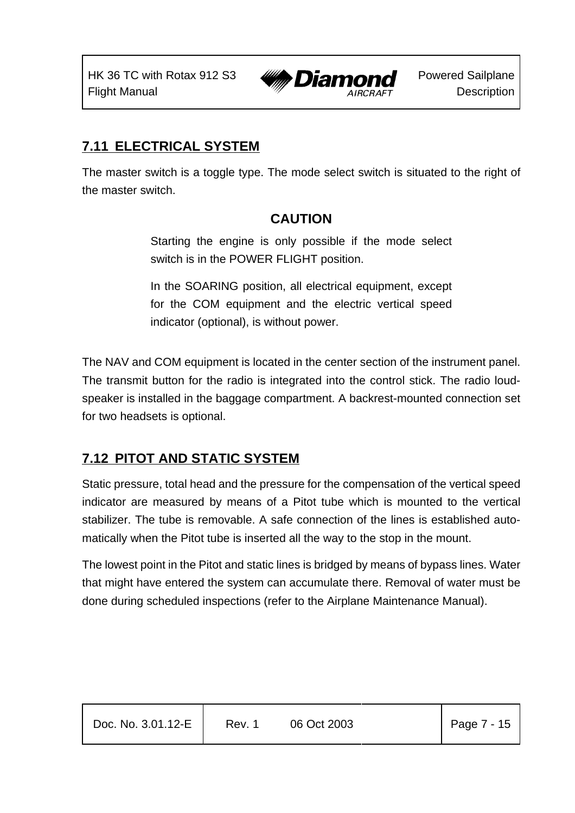

## **7.11 ELECTRICAL SYSTEM**

The master switch is a toggle type. The mode select switch is situated to the right of the master switch.

## **CAUTION**

Starting the engine is only possible if the mode select switch is in the POWER FLIGHT position.

In the SOARING position, all electrical equipment, except for the COM equipment and the electric vertical speed indicator (optional), is without power.

The NAV and COM equipment is located in the center section of the instrument panel. The transmit button for the radio is integrated into the control stick. The radio loudspeaker is installed in the baggage compartment. A backrest-mounted connection set for two headsets is optional.

## **7.12 PITOT AND STATIC SYSTEM**

Static pressure, total head and the pressure for the compensation of the vertical speed indicator are measured by means of a Pitot tube which is mounted to the vertical stabilizer. The tube is removable. A safe connection of the lines is established automatically when the Pitot tube is inserted all the way to the stop in the mount.

The lowest point in the Pitot and static lines is bridged by means of bypass lines. Water that might have entered the system can accumulate there. Removal of water must be done during scheduled inspections (refer to the Airplane Maintenance Manual).

| Doc. No. 3.01.12-E | Rev. 1 | 06 Oct 2003 | Page 7 - 15 |
|--------------------|--------|-------------|-------------|
|                    |        |             |             |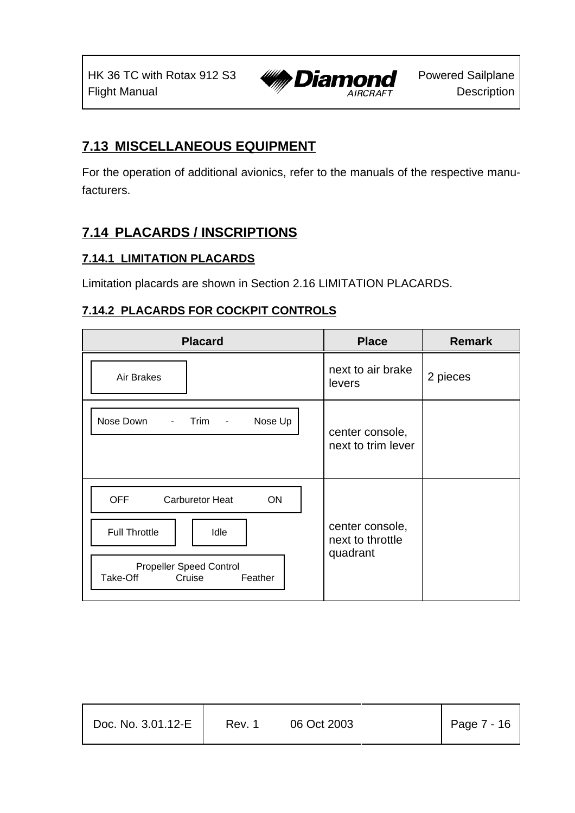

## **7.13 MISCELLANEOUS EQUIPMENT**

For the operation of additional avionics, refer to the manuals of the respective manufacturers.

## **7.14 PLACARDS / INSCRIPTIONS**

### **7.14.1 LIMITATION PLACARDS**

Limitation placards are shown in Section 2.16 LIMITATION PLACARDS.

### **7.14.2 PLACARDS FOR COCKPIT CONTROLS**

| <b>Placard</b>                                                                                                                                | <b>Place</b>                                    | <b>Remark</b> |
|-----------------------------------------------------------------------------------------------------------------------------------------------|-------------------------------------------------|---------------|
| Air Brakes                                                                                                                                    | next to air brake<br>levers                     | 2 pieces      |
| Nose Down<br>Nose Up<br>Trim<br>$\overline{\phantom{a}}$<br>$\overline{\phantom{a}}$                                                          | center console,<br>next to trim lever           |               |
| <b>OFF</b><br><b>Carburetor Heat</b><br>ON<br><b>Full Throttle</b><br>Idle<br><b>Propeller Speed Control</b><br>Take-Off<br>Cruise<br>Feather | center console,<br>next to throttle<br>quadrant |               |

| Doc. No. 3.01.12-E | Rev. 1 | 06 Oct 2003 | Page $7 - 16$ |
|--------------------|--------|-------------|---------------|
|                    |        |             |               |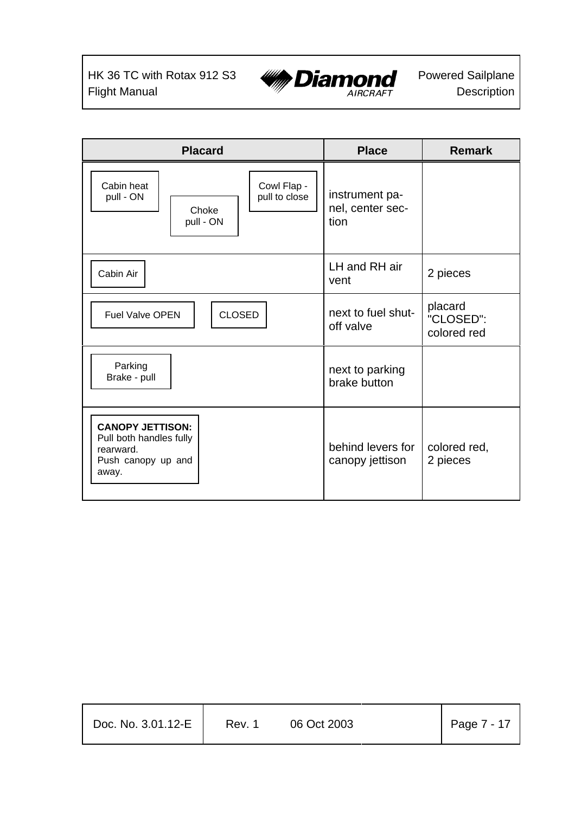

| <b>Placard</b>                                                                                 | <b>Place</b>                               | <b>Remark</b>                       |
|------------------------------------------------------------------------------------------------|--------------------------------------------|-------------------------------------|
| Cabin heat<br>Cowl Flap -<br>pull to close<br>pull - ON<br>Choke<br>pull - ON                  | instrument pa-<br>nel, center sec-<br>tion |                                     |
| Cabin Air                                                                                      | LH and RH air<br>vent                      | 2 pieces                            |
| <b>CLOSED</b><br><b>Fuel Valve OPEN</b>                                                        | next to fuel shut-<br>off valve            | placard<br>"CLOSED":<br>colored red |
| Parking<br>Brake - pull                                                                        | next to parking<br>brake button            |                                     |
| <b>CANOPY JETTISON:</b><br>Pull both handles fully<br>rearward.<br>Push canopy up and<br>away. | behind levers for<br>canopy jettison       | colored red,<br>2 pieces            |

| Doc. No. 3.01.12-E | Rev. 1 | 06 Oct 2003 | Page $7 - 17$ |
|--------------------|--------|-------------|---------------|
|                    |        |             |               |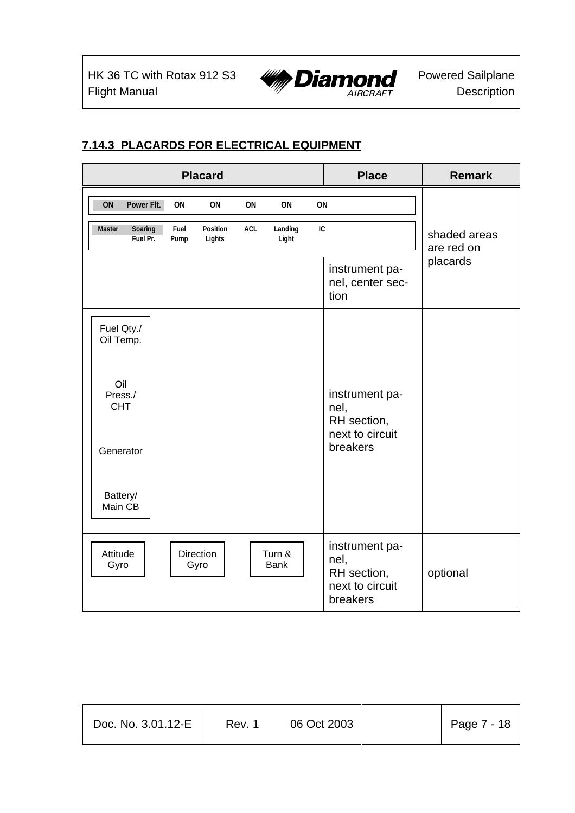

## **7.14.3 PLACARDS FOR ELECTRICAL EQUIPMENT**

|                               |              | <b>Placard</b>           |     |                       |    | <b>Place</b>                                                         | <b>Remark</b>              |
|-------------------------------|--------------|--------------------------|-----|-----------------------|----|----------------------------------------------------------------------|----------------------------|
| ON<br>Power Flt.              | 0N           | ON                       | ON  | ON                    | ON |                                                                      |                            |
| Master<br>Soaring<br>Fuel Pr. | Fuel<br>Pump | Position<br>Lights       | ACL | Landing<br>Light      | IC |                                                                      | shaded areas<br>are red on |
|                               |              |                          |     |                       |    | instrument pa-<br>nel, center sec-<br>tion                           | placards                   |
| Fuel Qty./<br>Oil Temp.       |              |                          |     |                       |    |                                                                      |                            |
| Oil<br>Press./<br><b>CHT</b>  |              |                          |     |                       |    | instrument pa-<br>nel,<br>RH section,                                |                            |
| Generator                     |              |                          |     |                       |    | next to circuit<br>breakers                                          |                            |
| Battery/<br>Main CB           |              |                          |     |                       |    |                                                                      |                            |
| Attitude<br>Gyro              |              | <b>Direction</b><br>Gyro |     | Turn &<br><b>Bank</b> |    | instrument pa-<br>nel,<br>RH section,<br>next to circuit<br>breakers | optional                   |

| Doc. No. 3.01.12-E | Rev. 1 | 06 Oct 2003 | Page $7 - 18$ |
|--------------------|--------|-------------|---------------|
|                    |        |             |               |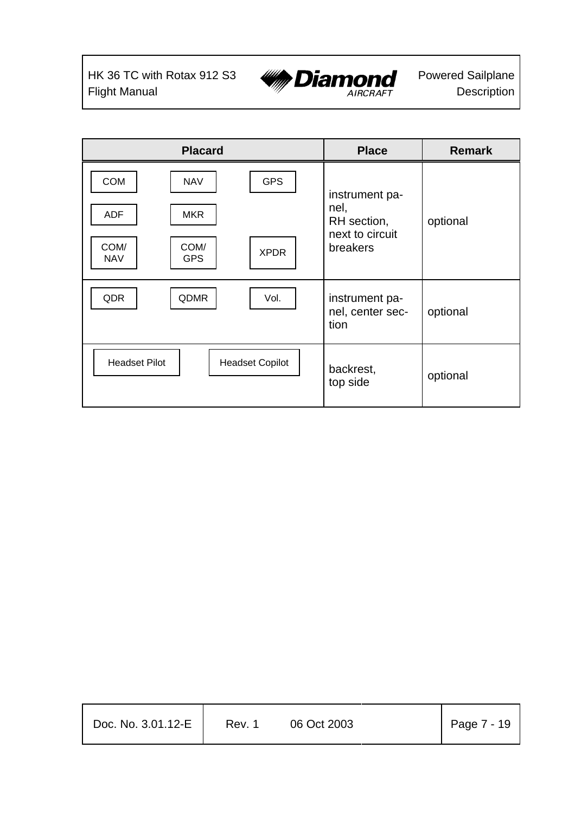

| <b>Placard</b>                                                                                                                | <b>Place</b>                                                         | <b>Remark</b> |
|-------------------------------------------------------------------------------------------------------------------------------|----------------------------------------------------------------------|---------------|
| <b>COM</b><br><b>GPS</b><br><b>NAV</b><br><b>ADF</b><br><b>MKR</b><br>COM/<br>COM/<br><b>XPDR</b><br><b>NAV</b><br><b>GPS</b> | instrument pa-<br>nel,<br>RH section,<br>next to circuit<br>breakers | optional      |
| QDR<br>QDMR<br>Vol.                                                                                                           | instrument pa-<br>nel, center sec-<br>tion                           | optional      |
| <b>Headset Pilot</b><br><b>Headset Copilot</b>                                                                                | backrest,<br>top side                                                | optional      |

| Doc. No. $3.01.12-E$ | Rev. 1 | 06 Oct 2003 | Page 7 - 19 |
|----------------------|--------|-------------|-------------|
|                      |        |             |             |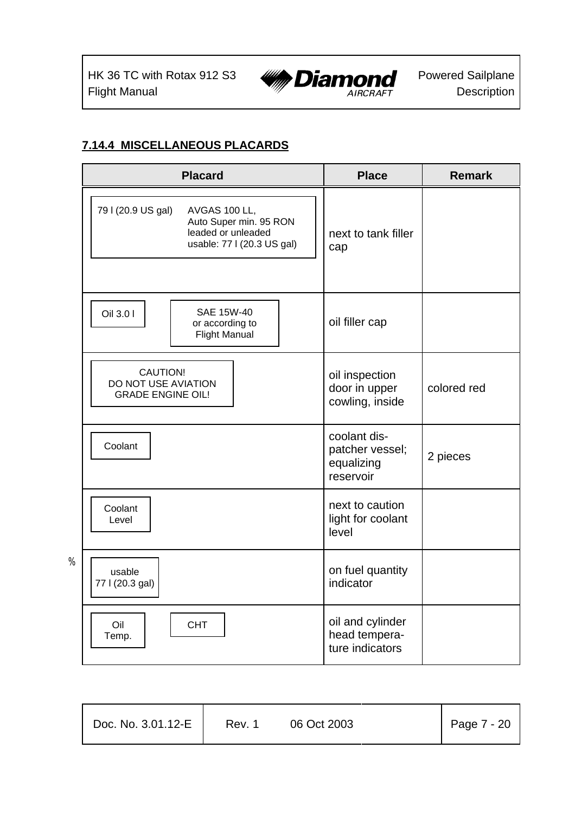%



### **7.14.4 MISCELLANEOUS PLACARDS**

| <b>Placard</b>                                                                                                    | <b>Place</b>                                               | <b>Remark</b> |
|-------------------------------------------------------------------------------------------------------------------|------------------------------------------------------------|---------------|
| 79 I (20.9 US gal)<br>AVGAS 100 LL,<br>Auto Super min. 95 RON<br>leaded or unleaded<br>usable: 77 I (20.3 US gal) | next to tank filler<br>cap                                 |               |
| <b>SAE 15W-40</b><br>Oil 3.0 I<br>or according to<br><b>Flight Manual</b>                                         | oil filler cap                                             |               |
| CAUTION!<br>DO NOT USE AVIATION<br><b>GRADE ENGINE OIL!</b>                                                       | oil inspection<br>door in upper<br>cowling, inside         | colored red   |
| Coolant                                                                                                           | coolant dis-<br>patcher vessel;<br>equalizing<br>reservoir | 2 pieces      |
| Coolant<br>Level                                                                                                  | next to caution<br>light for coolant<br>level              |               |
| usable<br>77 I (20.3 gal)                                                                                         | on fuel quantity<br>indicator                              |               |
| Oil<br><b>CHT</b><br>Temp.                                                                                        | oil and cylinder<br>head tempera-<br>ture indicators       |               |

| Doc. No. 3.01.12-E | Rev. 1 | 06 Oct 2003 |  | Page 7 - 20 |
|--------------------|--------|-------------|--|-------------|
|--------------------|--------|-------------|--|-------------|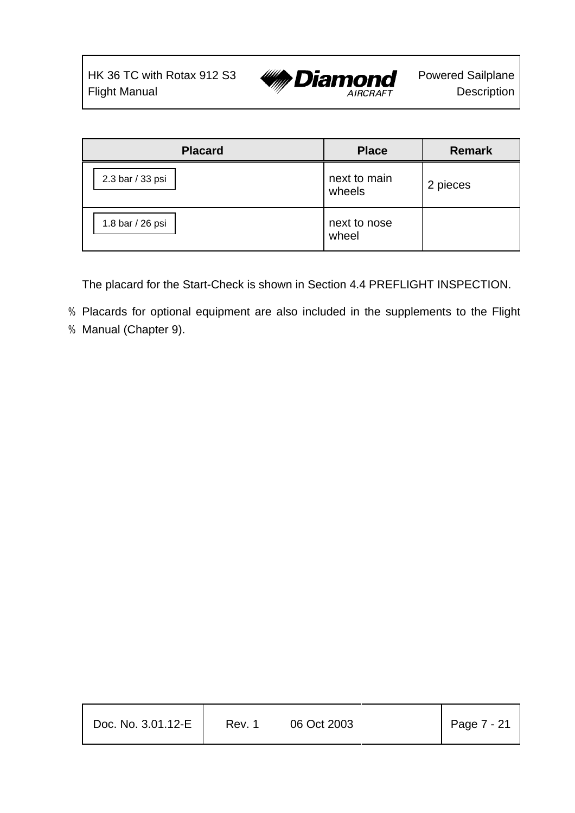

| <b>Placard</b>   | <b>Place</b>           | <b>Remark</b> |
|------------------|------------------------|---------------|
| 2.3 bar / 33 psi | next to main<br>wheels | 2 pieces      |
| 1.8 bar / 26 psi | next to nose<br>wheel  |               |

The placard for the Start-Check is shown in Section 4.4 PREFLIGHT INSPECTION.

- % Placards for optional equipment are also included in the supplements to the Flight
- % Manual (Chapter 9).

| Doc. No. 3.01.12-E | Rev. 1 | 06 Oct 2003 | Page 7 - 21 |
|--------------------|--------|-------------|-------------|
|                    |        |             |             |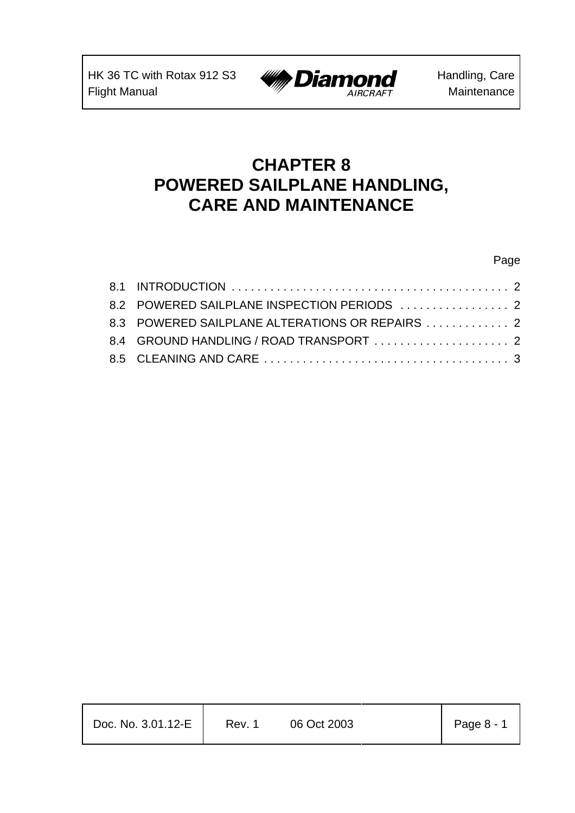

# **CHAPTER 8 POWERED SAILPLANE HANDLING, CARE AND MAINTENANCE**

#### Page

| 8.2 POWERED SAILPLANE INSPECTION PERIODS  2     |
|-------------------------------------------------|
| 8.3 POWERED SAILPLANE ALTERATIONS OR REPAIRS  2 |
| 8.4 GROUND HANDLING / ROAD TRANSPORT  2         |
|                                                 |
|                                                 |

| Doc. No. 3.01.12-E | Rev. 1 | 06 Oct 2003 | Page 8 - 1 |
|--------------------|--------|-------------|------------|
|                    |        |             |            |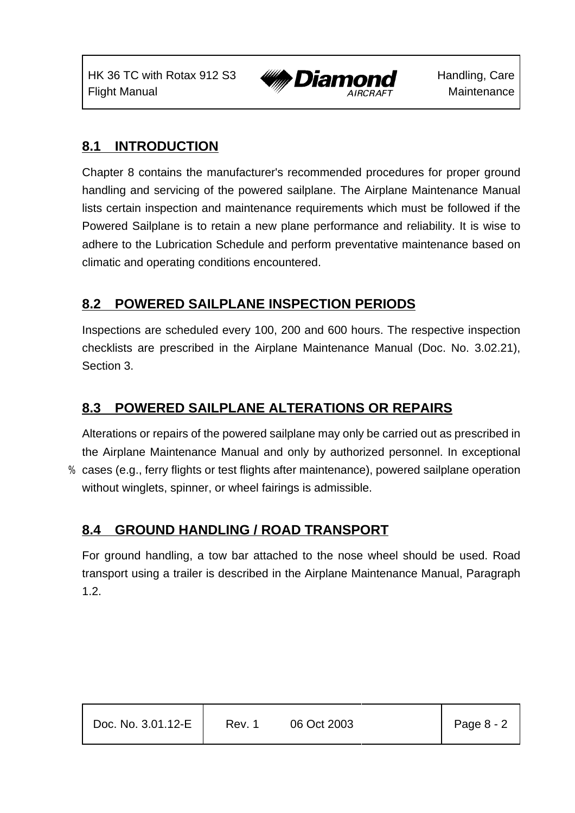HK 36 TC with Rotax 912 S3 Flight Manual



Handling, Care **Maintenance** 

## **8.1 INTRODUCTION**

Chapter 8 contains the manufacturer's recommended procedures for proper ground handling and servicing of the powered sailplane. The Airplane Maintenance Manual lists certain inspection and maintenance requirements which must be followed if the Powered Sailplane is to retain a new plane performance and reliability. It is wise to adhere to the Lubrication Schedule and perform preventative maintenance based on climatic and operating conditions encountered.

## **8.2 POWERED SAILPLANE INSPECTION PERIODS**

Inspections are scheduled every 100, 200 and 600 hours. The respective inspection checklists are prescribed in the Airplane Maintenance Manual (Doc. No. 3.02.21), Section 3.

## **8.3 POWERED SAILPLANE ALTERATIONS OR REPAIRS**

Alterations or repairs of the powered sailplane may only be carried out as prescribed in the Airplane Maintenance Manual and only by authorized personnel. In exceptional % cases (e.g., ferry flights or test flights after maintenance), powered sailplane operation without winglets, spinner, or wheel fairings is admissible.

## **8.4 GROUND HANDLING / ROAD TRANSPORT**

For ground handling, a tow bar attached to the nose wheel should be used. Road transport using a trailer is described in the Airplane Maintenance Manual, Paragraph 1.2.

| Doc. No. 3.01.12-E | Rev. 1 | 06 Oct 2003 | Page $8 - 2$ |
|--------------------|--------|-------------|--------------|
|                    |        |             |              |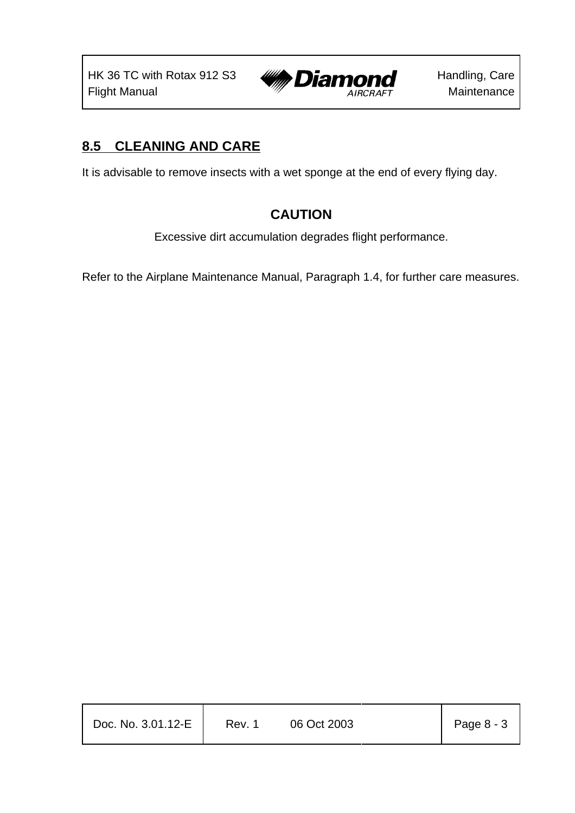

## **8.5 CLEANING AND CARE**

It is advisable to remove insects with a wet sponge at the end of every flying day.

## **CAUTION**

Excessive dirt accumulation degrades flight performance.

Refer to the Airplane Maintenance Manual, Paragraph 1.4, for further care measures.

| Doc. No. 3.01.12-E | Rev. 1 | 06 Oct 2003 | Page 8 - 3 |
|--------------------|--------|-------------|------------|
|                    |        |             |            |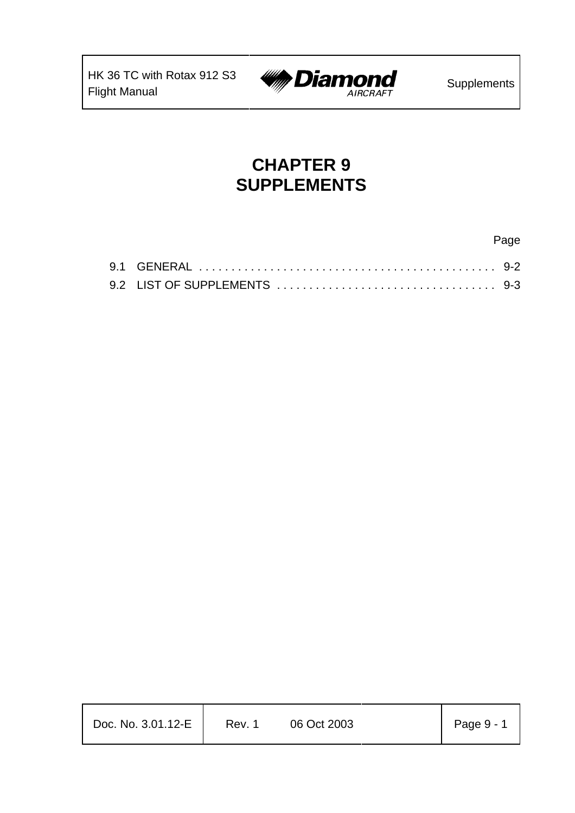

# **CHAPTER 9 SUPPLEMENTS**

| Doc. No. 3.01.12-E | Rev. 1 | 06 Oct 2003 | Page 9 - 1 |
|--------------------|--------|-------------|------------|
|                    |        |             |            |

Page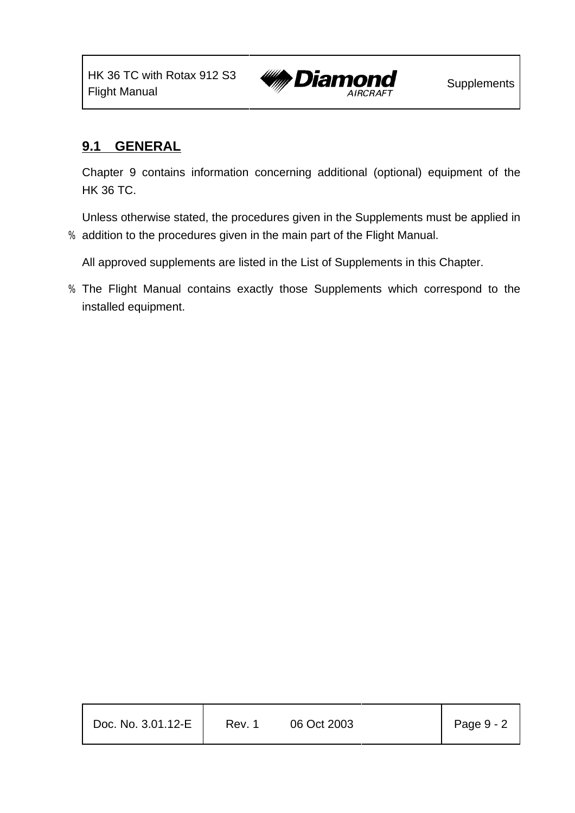

## **9.1 GENERAL**

Chapter 9 contains information concerning additional (optional) equipment of the HK 36 TC.

Unless otherwise stated, the procedures given in the Supplements must be applied in % addition to the procedures given in the main part of the Flight Manual.

All approved supplements are listed in the List of Supplements in this Chapter.

% The Flight Manual contains exactly those Supplements which correspond to the installed equipment.

| Doc. No. 3.01.12-E | Rev. 1 | 06 Oct 2003 | Page $9 - 2$ |
|--------------------|--------|-------------|--------------|
|                    |        |             |              |